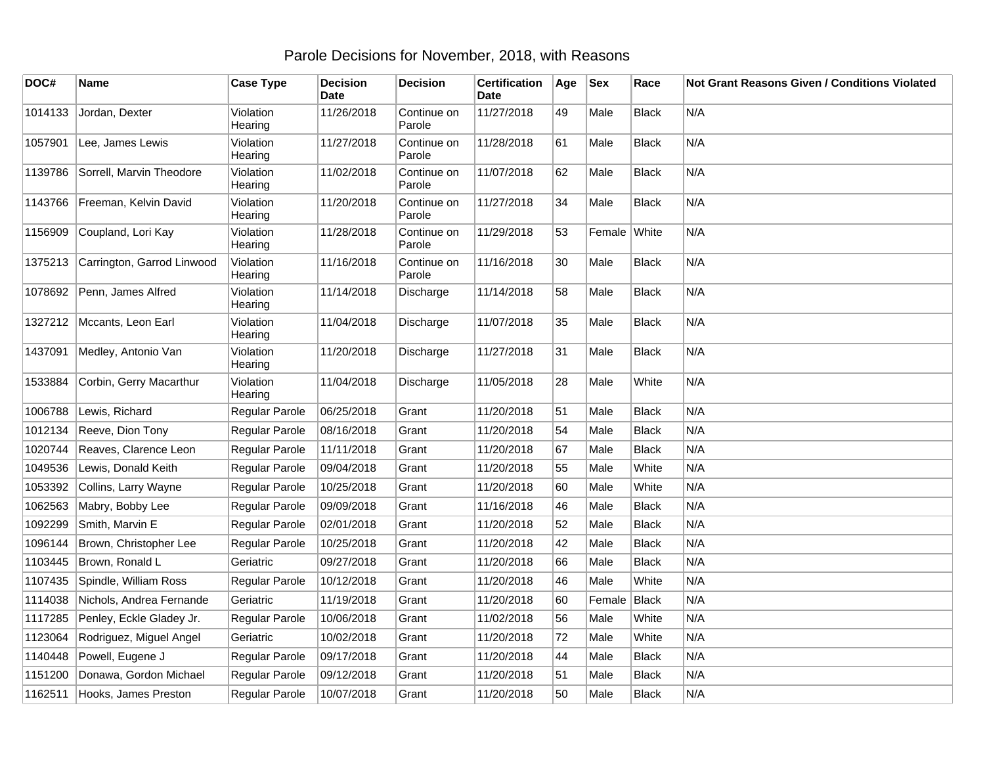## Parole Decisions for November, 2018, with Reasons

| DOC#    | Name                         | <b>Case Type</b>     | <b>Decision</b><br><b>Date</b> | <b>Decision</b>       | <b>Certification</b><br><b>Date</b> | Age | <b>Sex</b>   | Race         | Not Grant Reasons Given / Conditions Violated |
|---------|------------------------------|----------------------|--------------------------------|-----------------------|-------------------------------------|-----|--------------|--------------|-----------------------------------------------|
| 1014133 | Jordan, Dexter               | Violation<br>Hearing | 11/26/2018                     | Continue on<br>Parole | 11/27/2018                          | 49  | Male         | <b>Black</b> | N/A                                           |
| 1057901 | Lee, James Lewis             | Violation<br>Hearing | 11/27/2018                     | Continue on<br>Parole | 11/28/2018                          | 61  | Male         | <b>Black</b> | N/A                                           |
| 1139786 | Sorrell, Marvin Theodore     | Violation<br>Hearing | 11/02/2018                     | Continue on<br>Parole | 11/07/2018                          | 62  | Male         | <b>Black</b> | N/A                                           |
| 1143766 | Freeman, Kelvin David        | Violation<br>Hearing | 11/20/2018                     | Continue on<br>Parole | 11/27/2018                          | 34  | Male         | Black        | N/A                                           |
| 1156909 | Coupland, Lori Kay           | Violation<br>Hearing | 11/28/2018                     | Continue on<br>Parole | 11/29/2018                          | 53  | Female White |              | N/A                                           |
| 1375213 | Carrington, Garrod Linwood   | Violation<br>Hearing | 11/16/2018                     | Continue on<br>Parole | 11/16/2018                          | 30  | Male         | <b>Black</b> | N/A                                           |
|         | 1078692 Penn, James Alfred   | Violation<br>Hearing | 11/14/2018                     | Discharge             | 11/14/2018                          | 58  | Male         | <b>Black</b> | N/A                                           |
|         | 1327212   Mccants, Leon Earl | Violation<br>Hearing | 11/04/2018                     | Discharge             | 11/07/2018                          | 35  | Male         | <b>Black</b> | N/A                                           |
| 1437091 | Medley, Antonio Van          | Violation<br>Hearing | 11/20/2018                     | Discharge             | 11/27/2018                          | 31  | Male         | <b>Black</b> | N/A                                           |
| 1533884 | Corbin, Gerry Macarthur      | Violation<br>Hearing | 11/04/2018                     | Discharge             | 11/05/2018                          | 28  | Male         | White        | N/A                                           |
| 1006788 | Lewis, Richard               | Regular Parole       | 06/25/2018                     | Grant                 | 11/20/2018                          | 51  | Male         | <b>Black</b> | N/A                                           |
| 1012134 | Reeve, Dion Tony             | Regular Parole       | 08/16/2018                     | Grant                 | 11/20/2018                          | 54  | Male         | <b>Black</b> | N/A                                           |
| 1020744 | Reaves, Clarence Leon        | Regular Parole       | 11/11/2018                     | Grant                 | 11/20/2018                          | 67  | Male         | <b>Black</b> | N/A                                           |
| 1049536 | Lewis, Donald Keith          | Regular Parole       | 09/04/2018                     | Grant                 | 11/20/2018                          | 55  | Male         | White        | N/A                                           |
| 1053392 | Collins, Larry Wayne         | Regular Parole       | 10/25/2018                     | Grant                 | 11/20/2018                          | 60  | Male         | White        | N/A                                           |
| 1062563 | Mabry, Bobby Lee             | Regular Parole       | 09/09/2018                     | Grant                 | 11/16/2018                          | 46  | Male         | <b>Black</b> | N/A                                           |
| 1092299 | Smith, Marvin E              | Regular Parole       | 02/01/2018                     | Grant                 | 11/20/2018                          | 52  | Male         | <b>Black</b> | N/A                                           |
| 1096144 | Brown, Christopher Lee       | Regular Parole       | 10/25/2018                     | Grant                 | 11/20/2018                          | 42  | Male         | <b>Black</b> | N/A                                           |
| 1103445 | Brown, Ronald L              | Geriatric            | 09/27/2018                     | Grant                 | 11/20/2018                          | 66  | Male         | <b>Black</b> | N/A                                           |
| 1107435 | Spindle, William Ross        | Regular Parole       | 10/12/2018                     | Grant                 | 11/20/2018                          | 46  | Male         | White        | N/A                                           |
| 1114038 | Nichols, Andrea Fernande     | Geriatric            | 11/19/2018                     | Grant                 | 11/20/2018                          | 60  | Female       | Black        | N/A                                           |
| 1117285 | Penley, Eckle Gladey Jr.     | Regular Parole       | 10/06/2018                     | Grant                 | 11/02/2018                          | 56  | Male         | White        | N/A                                           |
| 1123064 | Rodriguez, Miguel Angel      | Geriatric            | 10/02/2018                     | Grant                 | 11/20/2018                          | 72  | Male         | White        | N/A                                           |
| 1140448 | Powell, Eugene J             | Regular Parole       | 09/17/2018                     | Grant                 | 11/20/2018                          | 44  | Male         | <b>Black</b> | N/A                                           |
| 1151200 | Donawa, Gordon Michael       | Regular Parole       | 09/12/2018                     | Grant                 | 11/20/2018                          | 51  | Male         | <b>Black</b> | N/A                                           |
| 1162511 | Hooks, James Preston         | Regular Parole       | 10/07/2018                     | Grant                 | 11/20/2018                          | 50  | Male         | <b>Black</b> | N/A                                           |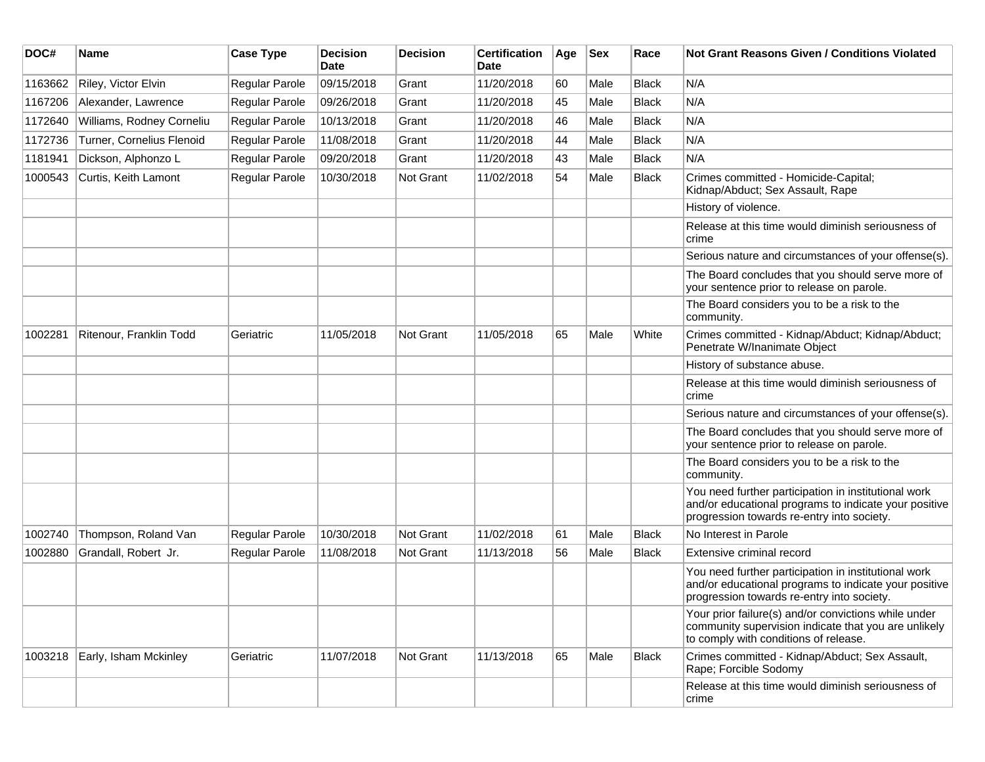| DOC#    | <b>Name</b>               | <b>Case Type</b> | <b>Decision</b><br><b>Date</b> | <b>Decision</b>  | <b>Certification</b><br>Date | Age | <b>Sex</b> | Race         | Not Grant Reasons Given / Conditions Violated                                                                                                               |
|---------|---------------------------|------------------|--------------------------------|------------------|------------------------------|-----|------------|--------------|-------------------------------------------------------------------------------------------------------------------------------------------------------------|
| 1163662 | Riley, Victor Elvin       | Regular Parole   | 09/15/2018                     | Grant            | 11/20/2018                   | 60  | Male       | Black        | N/A                                                                                                                                                         |
| 1167206 | Alexander, Lawrence       | Regular Parole   | 09/26/2018                     | Grant            | 11/20/2018                   | 45  | Male       | <b>Black</b> | N/A                                                                                                                                                         |
| 1172640 | Williams, Rodney Corneliu | Regular Parole   | 10/13/2018                     | Grant            | 11/20/2018                   | 46  | Male       | <b>Black</b> | N/A                                                                                                                                                         |
| 1172736 | Turner, Cornelius Flenoid | Regular Parole   | 11/08/2018                     | Grant            | 11/20/2018                   | 44  | Male       | Black        | N/A                                                                                                                                                         |
| 1181941 | Dickson, Alphonzo L       | Regular Parole   | 09/20/2018                     | Grant            | 11/20/2018                   | 43  | Male       | Black        | N/A                                                                                                                                                         |
| 1000543 | Curtis, Keith Lamont      | Regular Parole   | 10/30/2018                     | <b>Not Grant</b> | 11/02/2018                   | 54  | Male       | Black        | Crimes committed - Homicide-Capital;<br>Kidnap/Abduct; Sex Assault, Rape                                                                                    |
|         |                           |                  |                                |                  |                              |     |            |              | History of violence.                                                                                                                                        |
|         |                           |                  |                                |                  |                              |     |            |              | Release at this time would diminish seriousness of<br>crime                                                                                                 |
|         |                           |                  |                                |                  |                              |     |            |              | Serious nature and circumstances of your offense(s).                                                                                                        |
|         |                           |                  |                                |                  |                              |     |            |              | The Board concludes that you should serve more of<br>your sentence prior to release on parole.                                                              |
|         |                           |                  |                                |                  |                              |     |            |              | The Board considers you to be a risk to the<br>community.                                                                                                   |
| 1002281 | Ritenour, Franklin Todd   | Geriatric        | 11/05/2018                     | Not Grant        | 11/05/2018                   | 65  | Male       | White        | Crimes committed - Kidnap/Abduct; Kidnap/Abduct;<br>Penetrate W/Inanimate Object                                                                            |
|         |                           |                  |                                |                  |                              |     |            |              | History of substance abuse.                                                                                                                                 |
|         |                           |                  |                                |                  |                              |     |            |              | Release at this time would diminish seriousness of<br>crime                                                                                                 |
|         |                           |                  |                                |                  |                              |     |            |              | Serious nature and circumstances of your offense(s).                                                                                                        |
|         |                           |                  |                                |                  |                              |     |            |              | The Board concludes that you should serve more of<br>your sentence prior to release on parole.                                                              |
|         |                           |                  |                                |                  |                              |     |            |              | The Board considers you to be a risk to the<br>community.                                                                                                   |
|         |                           |                  |                                |                  |                              |     |            |              | You need further participation in institutional work<br>and/or educational programs to indicate your positive<br>progression towards re-entry into society. |
| 1002740 | Thompson, Roland Van      | Regular Parole   | 10/30/2018                     | <b>Not Grant</b> | 11/02/2018                   | 61  | Male       | Black        | No Interest in Parole                                                                                                                                       |
| 1002880 | Grandall, Robert Jr.      | Regular Parole   | 11/08/2018                     | <b>Not Grant</b> | 11/13/2018                   | 56  | Male       | Black        | Extensive criminal record                                                                                                                                   |
|         |                           |                  |                                |                  |                              |     |            |              | You need further participation in institutional work<br>and/or educational programs to indicate your positive<br>progression towards re-entry into society. |
|         |                           |                  |                                |                  |                              |     |            |              | Your prior failure(s) and/or convictions while under<br>community supervision indicate that you are unlikely<br>to comply with conditions of release.       |
| 1003218 | Early, Isham Mckinley     | Geriatric        | 11/07/2018                     | Not Grant        | 11/13/2018                   | 65  | Male       | Black        | Crimes committed - Kidnap/Abduct; Sex Assault,<br>Rape; Forcible Sodomy                                                                                     |
|         |                           |                  |                                |                  |                              |     |            |              | Release at this time would diminish seriousness of<br>crime                                                                                                 |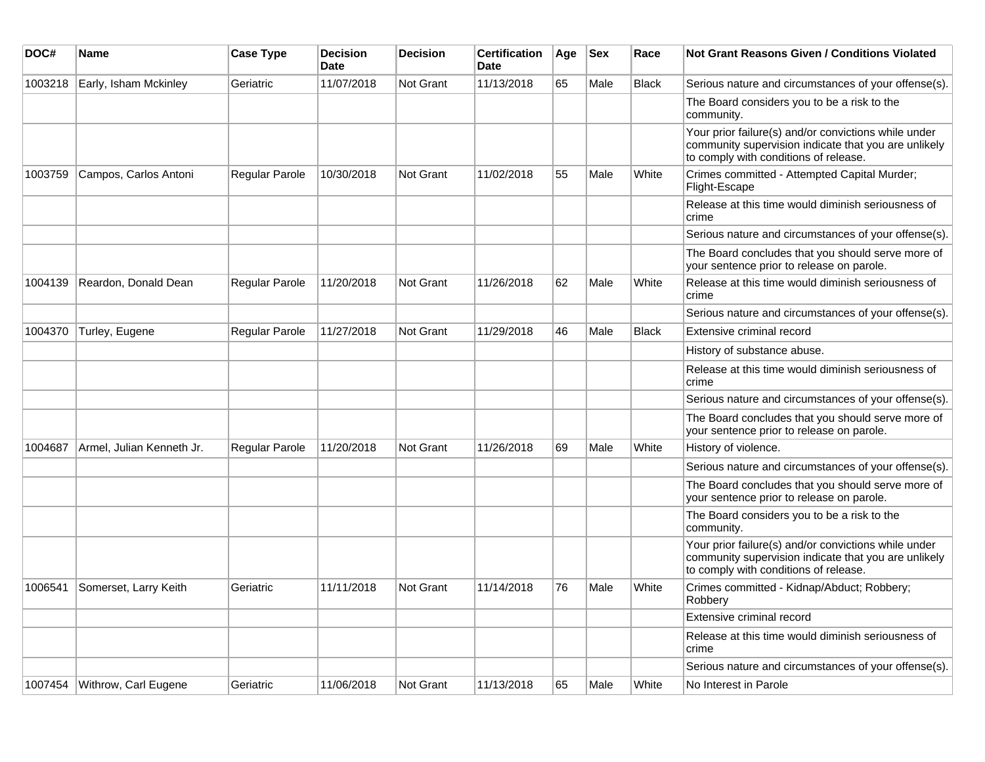| DOC#    | <b>Name</b>                    | <b>Case Type</b> | <b>Decision</b><br><b>Date</b> | <b>Decision</b>  | <b>Certification</b><br><b>Date</b> | Age | <b>Sex</b> | Race         | <b>Not Grant Reasons Given / Conditions Violated</b>                                                                                                  |
|---------|--------------------------------|------------------|--------------------------------|------------------|-------------------------------------|-----|------------|--------------|-------------------------------------------------------------------------------------------------------------------------------------------------------|
| 1003218 | Early, Isham Mckinley          | Geriatric        | 11/07/2018                     | <b>Not Grant</b> | 11/13/2018                          | 65  | Male       | <b>Black</b> | Serious nature and circumstances of your offense(s).                                                                                                  |
|         |                                |                  |                                |                  |                                     |     |            |              | The Board considers you to be a risk to the<br>community.                                                                                             |
|         |                                |                  |                                |                  |                                     |     |            |              | Your prior failure(s) and/or convictions while under<br>community supervision indicate that you are unlikely<br>to comply with conditions of release. |
| 1003759 | Campos, Carlos Antoni          | Regular Parole   | 10/30/2018                     | <b>Not Grant</b> | 11/02/2018                          | 55  | Male       | White        | Crimes committed - Attempted Capital Murder;<br>Flight-Escape                                                                                         |
|         |                                |                  |                                |                  |                                     |     |            |              | Release at this time would diminish seriousness of<br>crime                                                                                           |
|         |                                |                  |                                |                  |                                     |     |            |              | Serious nature and circumstances of your offense(s).                                                                                                  |
|         |                                |                  |                                |                  |                                     |     |            |              | The Board concludes that you should serve more of<br>your sentence prior to release on parole.                                                        |
| 1004139 | Reardon, Donald Dean           | Regular Parole   | 11/20/2018                     | Not Grant        | 11/26/2018                          | 62  | Male       | White        | Release at this time would diminish seriousness of<br>crime                                                                                           |
|         |                                |                  |                                |                  |                                     |     |            |              | Serious nature and circumstances of your offense(s).                                                                                                  |
| 1004370 | Turley, Eugene                 | Regular Parole   | 11/27/2018                     | <b>Not Grant</b> | 11/29/2018                          | 46  | Male       | <b>Black</b> | Extensive criminal record                                                                                                                             |
|         |                                |                  |                                |                  |                                     |     |            |              | History of substance abuse.                                                                                                                           |
|         |                                |                  |                                |                  |                                     |     |            |              | Release at this time would diminish seriousness of<br>crime                                                                                           |
|         |                                |                  |                                |                  |                                     |     |            |              | Serious nature and circumstances of your offense(s).                                                                                                  |
|         |                                |                  |                                |                  |                                     |     |            |              | The Board concludes that you should serve more of<br>your sentence prior to release on parole.                                                        |
| 1004687 | Armel, Julian Kenneth Jr.      | Regular Parole   | 11/20/2018                     | <b>Not Grant</b> | 11/26/2018                          | 69  | Male       | White        | History of violence.                                                                                                                                  |
|         |                                |                  |                                |                  |                                     |     |            |              | Serious nature and circumstances of your offense(s).                                                                                                  |
|         |                                |                  |                                |                  |                                     |     |            |              | The Board concludes that you should serve more of<br>your sentence prior to release on parole.                                                        |
|         |                                |                  |                                |                  |                                     |     |            |              | The Board considers you to be a risk to the<br>community.                                                                                             |
|         |                                |                  |                                |                  |                                     |     |            |              | Your prior failure(s) and/or convictions while under<br>community supervision indicate that you are unlikely<br>to comply with conditions of release. |
| 1006541 | Somerset, Larry Keith          | Geriatric        | 11/11/2018                     | Not Grant        | 11/14/2018                          | 76  | Male       | White        | Crimes committed - Kidnap/Abduct; Robbery;<br>Robbery                                                                                                 |
|         |                                |                  |                                |                  |                                     |     |            |              | Extensive criminal record                                                                                                                             |
|         |                                |                  |                                |                  |                                     |     |            |              | Release at this time would diminish seriousness of<br>crime                                                                                           |
|         |                                |                  |                                |                  |                                     |     |            |              | Serious nature and circumstances of your offense(s).                                                                                                  |
|         | 1007454   Withrow, Carl Eugene | Geriatric        | 11/06/2018                     | <b>Not Grant</b> | 11/13/2018                          | 65  | Male       | White        | No Interest in Parole                                                                                                                                 |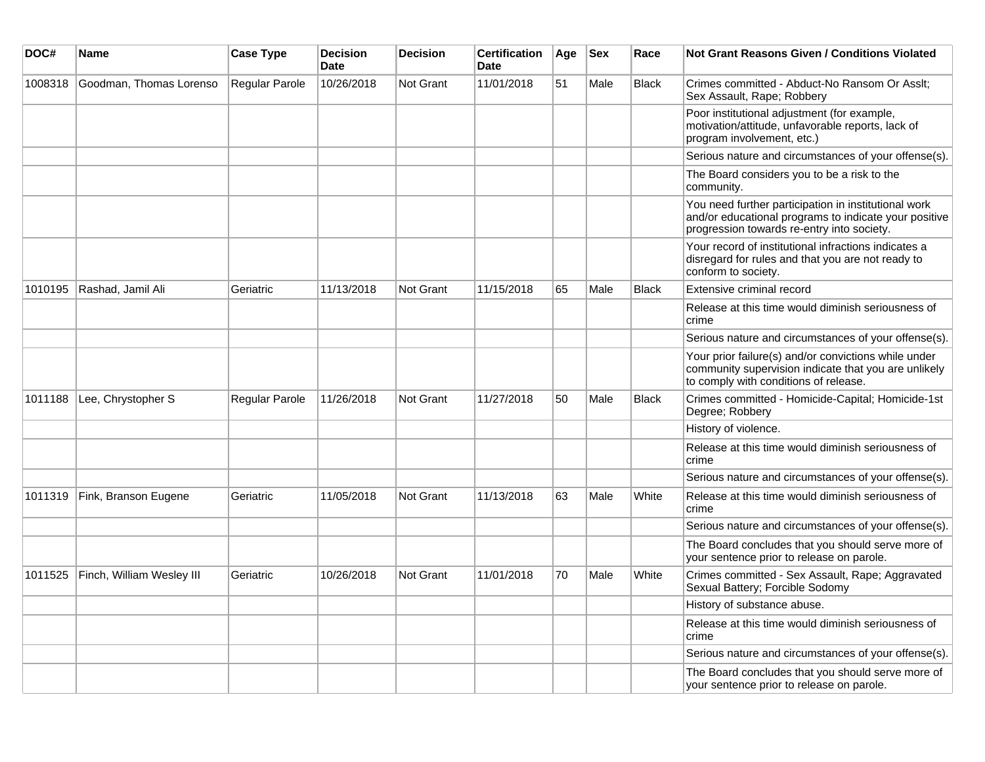| DOC#    | <b>Name</b>               | <b>Case Type</b> | <b>Decision</b><br><b>Date</b> | <b>Decision</b>  | <b>Certification</b><br><b>Date</b> | Age | <b>Sex</b> | Race         | <b>Not Grant Reasons Given / Conditions Violated</b>                                                                                                        |
|---------|---------------------------|------------------|--------------------------------|------------------|-------------------------------------|-----|------------|--------------|-------------------------------------------------------------------------------------------------------------------------------------------------------------|
| 1008318 | Goodman, Thomas Lorenso   | Regular Parole   | 10/26/2018                     | Not Grant        | 11/01/2018                          | 51  | Male       | <b>Black</b> | Crimes committed - Abduct-No Ransom Or Asslt;<br>Sex Assault, Rape; Robbery                                                                                 |
|         |                           |                  |                                |                  |                                     |     |            |              | Poor institutional adjustment (for example,<br>motivation/attitude, unfavorable reports, lack of<br>program involvement, etc.)                              |
|         |                           |                  |                                |                  |                                     |     |            |              | Serious nature and circumstances of your offense(s).                                                                                                        |
|         |                           |                  |                                |                  |                                     |     |            |              | The Board considers you to be a risk to the<br>community.                                                                                                   |
|         |                           |                  |                                |                  |                                     |     |            |              | You need further participation in institutional work<br>and/or educational programs to indicate your positive<br>progression towards re-entry into society. |
|         |                           |                  |                                |                  |                                     |     |            |              | Your record of institutional infractions indicates a<br>disregard for rules and that you are not ready to<br>conform to society.                            |
| 1010195 | Rashad, Jamil Ali         | Geriatric        | 11/13/2018                     | <b>Not Grant</b> | 11/15/2018                          | 65  | Male       | <b>Black</b> | Extensive criminal record                                                                                                                                   |
|         |                           |                  |                                |                  |                                     |     |            |              | Release at this time would diminish seriousness of<br>crime                                                                                                 |
|         |                           |                  |                                |                  |                                     |     |            |              | Serious nature and circumstances of your offense(s).                                                                                                        |
|         |                           |                  |                                |                  |                                     |     |            |              | Your prior failure(s) and/or convictions while under<br>community supervision indicate that you are unlikely<br>to comply with conditions of release.       |
| 1011188 | Lee, Chrystopher S        | Regular Parole   | 11/26/2018                     | Not Grant        | 11/27/2018                          | 50  | Male       | <b>Black</b> | Crimes committed - Homicide-Capital; Homicide-1st<br>Degree; Robbery                                                                                        |
|         |                           |                  |                                |                  |                                     |     |            |              | History of violence.                                                                                                                                        |
|         |                           |                  |                                |                  |                                     |     |            |              | Release at this time would diminish seriousness of<br>crime                                                                                                 |
|         |                           |                  |                                |                  |                                     |     |            |              | Serious nature and circumstances of your offense(s).                                                                                                        |
| 1011319 | Fink, Branson Eugene      | Geriatric        | 11/05/2018                     | Not Grant        | 11/13/2018                          | 63  | Male       | White        | Release at this time would diminish seriousness of<br>crime                                                                                                 |
|         |                           |                  |                                |                  |                                     |     |            |              | Serious nature and circumstances of your offense(s).                                                                                                        |
|         |                           |                  |                                |                  |                                     |     |            |              | The Board concludes that you should serve more of<br>your sentence prior to release on parole.                                                              |
| 1011525 | Finch, William Wesley III | Geriatric        | 10/26/2018                     | <b>Not Grant</b> | 11/01/2018                          | 70  | Male       | White        | Crimes committed - Sex Assault, Rape; Aggravated<br>Sexual Battery; Forcible Sodomy                                                                         |
|         |                           |                  |                                |                  |                                     |     |            |              | History of substance abuse.                                                                                                                                 |
|         |                           |                  |                                |                  |                                     |     |            |              | Release at this time would diminish seriousness of<br>crime                                                                                                 |
|         |                           |                  |                                |                  |                                     |     |            |              | Serious nature and circumstances of your offense(s).                                                                                                        |
|         |                           |                  |                                |                  |                                     |     |            |              | The Board concludes that you should serve more of<br>your sentence prior to release on parole.                                                              |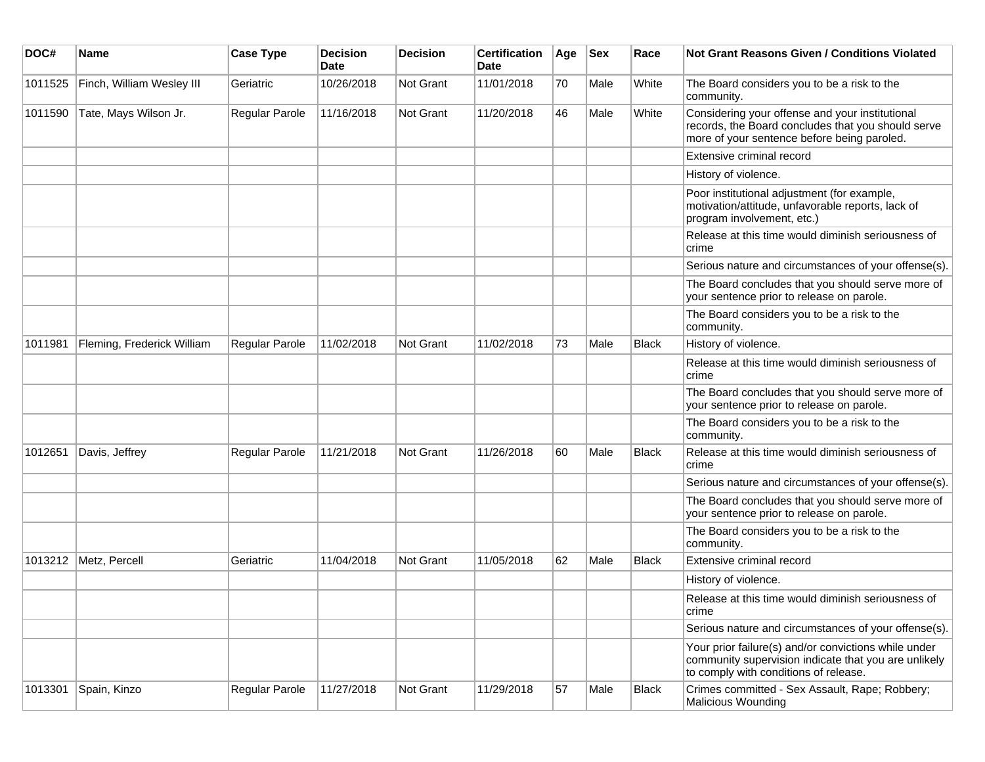| DOC#    | <b>Name</b>                | <b>Case Type</b> | Decision<br><b>Date</b> | <b>Decision</b>  | <b>Certification</b><br>Date | Age | <b>Sex</b> | Race         | <b>Not Grant Reasons Given / Conditions Violated</b>                                                                                                  |
|---------|----------------------------|------------------|-------------------------|------------------|------------------------------|-----|------------|--------------|-------------------------------------------------------------------------------------------------------------------------------------------------------|
| 1011525 | Finch, William Wesley III  | Geriatric        | 10/26/2018              | <b>Not Grant</b> | 11/01/2018                   | 70  | Male       | White        | The Board considers you to be a risk to the<br>community.                                                                                             |
| 1011590 | Tate, Mays Wilson Jr.      | Regular Parole   | 11/16/2018              | Not Grant        | 11/20/2018                   | 46  | Male       | White        | Considering your offense and your institutional<br>records, the Board concludes that you should serve<br>more of your sentence before being paroled.  |
|         |                            |                  |                         |                  |                              |     |            |              | Extensive criminal record                                                                                                                             |
|         |                            |                  |                         |                  |                              |     |            |              | History of violence.                                                                                                                                  |
|         |                            |                  |                         |                  |                              |     |            |              | Poor institutional adjustment (for example,<br>motivation/attitude, unfavorable reports, lack of<br>program involvement, etc.)                        |
|         |                            |                  |                         |                  |                              |     |            |              | Release at this time would diminish seriousness of<br>crime                                                                                           |
|         |                            |                  |                         |                  |                              |     |            |              | Serious nature and circumstances of your offense(s).                                                                                                  |
|         |                            |                  |                         |                  |                              |     |            |              | The Board concludes that you should serve more of<br>your sentence prior to release on parole.                                                        |
|         |                            |                  |                         |                  |                              |     |            |              | The Board considers you to be a risk to the<br>community.                                                                                             |
| 1011981 | Fleming, Frederick William | Regular Parole   | 11/02/2018              | <b>Not Grant</b> | 11/02/2018                   | 73  | Male       | <b>Black</b> | History of violence.                                                                                                                                  |
|         |                            |                  |                         |                  |                              |     |            |              | Release at this time would diminish seriousness of<br>crime                                                                                           |
|         |                            |                  |                         |                  |                              |     |            |              | The Board concludes that you should serve more of<br>your sentence prior to release on parole.                                                        |
|         |                            |                  |                         |                  |                              |     |            |              | The Board considers you to be a risk to the<br>community.                                                                                             |
| 1012651 | Davis, Jeffrey             | Regular Parole   | 11/21/2018              | <b>Not Grant</b> | 11/26/2018                   | 60  | Male       | <b>Black</b> | Release at this time would diminish seriousness of<br>crime                                                                                           |
|         |                            |                  |                         |                  |                              |     |            |              | Serious nature and circumstances of your offense(s).                                                                                                  |
|         |                            |                  |                         |                  |                              |     |            |              | The Board concludes that you should serve more of<br>your sentence prior to release on parole.                                                        |
|         |                            |                  |                         |                  |                              |     |            |              | The Board considers you to be a risk to the<br>community.                                                                                             |
| 1013212 | Metz, Percell              | Geriatric        | 11/04/2018              | <b>Not Grant</b> | 11/05/2018                   | 62  | Male       | <b>Black</b> | Extensive criminal record                                                                                                                             |
|         |                            |                  |                         |                  |                              |     |            |              | History of violence.                                                                                                                                  |
|         |                            |                  |                         |                  |                              |     |            |              | Release at this time would diminish seriousness of<br>crime                                                                                           |
|         |                            |                  |                         |                  |                              |     |            |              | Serious nature and circumstances of your offense(s).                                                                                                  |
|         |                            |                  |                         |                  |                              |     |            |              | Your prior failure(s) and/or convictions while under<br>community supervision indicate that you are unlikely<br>to comply with conditions of release. |
| 1013301 | Spain, Kinzo               | Regular Parole   | 11/27/2018              | Not Grant        | 11/29/2018                   | 57  | Male       | <b>Black</b> | Crimes committed - Sex Assault, Rape; Robbery;<br><b>Malicious Wounding</b>                                                                           |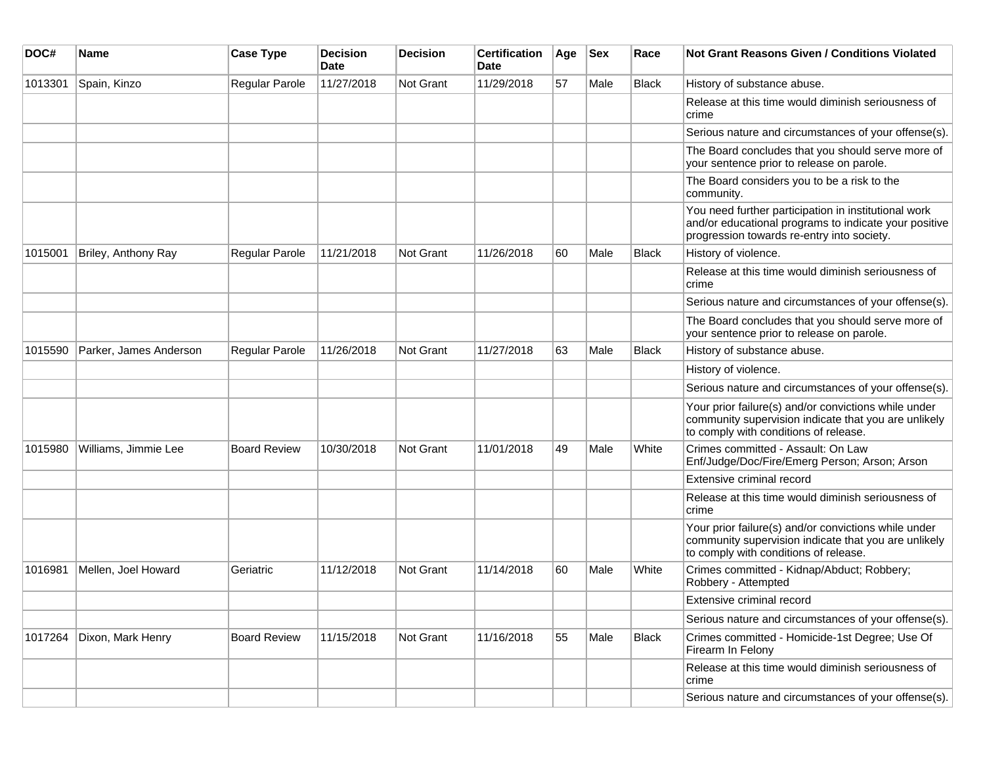| DOC#    | Name                   | <b>Case Type</b>      | <b>Decision</b><br>Date | <b>Decision</b>  | <b>Certification</b><br>Date | Age | <b>Sex</b> | Race         | <b>Not Grant Reasons Given / Conditions Violated</b>                                                                                                        |
|---------|------------------------|-----------------------|-------------------------|------------------|------------------------------|-----|------------|--------------|-------------------------------------------------------------------------------------------------------------------------------------------------------------|
| 1013301 | Spain, Kinzo           | Regular Parole        | 11/27/2018              | Not Grant        | 11/29/2018                   | 57  | Male       | <b>Black</b> | History of substance abuse.                                                                                                                                 |
|         |                        |                       |                         |                  |                              |     |            |              | Release at this time would diminish seriousness of<br>crime                                                                                                 |
|         |                        |                       |                         |                  |                              |     |            |              | Serious nature and circumstances of your offense(s).                                                                                                        |
|         |                        |                       |                         |                  |                              |     |            |              | The Board concludes that you should serve more of<br>your sentence prior to release on parole.                                                              |
|         |                        |                       |                         |                  |                              |     |            |              | The Board considers you to be a risk to the<br>community.                                                                                                   |
|         |                        |                       |                         |                  |                              |     |            |              | You need further participation in institutional work<br>and/or educational programs to indicate your positive<br>progression towards re-entry into society. |
| 1015001 | Briley, Anthony Ray    | Regular Parole        | 11/21/2018              | <b>Not Grant</b> | 11/26/2018                   | 60  | Male       | <b>Black</b> | History of violence.                                                                                                                                        |
|         |                        |                       |                         |                  |                              |     |            |              | Release at this time would diminish seriousness of<br>crime                                                                                                 |
|         |                        |                       |                         |                  |                              |     |            |              | Serious nature and circumstances of your offense(s).                                                                                                        |
|         |                        |                       |                         |                  |                              |     |            |              | The Board concludes that you should serve more of<br>your sentence prior to release on parole.                                                              |
| 1015590 | Parker, James Anderson | <b>Regular Parole</b> | 11/26/2018              | Not Grant        | 11/27/2018                   | 63  | Male       | <b>Black</b> | History of substance abuse.                                                                                                                                 |
|         |                        |                       |                         |                  |                              |     |            |              | History of violence.                                                                                                                                        |
|         |                        |                       |                         |                  |                              |     |            |              | Serious nature and circumstances of your offense(s).                                                                                                        |
|         |                        |                       |                         |                  |                              |     |            |              | Your prior failure(s) and/or convictions while under<br>community supervision indicate that you are unlikely<br>to comply with conditions of release.       |
| 1015980 | Williams, Jimmie Lee   | <b>Board Review</b>   | 10/30/2018              | Not Grant        | 11/01/2018                   | 49  | Male       | White        | Crimes committed - Assault: On Law<br>Enf/Judge/Doc/Fire/Emerg Person; Arson; Arson                                                                         |
|         |                        |                       |                         |                  |                              |     |            |              | Extensive criminal record                                                                                                                                   |
|         |                        |                       |                         |                  |                              |     |            |              | Release at this time would diminish seriousness of<br>crime                                                                                                 |
|         |                        |                       |                         |                  |                              |     |            |              | Your prior failure(s) and/or convictions while under<br>community supervision indicate that you are unlikely<br>to comply with conditions of release.       |
| 1016981 | Mellen, Joel Howard    | Geriatric             | 11/12/2018              | <b>Not Grant</b> | 11/14/2018                   | 60  | Male       | White        | Crimes committed - Kidnap/Abduct; Robbery;<br>Robbery - Attempted                                                                                           |
|         |                        |                       |                         |                  |                              |     |            |              | Extensive criminal record                                                                                                                                   |
|         |                        |                       |                         |                  |                              |     |            |              | Serious nature and circumstances of your offense(s).                                                                                                        |
| 1017264 | Dixon, Mark Henry      | <b>Board Review</b>   | 11/15/2018              | Not Grant        | 11/16/2018                   | 55  | Male       | <b>Black</b> | Crimes committed - Homicide-1st Degree; Use Of<br>Firearm In Felony                                                                                         |
|         |                        |                       |                         |                  |                              |     |            |              | Release at this time would diminish seriousness of<br>crime                                                                                                 |
|         |                        |                       |                         |                  |                              |     |            |              | Serious nature and circumstances of your offense(s).                                                                                                        |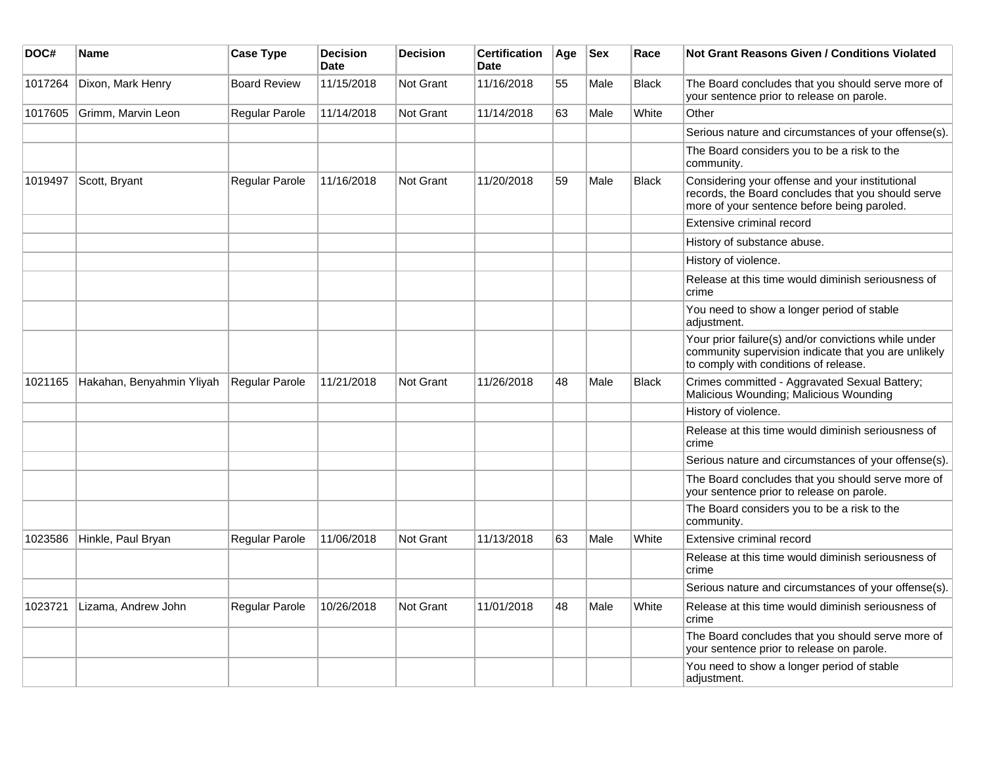| DOC#    | Name                      | <b>Case Type</b>    | <b>Decision</b><br><b>Date</b> | <b>Decision</b> | <b>Certification</b><br><b>Date</b> | Age | <b>Sex</b> | Race         | <b>Not Grant Reasons Given / Conditions Violated</b>                                                                                                  |
|---------|---------------------------|---------------------|--------------------------------|-----------------|-------------------------------------|-----|------------|--------------|-------------------------------------------------------------------------------------------------------------------------------------------------------|
| 1017264 | Dixon, Mark Henry         | <b>Board Review</b> | 11/15/2018                     | Not Grant       | 11/16/2018                          | 55  | Male       | <b>Black</b> | The Board concludes that you should serve more of<br>your sentence prior to release on parole.                                                        |
| 1017605 | Grimm, Marvin Leon        | Regular Parole      | 11/14/2018                     | Not Grant       | 11/14/2018                          | 63  | Male       | White        | Other                                                                                                                                                 |
|         |                           |                     |                                |                 |                                     |     |            |              | Serious nature and circumstances of your offense(s).                                                                                                  |
|         |                           |                     |                                |                 |                                     |     |            |              | The Board considers you to be a risk to the<br>community.                                                                                             |
| 1019497 | Scott, Bryant             | Regular Parole      | 11/16/2018                     | Not Grant       | 11/20/2018                          | 59  | Male       | <b>Black</b> | Considering your offense and your institutional<br>records, the Board concludes that you should serve<br>more of your sentence before being paroled.  |
|         |                           |                     |                                |                 |                                     |     |            |              | Extensive criminal record                                                                                                                             |
|         |                           |                     |                                |                 |                                     |     |            |              | History of substance abuse.                                                                                                                           |
|         |                           |                     |                                |                 |                                     |     |            |              | History of violence.                                                                                                                                  |
|         |                           |                     |                                |                 |                                     |     |            |              | Release at this time would diminish seriousness of<br>crime                                                                                           |
|         |                           |                     |                                |                 |                                     |     |            |              | You need to show a longer period of stable<br>adjustment.                                                                                             |
|         |                           |                     |                                |                 |                                     |     |            |              | Your prior failure(s) and/or convictions while under<br>community supervision indicate that you are unlikely<br>to comply with conditions of release. |
| 1021165 | Hakahan, Benyahmin Yliyah | Regular Parole      | 11/21/2018                     | Not Grant       | 11/26/2018                          | 48  | Male       | <b>Black</b> | Crimes committed - Aggravated Sexual Battery;<br>Malicious Wounding; Malicious Wounding                                                               |
|         |                           |                     |                                |                 |                                     |     |            |              | History of violence.                                                                                                                                  |
|         |                           |                     |                                |                 |                                     |     |            |              | Release at this time would diminish seriousness of<br>crime                                                                                           |
|         |                           |                     |                                |                 |                                     |     |            |              | Serious nature and circumstances of your offense(s).                                                                                                  |
|         |                           |                     |                                |                 |                                     |     |            |              | The Board concludes that you should serve more of<br>your sentence prior to release on parole.                                                        |
|         |                           |                     |                                |                 |                                     |     |            |              | The Board considers you to be a risk to the<br>community.                                                                                             |
| 1023586 | Hinkle, Paul Bryan        | Regular Parole      | 11/06/2018                     | Not Grant       | 11/13/2018                          | 63  | Male       | White        | Extensive criminal record                                                                                                                             |
|         |                           |                     |                                |                 |                                     |     |            |              | Release at this time would diminish seriousness of<br>crime                                                                                           |
|         |                           |                     |                                |                 |                                     |     |            |              | Serious nature and circumstances of your offense(s).                                                                                                  |
| 1023721 | Lizama, Andrew John       | Regular Parole      | 10/26/2018                     | Not Grant       | 11/01/2018                          | 48  | Male       | White        | Release at this time would diminish seriousness of<br>crime                                                                                           |
|         |                           |                     |                                |                 |                                     |     |            |              | The Board concludes that you should serve more of<br>your sentence prior to release on parole.                                                        |
|         |                           |                     |                                |                 |                                     |     |            |              | You need to show a longer period of stable<br>adjustment.                                                                                             |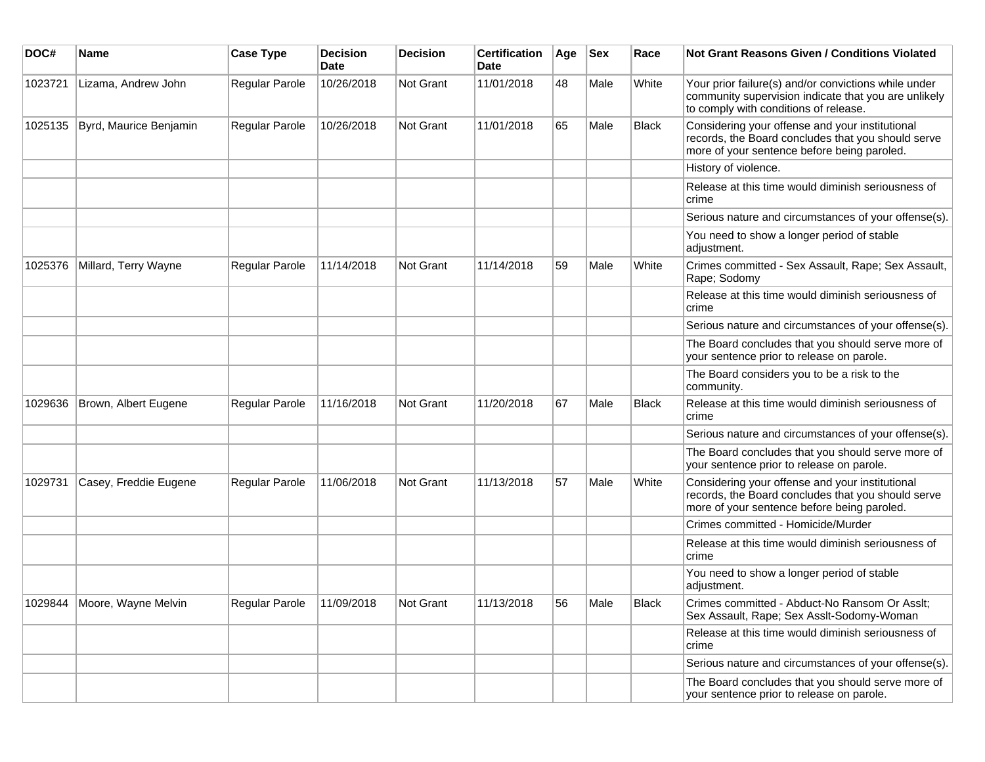| DOC#    | <b>Name</b>                 | <b>Case Type</b>      | <b>Decision</b><br><b>Date</b> | <b>Decision</b> | <b>Certification</b><br>Date | Age | <b>Sex</b> | Race         | Not Grant Reasons Given / Conditions Violated                                                                                                         |
|---------|-----------------------------|-----------------------|--------------------------------|-----------------|------------------------------|-----|------------|--------------|-------------------------------------------------------------------------------------------------------------------------------------------------------|
| 1023721 | Lizama, Andrew John         | Regular Parole        | 10/26/2018                     | Not Grant       | 11/01/2018                   | 48  | Male       | White        | Your prior failure(s) and/or convictions while under<br>community supervision indicate that you are unlikely<br>to comply with conditions of release. |
| 1025135 | Byrd, Maurice Benjamin      | Regular Parole        | 10/26/2018                     | Not Grant       | 11/01/2018                   | 65  | Male       | Black        | Considering your offense and your institutional<br>records, the Board concludes that you should serve<br>more of your sentence before being paroled.  |
|         |                             |                       |                                |                 |                              |     |            |              | History of violence.                                                                                                                                  |
|         |                             |                       |                                |                 |                              |     |            |              | Release at this time would diminish seriousness of<br>crime                                                                                           |
|         |                             |                       |                                |                 |                              |     |            |              | Serious nature and circumstances of your offense(s).                                                                                                  |
|         |                             |                       |                                |                 |                              |     |            |              | You need to show a longer period of stable<br>adjustment.                                                                                             |
| 1025376 | Millard, Terry Wayne        | <b>Regular Parole</b> | 11/14/2018                     | Not Grant       | 11/14/2018                   | 59  | Male       | White        | Crimes committed - Sex Assault, Rape; Sex Assault,<br>Rape; Sodomy                                                                                    |
|         |                             |                       |                                |                 |                              |     |            |              | Release at this time would diminish seriousness of<br>crime                                                                                           |
|         |                             |                       |                                |                 |                              |     |            |              | Serious nature and circumstances of your offense(s).                                                                                                  |
|         |                             |                       |                                |                 |                              |     |            |              | The Board concludes that you should serve more of<br>your sentence prior to release on parole.                                                        |
|         |                             |                       |                                |                 |                              |     |            |              | The Board considers you to be a risk to the<br>community.                                                                                             |
| 1029636 | Brown, Albert Eugene        | Regular Parole        | 11/16/2018                     | Not Grant       | 11/20/2018                   | 67  | Male       | <b>Black</b> | Release at this time would diminish seriousness of<br>crime                                                                                           |
|         |                             |                       |                                |                 |                              |     |            |              | Serious nature and circumstances of your offense(s).                                                                                                  |
|         |                             |                       |                                |                 |                              |     |            |              | The Board concludes that you should serve more of<br>your sentence prior to release on parole.                                                        |
| 1029731 | Casey, Freddie Eugene       | Regular Parole        | 11/06/2018                     | Not Grant       | 11/13/2018                   | 57  | Male       | White        | Considering your offense and your institutional<br>records, the Board concludes that you should serve<br>more of your sentence before being paroled.  |
|         |                             |                       |                                |                 |                              |     |            |              | Crimes committed - Homicide/Murder                                                                                                                    |
|         |                             |                       |                                |                 |                              |     |            |              | Release at this time would diminish seriousness of<br>crime                                                                                           |
|         |                             |                       |                                |                 |                              |     |            |              | You need to show a longer period of stable<br>adjustment.                                                                                             |
|         | 1029844 Moore, Wayne Melvin | Regular Parole        | 11/09/2018                     | Not Grant       | 11/13/2018                   | 56  | Male       | Black        | Crimes committed - Abduct-No Ransom Or Asslt;<br>Sex Assault, Rape; Sex Asslt-Sodomy-Woman                                                            |
|         |                             |                       |                                |                 |                              |     |            |              | Release at this time would diminish seriousness of<br>crime                                                                                           |
|         |                             |                       |                                |                 |                              |     |            |              | Serious nature and circumstances of your offense(s).                                                                                                  |
|         |                             |                       |                                |                 |                              |     |            |              | The Board concludes that you should serve more of<br>your sentence prior to release on parole.                                                        |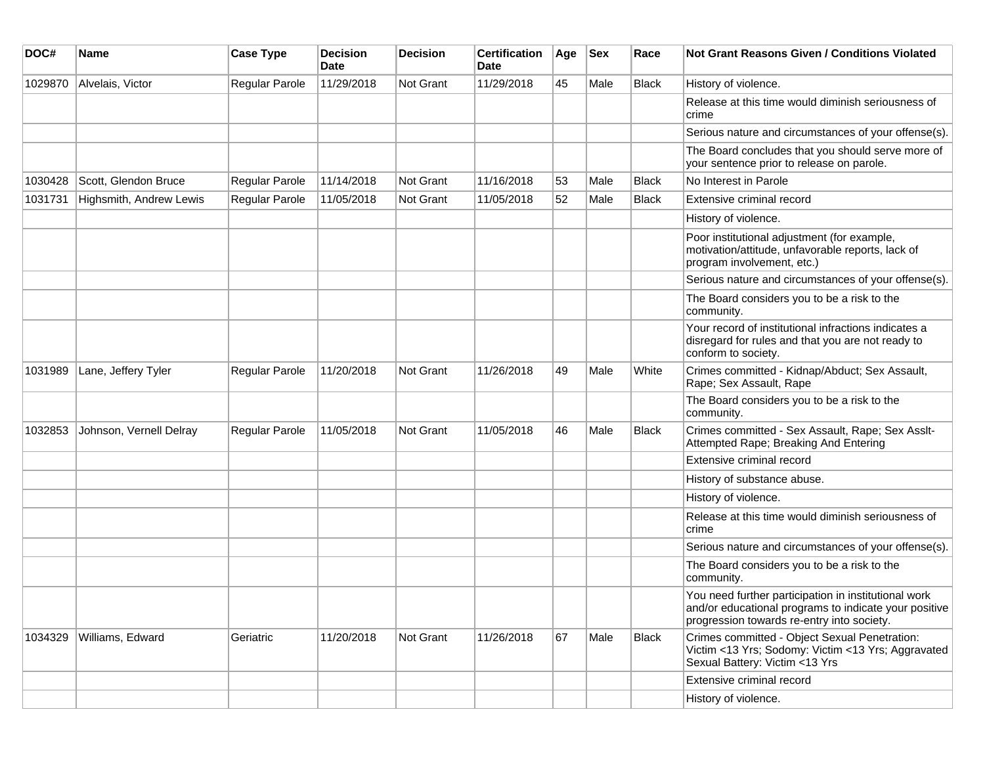| DOC#    | <b>Name</b>             | <b>Case Type</b> | Decision<br><b>Date</b> | <b>Decision</b>  | <b>Certification</b><br>Date | Age | <b>Sex</b> | Race         | <b>Not Grant Reasons Given / Conditions Violated</b>                                                                                                        |
|---------|-------------------------|------------------|-------------------------|------------------|------------------------------|-----|------------|--------------|-------------------------------------------------------------------------------------------------------------------------------------------------------------|
| 1029870 | Alvelais, Victor        | Regular Parole   | 11/29/2018              | Not Grant        | 11/29/2018                   | 45  | Male       | Black        | History of violence.                                                                                                                                        |
|         |                         |                  |                         |                  |                              |     |            |              | Release at this time would diminish seriousness of<br>crime                                                                                                 |
|         |                         |                  |                         |                  |                              |     |            |              | Serious nature and circumstances of your offense(s).                                                                                                        |
|         |                         |                  |                         |                  |                              |     |            |              | The Board concludes that you should serve more of<br>your sentence prior to release on parole.                                                              |
| 1030428 | Scott, Glendon Bruce    | Regular Parole   | 11/14/2018              | Not Grant        | 11/16/2018                   | 53  | Male       | <b>Black</b> | No Interest in Parole                                                                                                                                       |
| 1031731 | Highsmith, Andrew Lewis | Regular Parole   | 11/05/2018              | <b>Not Grant</b> | 11/05/2018                   | 52  | Male       | Black        | Extensive criminal record                                                                                                                                   |
|         |                         |                  |                         |                  |                              |     |            |              | History of violence.                                                                                                                                        |
|         |                         |                  |                         |                  |                              |     |            |              | Poor institutional adjustment (for example,<br>motivation/attitude, unfavorable reports, lack of<br>program involvement, etc.)                              |
|         |                         |                  |                         |                  |                              |     |            |              | Serious nature and circumstances of your offense(s).                                                                                                        |
|         |                         |                  |                         |                  |                              |     |            |              | The Board considers you to be a risk to the<br>community.                                                                                                   |
|         |                         |                  |                         |                  |                              |     |            |              | Your record of institutional infractions indicates a<br>disregard for rules and that you are not ready to<br>conform to society.                            |
| 1031989 | Lane, Jeffery Tyler     | Regular Parole   | 11/20/2018              | Not Grant        | 11/26/2018                   | 49  | Male       | White        | Crimes committed - Kidnap/Abduct; Sex Assault,<br>Rape; Sex Assault, Rape                                                                                   |
|         |                         |                  |                         |                  |                              |     |            |              | The Board considers you to be a risk to the<br>community.                                                                                                   |
| 1032853 | Johnson, Vernell Delray | Regular Parole   | 11/05/2018              | Not Grant        | 11/05/2018                   | 46  | Male       | <b>Black</b> | Crimes committed - Sex Assault, Rape; Sex Asslt-<br>Attempted Rape; Breaking And Entering                                                                   |
|         |                         |                  |                         |                  |                              |     |            |              | Extensive criminal record                                                                                                                                   |
|         |                         |                  |                         |                  |                              |     |            |              | History of substance abuse.                                                                                                                                 |
|         |                         |                  |                         |                  |                              |     |            |              | History of violence.                                                                                                                                        |
|         |                         |                  |                         |                  |                              |     |            |              | Release at this time would diminish seriousness of<br>crime                                                                                                 |
|         |                         |                  |                         |                  |                              |     |            |              | Serious nature and circumstances of your offense(s).                                                                                                        |
|         |                         |                  |                         |                  |                              |     |            |              | The Board considers you to be a risk to the<br>community.                                                                                                   |
|         |                         |                  |                         |                  |                              |     |            |              | You need further participation in institutional work<br>and/or educational programs to indicate your positive<br>progression towards re-entry into society. |
| 1034329 | Williams, Edward        | Geriatric        | 11/20/2018              | Not Grant        | 11/26/2018                   | 67  | Male       | <b>Black</b> | Crimes committed - Object Sexual Penetration:<br>Victim <13 Yrs; Sodomy: Victim <13 Yrs; Aggravated<br>Sexual Battery: Victim <13 Yrs                       |
|         |                         |                  |                         |                  |                              |     |            |              | Extensive criminal record                                                                                                                                   |
|         |                         |                  |                         |                  |                              |     |            |              | History of violence.                                                                                                                                        |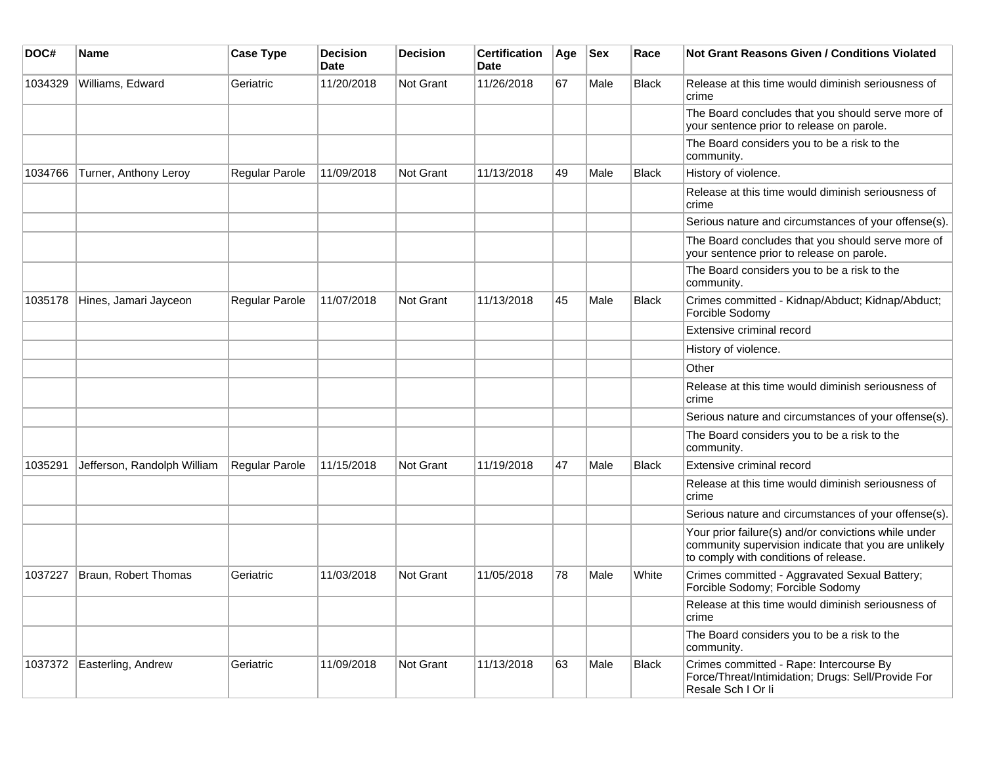| DOC#    | Name                        | <b>Case Type</b>      | <b>Decision</b><br>Date | <b>Decision</b> | <b>Certification</b><br>Date | Age | <b>Sex</b> | Race         | Not Grant Reasons Given / Conditions Violated                                                                                                         |
|---------|-----------------------------|-----------------------|-------------------------|-----------------|------------------------------|-----|------------|--------------|-------------------------------------------------------------------------------------------------------------------------------------------------------|
| 1034329 | Williams, Edward            | Geriatric             | 11/20/2018              | Not Grant       | 11/26/2018                   | 67  | Male       | <b>Black</b> | Release at this time would diminish seriousness of<br>crime                                                                                           |
|         |                             |                       |                         |                 |                              |     |            |              | The Board concludes that you should serve more of<br>your sentence prior to release on parole.                                                        |
|         |                             |                       |                         |                 |                              |     |            |              | The Board considers you to be a risk to the<br>community.                                                                                             |
| 1034766 | Turner, Anthony Leroy       | <b>Regular Parole</b> | 11/09/2018              | Not Grant       | 11/13/2018                   | 49  | Male       | Black        | History of violence.                                                                                                                                  |
|         |                             |                       |                         |                 |                              |     |            |              | Release at this time would diminish seriousness of<br>crime                                                                                           |
|         |                             |                       |                         |                 |                              |     |            |              | Serious nature and circumstances of your offense(s).                                                                                                  |
|         |                             |                       |                         |                 |                              |     |            |              | The Board concludes that you should serve more of<br>your sentence prior to release on parole.                                                        |
|         |                             |                       |                         |                 |                              |     |            |              | The Board considers you to be a risk to the<br>community.                                                                                             |
| 1035178 | Hines, Jamari Jayceon       | <b>Regular Parole</b> | 11/07/2018              | Not Grant       | 11/13/2018                   | 45  | Male       | <b>Black</b> | Crimes committed - Kidnap/Abduct; Kidnap/Abduct;<br>Forcible Sodomy                                                                                   |
|         |                             |                       |                         |                 |                              |     |            |              | Extensive criminal record                                                                                                                             |
|         |                             |                       |                         |                 |                              |     |            |              | History of violence.                                                                                                                                  |
|         |                             |                       |                         |                 |                              |     |            |              | Other                                                                                                                                                 |
|         |                             |                       |                         |                 |                              |     |            |              | Release at this time would diminish seriousness of<br>crime                                                                                           |
|         |                             |                       |                         |                 |                              |     |            |              | Serious nature and circumstances of your offense(s).                                                                                                  |
|         |                             |                       |                         |                 |                              |     |            |              | The Board considers you to be a risk to the<br>community.                                                                                             |
| 1035291 | Jefferson, Randolph William | <b>Regular Parole</b> | 11/15/2018              | Not Grant       | 11/19/2018                   | 47  | Male       | <b>Black</b> | <b>Extensive criminal record</b>                                                                                                                      |
|         |                             |                       |                         |                 |                              |     |            |              | Release at this time would diminish seriousness of<br>crime                                                                                           |
|         |                             |                       |                         |                 |                              |     |            |              | Serious nature and circumstances of your offense(s).                                                                                                  |
|         |                             |                       |                         |                 |                              |     |            |              | Your prior failure(s) and/or convictions while under<br>community supervision indicate that you are unlikely<br>to comply with conditions of release. |
| 1037227 | Braun, Robert Thomas        | Geriatric             | 11/03/2018              | Not Grant       | 11/05/2018                   | 78  | Male       | White        | Crimes committed - Aggravated Sexual Battery;<br>Forcible Sodomy; Forcible Sodomy                                                                     |
|         |                             |                       |                         |                 |                              |     |            |              | Release at this time would diminish seriousness of<br>crime                                                                                           |
|         |                             |                       |                         |                 |                              |     |            |              | The Board considers you to be a risk to the<br>community.                                                                                             |
| 1037372 | Easterling, Andrew          | Geriatric             | 11/09/2018              | Not Grant       | 11/13/2018                   | 63  | Male       | Black        | Crimes committed - Rape: Intercourse By<br>Force/Threat/Intimidation; Drugs: Sell/Provide For<br>Resale Sch I Or li                                   |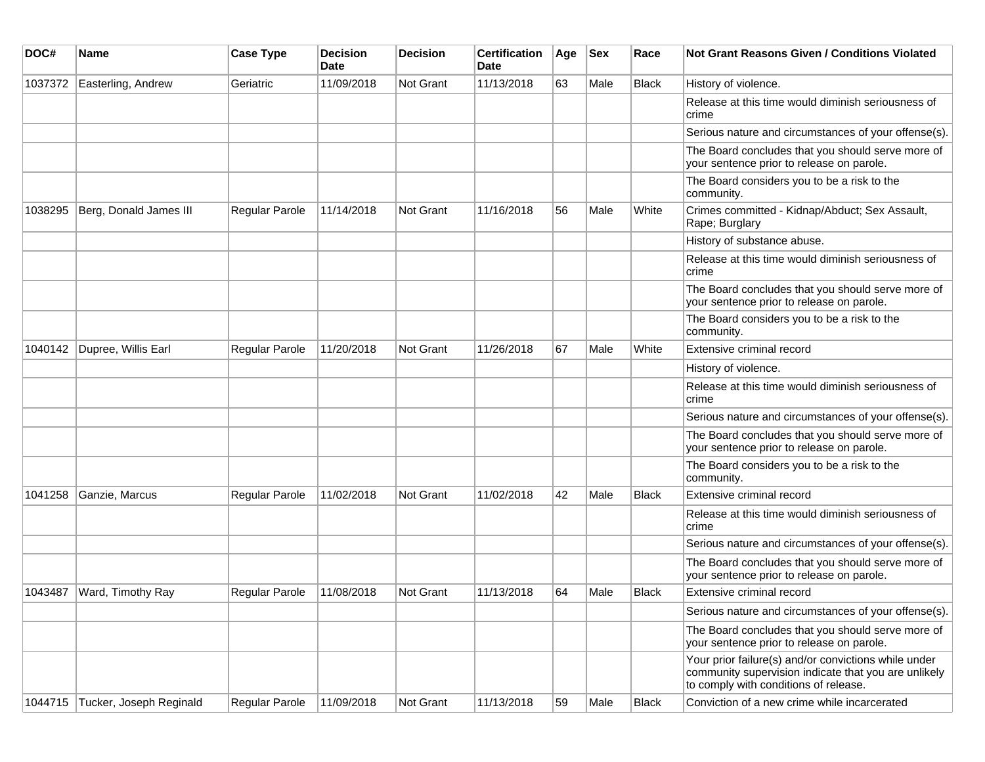| DOC#    | Name                    | <b>Case Type</b> | <b>Decision</b><br><b>Date</b> | <b>Decision</b> | <b>Certification</b><br>Date | Age | <b>Sex</b> | Race         | Not Grant Reasons Given / Conditions Violated                                                                                                         |
|---------|-------------------------|------------------|--------------------------------|-----------------|------------------------------|-----|------------|--------------|-------------------------------------------------------------------------------------------------------------------------------------------------------|
| 1037372 | Easterling, Andrew      | Geriatric        | 11/09/2018                     | Not Grant       | 11/13/2018                   | 63  | Male       | <b>Black</b> | History of violence.                                                                                                                                  |
|         |                         |                  |                                |                 |                              |     |            |              | Release at this time would diminish seriousness of<br>crime                                                                                           |
|         |                         |                  |                                |                 |                              |     |            |              | Serious nature and circumstances of your offense(s).                                                                                                  |
|         |                         |                  |                                |                 |                              |     |            |              | The Board concludes that you should serve more of<br>your sentence prior to release on parole.                                                        |
|         |                         |                  |                                |                 |                              |     |            |              | The Board considers you to be a risk to the<br>community.                                                                                             |
| 1038295 | Berg, Donald James III  | Regular Parole   | 11/14/2018                     | Not Grant       | 11/16/2018                   | 56  | Male       | White        | Crimes committed - Kidnap/Abduct; Sex Assault,<br>Rape; Burglary                                                                                      |
|         |                         |                  |                                |                 |                              |     |            |              | History of substance abuse.                                                                                                                           |
|         |                         |                  |                                |                 |                              |     |            |              | Release at this time would diminish seriousness of<br>crime                                                                                           |
|         |                         |                  |                                |                 |                              |     |            |              | The Board concludes that you should serve more of<br>your sentence prior to release on parole.                                                        |
|         |                         |                  |                                |                 |                              |     |            |              | The Board considers you to be a risk to the<br>community.                                                                                             |
| 1040142 | Dupree, Willis Earl     | Regular Parole   | 11/20/2018                     | Not Grant       | 11/26/2018                   | 67  | Male       | White        | Extensive criminal record                                                                                                                             |
|         |                         |                  |                                |                 |                              |     |            |              | History of violence.                                                                                                                                  |
|         |                         |                  |                                |                 |                              |     |            |              | Release at this time would diminish seriousness of<br>crime                                                                                           |
|         |                         |                  |                                |                 |                              |     |            |              | Serious nature and circumstances of your offense(s).                                                                                                  |
|         |                         |                  |                                |                 |                              |     |            |              | The Board concludes that you should serve more of<br>your sentence prior to release on parole.                                                        |
|         |                         |                  |                                |                 |                              |     |            |              | The Board considers you to be a risk to the<br>community.                                                                                             |
| 1041258 | Ganzie, Marcus          | Regular Parole   | 11/02/2018                     | Not Grant       | 11/02/2018                   | 42  | Male       | <b>Black</b> | Extensive criminal record                                                                                                                             |
|         |                         |                  |                                |                 |                              |     |            |              | Release at this time would diminish seriousness of<br>crime                                                                                           |
|         |                         |                  |                                |                 |                              |     |            |              | Serious nature and circumstances of your offense(s).                                                                                                  |
|         |                         |                  |                                |                 |                              |     |            |              | The Board concludes that you should serve more of<br>your sentence prior to release on parole.                                                        |
| 1043487 | Ward, Timothy Ray       | Regular Parole   | 11/08/2018                     | Not Grant       | 11/13/2018                   | 64  | Male       | <b>Black</b> | Extensive criminal record                                                                                                                             |
|         |                         |                  |                                |                 |                              |     |            |              | Serious nature and circumstances of your offense(s).                                                                                                  |
|         |                         |                  |                                |                 |                              |     |            |              | The Board concludes that you should serve more of<br>your sentence prior to release on parole.                                                        |
|         |                         |                  |                                |                 |                              |     |            |              | Your prior failure(s) and/or convictions while under<br>community supervision indicate that you are unlikely<br>to comply with conditions of release. |
| 1044715 | Tucker, Joseph Reginald | Regular Parole   | 11/09/2018                     | Not Grant       | 11/13/2018                   | 59  | Male       | Black        | Conviction of a new crime while incarcerated                                                                                                          |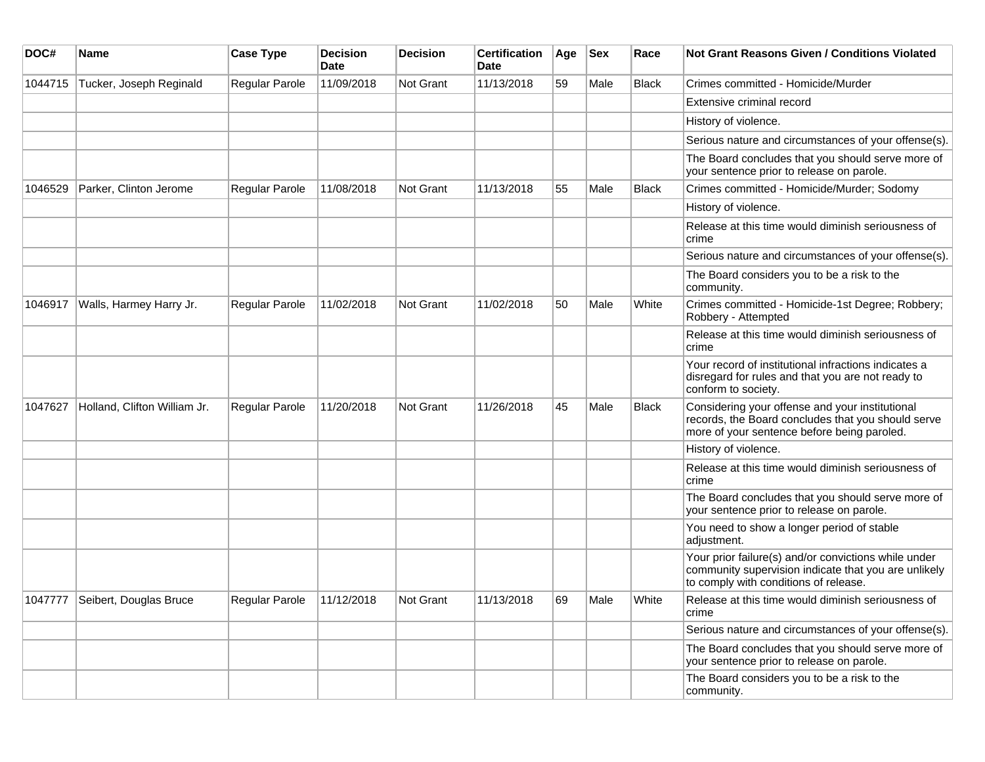| DOC#    | Name                           | <b>Case Type</b> | <b>Decision</b><br>Date | <b>Decision</b>  | <b>Certification</b><br><b>Date</b> | Age | <b>Sex</b> | Race         | <b>Not Grant Reasons Given / Conditions Violated</b>                                                                                                  |
|---------|--------------------------------|------------------|-------------------------|------------------|-------------------------------------|-----|------------|--------------|-------------------------------------------------------------------------------------------------------------------------------------------------------|
| 1044715 | Tucker, Joseph Reginald        | Regular Parole   | 11/09/2018              | Not Grant        | 11/13/2018                          | 59  | Male       | <b>Black</b> | Crimes committed - Homicide/Murder                                                                                                                    |
|         |                                |                  |                         |                  |                                     |     |            |              | Extensive criminal record                                                                                                                             |
|         |                                |                  |                         |                  |                                     |     |            |              | History of violence.                                                                                                                                  |
|         |                                |                  |                         |                  |                                     |     |            |              | Serious nature and circumstances of your offense(s).                                                                                                  |
|         |                                |                  |                         |                  |                                     |     |            |              | The Board concludes that you should serve more of<br>your sentence prior to release on parole.                                                        |
| 1046529 | Parker, Clinton Jerome         | Regular Parole   | 11/08/2018              | <b>Not Grant</b> | 11/13/2018                          | 55  | Male       | <b>Black</b> | Crimes committed - Homicide/Murder; Sodomy                                                                                                            |
|         |                                |                  |                         |                  |                                     |     |            |              | History of violence.                                                                                                                                  |
|         |                                |                  |                         |                  |                                     |     |            |              | Release at this time would diminish seriousness of<br>crime                                                                                           |
|         |                                |                  |                         |                  |                                     |     |            |              | Serious nature and circumstances of your offense(s).                                                                                                  |
|         |                                |                  |                         |                  |                                     |     |            |              | The Board considers you to be a risk to the<br>community.                                                                                             |
| 1046917 | Walls, Harmey Harry Jr.        | Regular Parole   | 11/02/2018              | Not Grant        | 11/02/2018                          | 50  | Male       | White        | Crimes committed - Homicide-1st Degree; Robbery;<br>Robbery - Attempted                                                                               |
|         |                                |                  |                         |                  |                                     |     |            |              | Release at this time would diminish seriousness of<br>crime                                                                                           |
|         |                                |                  |                         |                  |                                     |     |            |              | Your record of institutional infractions indicates a<br>disregard for rules and that you are not ready to<br>conform to society.                      |
| 1047627 | Holland, Clifton William Jr.   | Regular Parole   | 11/20/2018              | <b>Not Grant</b> | 11/26/2018                          | 45  | Male       | <b>Black</b> | Considering your offense and your institutional<br>records, the Board concludes that you should serve<br>more of your sentence before being paroled.  |
|         |                                |                  |                         |                  |                                     |     |            |              | History of violence.                                                                                                                                  |
|         |                                |                  |                         |                  |                                     |     |            |              | Release at this time would diminish seriousness of<br>crime                                                                                           |
|         |                                |                  |                         |                  |                                     |     |            |              | The Board concludes that you should serve more of<br>your sentence prior to release on parole.                                                        |
|         |                                |                  |                         |                  |                                     |     |            |              | You need to show a longer period of stable<br>adjustment.                                                                                             |
|         |                                |                  |                         |                  |                                     |     |            |              | Your prior failure(s) and/or convictions while under<br>community supervision indicate that you are unlikely<br>to comply with conditions of release. |
|         | 1047777 Seibert, Douglas Bruce | Regular Parole   | 11/12/2018              | Not Grant        | 11/13/2018                          | 69  | Male       | White        | Release at this time would diminish seriousness of<br>crime                                                                                           |
|         |                                |                  |                         |                  |                                     |     |            |              | Serious nature and circumstances of your offense(s).                                                                                                  |
|         |                                |                  |                         |                  |                                     |     |            |              | The Board concludes that you should serve more of<br>your sentence prior to release on parole.                                                        |
|         |                                |                  |                         |                  |                                     |     |            |              | The Board considers you to be a risk to the<br>community.                                                                                             |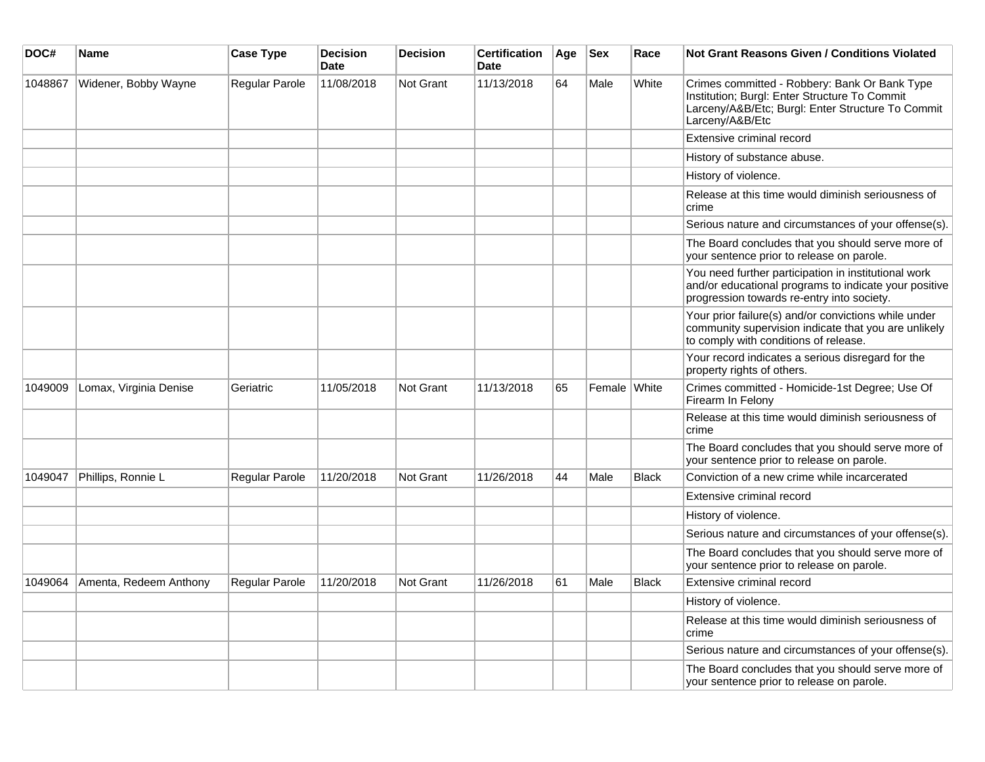| DOC#    | <b>Name</b>            | <b>Case Type</b> | <b>Decision</b><br><b>Date</b> | <b>Decision</b>  | <b>Certification</b><br><b>Date</b> | Age | $ $ Sex      | Race         | Not Grant Reasons Given / Conditions Violated                                                                                                                          |
|---------|------------------------|------------------|--------------------------------|------------------|-------------------------------------|-----|--------------|--------------|------------------------------------------------------------------------------------------------------------------------------------------------------------------------|
| 1048867 | Widener, Bobby Wayne   | Regular Parole   | 11/08/2018                     | Not Grant        | 11/13/2018                          | 64  | Male         | White        | Crimes committed - Robbery: Bank Or Bank Type<br>Institution; Burgl: Enter Structure To Commit<br>Larceny/A&B/Etc; Burgl: Enter Structure To Commit<br>Larceny/A&B/Etc |
|         |                        |                  |                                |                  |                                     |     |              |              | Extensive criminal record                                                                                                                                              |
|         |                        |                  |                                |                  |                                     |     |              |              | History of substance abuse.                                                                                                                                            |
|         |                        |                  |                                |                  |                                     |     |              |              | History of violence.                                                                                                                                                   |
|         |                        |                  |                                |                  |                                     |     |              |              | Release at this time would diminish seriousness of<br>crime                                                                                                            |
|         |                        |                  |                                |                  |                                     |     |              |              | Serious nature and circumstances of your offense(s).                                                                                                                   |
|         |                        |                  |                                |                  |                                     |     |              |              | The Board concludes that you should serve more of<br>your sentence prior to release on parole.                                                                         |
|         |                        |                  |                                |                  |                                     |     |              |              | You need further participation in institutional work<br>and/or educational programs to indicate your positive<br>progression towards re-entry into society.            |
|         |                        |                  |                                |                  |                                     |     |              |              | Your prior failure(s) and/or convictions while under<br>community supervision indicate that you are unlikely<br>to comply with conditions of release.                  |
|         |                        |                  |                                |                  |                                     |     |              |              | Your record indicates a serious disregard for the<br>property rights of others.                                                                                        |
| 1049009 | Lomax, Virginia Denise | Geriatric        | 11/05/2018                     | Not Grant        | 11/13/2018                          | 65  | Female White |              | Crimes committed - Homicide-1st Degree; Use Of<br>Firearm In Felony                                                                                                    |
|         |                        |                  |                                |                  |                                     |     |              |              | Release at this time would diminish seriousness of<br>crime                                                                                                            |
|         |                        |                  |                                |                  |                                     |     |              |              | The Board concludes that you should serve more of<br>your sentence prior to release on parole.                                                                         |
| 1049047 | Phillips, Ronnie L     | Regular Parole   | 11/20/2018                     | <b>Not Grant</b> | 11/26/2018                          | 44  | Male         | <b>Black</b> | Conviction of a new crime while incarcerated                                                                                                                           |
|         |                        |                  |                                |                  |                                     |     |              |              | Extensive criminal record                                                                                                                                              |
|         |                        |                  |                                |                  |                                     |     |              |              | History of violence.                                                                                                                                                   |
|         |                        |                  |                                |                  |                                     |     |              |              | Serious nature and circumstances of your offense(s).                                                                                                                   |
|         |                        |                  |                                |                  |                                     |     |              |              | The Board concludes that you should serve more of<br>your sentence prior to release on parole.                                                                         |
| 1049064 | Amenta, Redeem Anthony | Regular Parole   | 11/20/2018                     | Not Grant        | 11/26/2018                          | 61  | Male         | <b>Black</b> | Extensive criminal record                                                                                                                                              |
|         |                        |                  |                                |                  |                                     |     |              |              | History of violence.                                                                                                                                                   |
|         |                        |                  |                                |                  |                                     |     |              |              | Release at this time would diminish seriousness of<br>crime                                                                                                            |
|         |                        |                  |                                |                  |                                     |     |              |              | Serious nature and circumstances of your offense(s).                                                                                                                   |
|         |                        |                  |                                |                  |                                     |     |              |              | The Board concludes that you should serve more of<br>your sentence prior to release on parole.                                                                         |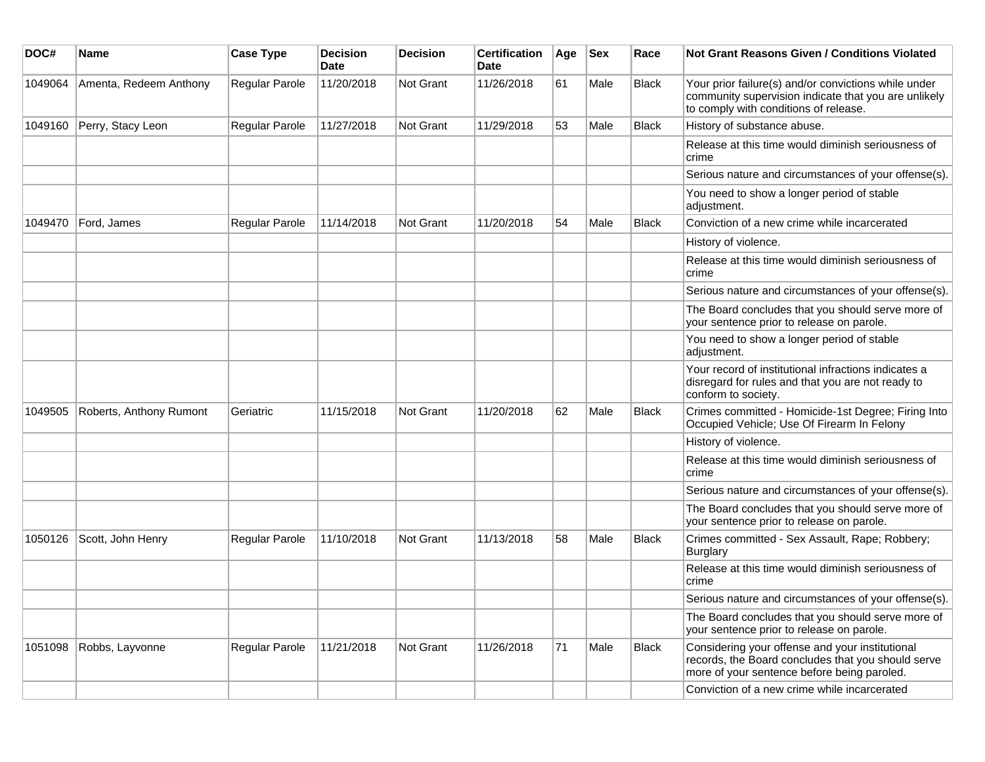| DOC#    | <b>Name</b>             | <b>Case Type</b> | <b>Decision</b><br><b>Date</b> | <b>Decision</b> | <b>Certification</b><br>Date | Age | <b>Sex</b> | Race         | Not Grant Reasons Given / Conditions Violated                                                                                                         |
|---------|-------------------------|------------------|--------------------------------|-----------------|------------------------------|-----|------------|--------------|-------------------------------------------------------------------------------------------------------------------------------------------------------|
| 1049064 | Amenta, Redeem Anthony  | Regular Parole   | 11/20/2018                     | Not Grant       | 11/26/2018                   | 61  | Male       | <b>Black</b> | Your prior failure(s) and/or convictions while under<br>community supervision indicate that you are unlikely<br>to comply with conditions of release. |
| 1049160 | Perry, Stacy Leon       | Regular Parole   | 11/27/2018                     | Not Grant       | 11/29/2018                   | 53  | Male       | <b>Black</b> | History of substance abuse.                                                                                                                           |
|         |                         |                  |                                |                 |                              |     |            |              | Release at this time would diminish seriousness of<br>crime                                                                                           |
|         |                         |                  |                                |                 |                              |     |            |              | Serious nature and circumstances of your offense(s).                                                                                                  |
|         |                         |                  |                                |                 |                              |     |            |              | You need to show a longer period of stable<br>adjustment.                                                                                             |
| 1049470 | Ford, James             | Regular Parole   | 11/14/2018                     | Not Grant       | 11/20/2018                   | 54  | Male       | <b>Black</b> | Conviction of a new crime while incarcerated                                                                                                          |
|         |                         |                  |                                |                 |                              |     |            |              | History of violence.                                                                                                                                  |
|         |                         |                  |                                |                 |                              |     |            |              | Release at this time would diminish seriousness of<br>crime                                                                                           |
|         |                         |                  |                                |                 |                              |     |            |              | Serious nature and circumstances of your offense(s).                                                                                                  |
|         |                         |                  |                                |                 |                              |     |            |              | The Board concludes that you should serve more of<br>your sentence prior to release on parole.                                                        |
|         |                         |                  |                                |                 |                              |     |            |              | You need to show a longer period of stable<br>adjustment.                                                                                             |
|         |                         |                  |                                |                 |                              |     |            |              | Your record of institutional infractions indicates a<br>disregard for rules and that you are not ready to<br>conform to society.                      |
| 1049505 | Roberts, Anthony Rumont | Geriatric        | 11/15/2018                     | Not Grant       | 11/20/2018                   | 62  | Male       | <b>Black</b> | Crimes committed - Homicide-1st Degree; Firing Into<br>Occupied Vehicle; Use Of Firearm In Felony                                                     |
|         |                         |                  |                                |                 |                              |     |            |              | History of violence.                                                                                                                                  |
|         |                         |                  |                                |                 |                              |     |            |              | Release at this time would diminish seriousness of<br>crime                                                                                           |
|         |                         |                  |                                |                 |                              |     |            |              | Serious nature and circumstances of your offense(s).                                                                                                  |
|         |                         |                  |                                |                 |                              |     |            |              | The Board concludes that you should serve more of<br>your sentence prior to release on parole.                                                        |
| 1050126 | Scott, John Henry       | Regular Parole   | 11/10/2018                     | Not Grant       | 11/13/2018                   | 58  | Male       | <b>Black</b> | Crimes committed - Sex Assault, Rape; Robbery;<br><b>Burglary</b>                                                                                     |
|         |                         |                  |                                |                 |                              |     |            |              | Release at this time would diminish seriousness of<br>crime                                                                                           |
|         |                         |                  |                                |                 |                              |     |            |              | Serious nature and circumstances of your offense(s).                                                                                                  |
|         |                         |                  |                                |                 |                              |     |            |              | The Board concludes that you should serve more of<br>your sentence prior to release on parole.                                                        |
| 1051098 | Robbs, Layvonne         | Regular Parole   | 11/21/2018                     | Not Grant       | 11/26/2018                   | 71  | Male       | <b>Black</b> | Considering your offense and your institutional<br>records, the Board concludes that you should serve<br>more of your sentence before being paroled.  |
|         |                         |                  |                                |                 |                              |     |            |              | Conviction of a new crime while incarcerated                                                                                                          |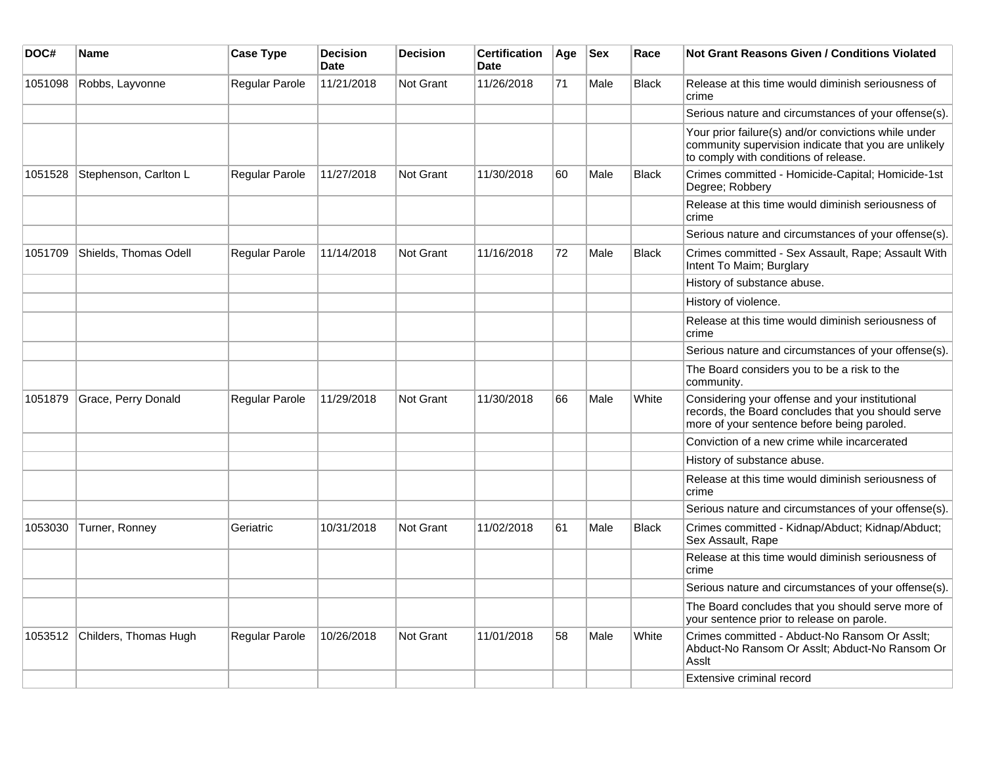| DOC#    | Name                          | <b>Case Type</b>      | <b>Decision</b><br><b>Date</b> | <b>Decision</b>  | <b>Certification</b><br><b>Date</b> | Age | <b>Sex</b> | Race         | Not Grant Reasons Given / Conditions Violated                                                                                                         |
|---------|-------------------------------|-----------------------|--------------------------------|------------------|-------------------------------------|-----|------------|--------------|-------------------------------------------------------------------------------------------------------------------------------------------------------|
| 1051098 | Robbs, Layvonne               | Regular Parole        | 11/21/2018                     | Not Grant        | 11/26/2018                          | 71  | Male       | <b>Black</b> | Release at this time would diminish seriousness of<br>crime                                                                                           |
|         |                               |                       |                                |                  |                                     |     |            |              | Serious nature and circumstances of your offense(s).                                                                                                  |
|         |                               |                       |                                |                  |                                     |     |            |              | Your prior failure(s) and/or convictions while under<br>community supervision indicate that you are unlikely<br>to comply with conditions of release. |
| 1051528 | Stephenson, Carlton L         | Regular Parole        | 11/27/2018                     | <b>Not Grant</b> | 11/30/2018                          | 60  | Male       | <b>Black</b> | Crimes committed - Homicide-Capital; Homicide-1st<br>Degree; Robbery                                                                                  |
|         |                               |                       |                                |                  |                                     |     |            |              | Release at this time would diminish seriousness of<br>crime                                                                                           |
|         |                               |                       |                                |                  |                                     |     |            |              | Serious nature and circumstances of your offense(s).                                                                                                  |
| 1051709 | Shields, Thomas Odell         | <b>Regular Parole</b> | 11/14/2018                     | <b>Not Grant</b> | 11/16/2018                          | 72  | Male       | <b>Black</b> | Crimes committed - Sex Assault, Rape; Assault With<br>Intent To Maim; Burglary                                                                        |
|         |                               |                       |                                |                  |                                     |     |            |              | History of substance abuse.                                                                                                                           |
|         |                               |                       |                                |                  |                                     |     |            |              | History of violence.                                                                                                                                  |
|         |                               |                       |                                |                  |                                     |     |            |              | Release at this time would diminish seriousness of<br>crime                                                                                           |
|         |                               |                       |                                |                  |                                     |     |            |              | Serious nature and circumstances of your offense(s).                                                                                                  |
|         |                               |                       |                                |                  |                                     |     |            |              | The Board considers you to be a risk to the<br>community.                                                                                             |
| 1051879 | Grace, Perry Donald           | Regular Parole        | 11/29/2018                     | <b>Not Grant</b> | 11/30/2018                          | 66  | Male       | White        | Considering your offense and your institutional<br>records, the Board concludes that you should serve<br>more of your sentence before being paroled.  |
|         |                               |                       |                                |                  |                                     |     |            |              | Conviction of a new crime while incarcerated                                                                                                          |
|         |                               |                       |                                |                  |                                     |     |            |              | History of substance abuse.                                                                                                                           |
|         |                               |                       |                                |                  |                                     |     |            |              | Release at this time would diminish seriousness of<br>crime                                                                                           |
|         |                               |                       |                                |                  |                                     |     |            |              | Serious nature and circumstances of your offense(s).                                                                                                  |
| 1053030 | Turner, Ronney                | Geriatric             | 10/31/2018                     | <b>Not Grant</b> | 11/02/2018                          | 61  | Male       | <b>Black</b> | Crimes committed - Kidnap/Abduct; Kidnap/Abduct;<br>Sex Assault, Rape                                                                                 |
|         |                               |                       |                                |                  |                                     |     |            |              | Release at this time would diminish seriousness of<br>crime                                                                                           |
|         |                               |                       |                                |                  |                                     |     |            |              | Serious nature and circumstances of your offense(s).                                                                                                  |
|         |                               |                       |                                |                  |                                     |     |            |              | The Board concludes that you should serve more of<br>your sentence prior to release on parole.                                                        |
|         | 1053512 Childers, Thomas Hugh | Regular Parole        | 10/26/2018                     | <b>Not Grant</b> | 11/01/2018                          | 58  | Male       | White        | Crimes committed - Abduct-No Ransom Or Asslt;<br>Abduct-No Ransom Or Asslt; Abduct-No Ransom Or<br>Asslt                                              |
|         |                               |                       |                                |                  |                                     |     |            |              | Extensive criminal record                                                                                                                             |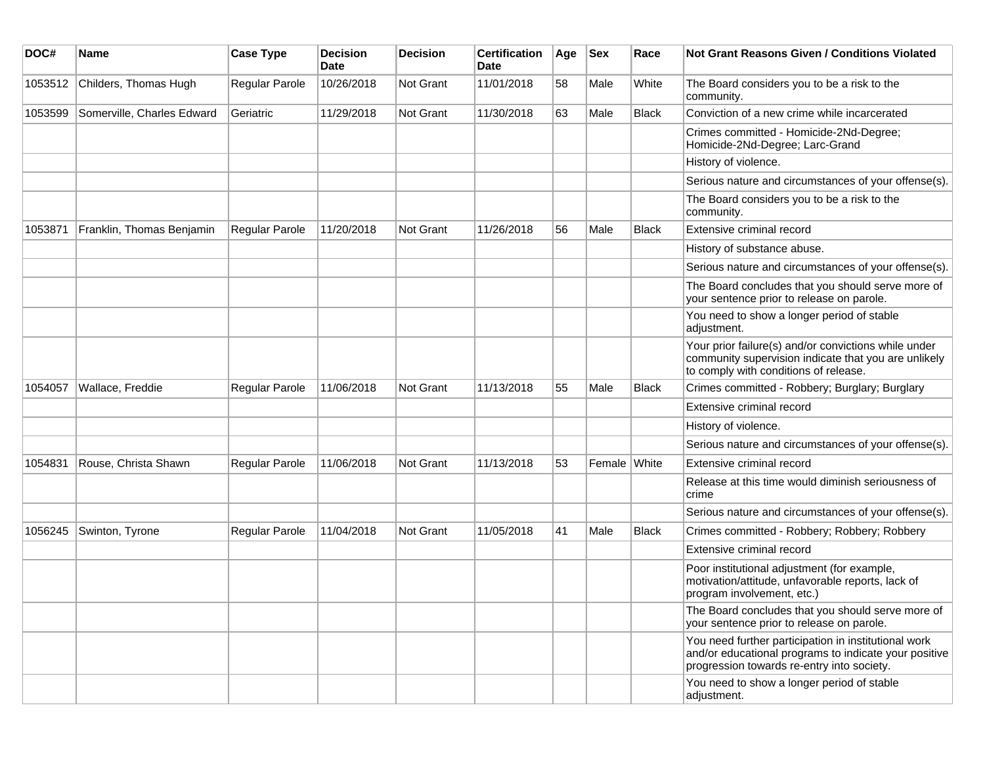| DOC#    | <b>Name</b>                | <b>Case Type</b>      | <b>Decision</b><br><b>Date</b> | <b>Decision</b>  | <b>Certification</b><br>Date | Age | <b>Sex</b>   | Race         | <b>Not Grant Reasons Given / Conditions Violated</b>                                                                                                        |
|---------|----------------------------|-----------------------|--------------------------------|------------------|------------------------------|-----|--------------|--------------|-------------------------------------------------------------------------------------------------------------------------------------------------------------|
| 1053512 | Childers, Thomas Hugh      | Regular Parole        | 10/26/2018                     | Not Grant        | 11/01/2018                   | 58  | Male         | White        | The Board considers you to be a risk to the<br>community.                                                                                                   |
| 1053599 | Somerville, Charles Edward | Geriatric             | 11/29/2018                     | Not Grant        | 11/30/2018                   | 63  | Male         | <b>Black</b> | Conviction of a new crime while incarcerated                                                                                                                |
|         |                            |                       |                                |                  |                              |     |              |              | Crimes committed - Homicide-2Nd-Degree;<br>Homicide-2Nd-Degree; Larc-Grand                                                                                  |
|         |                            |                       |                                |                  |                              |     |              |              | History of violence.                                                                                                                                        |
|         |                            |                       |                                |                  |                              |     |              |              | Serious nature and circumstances of your offense(s).                                                                                                        |
|         |                            |                       |                                |                  |                              |     |              |              | The Board considers you to be a risk to the<br>community.                                                                                                   |
| 1053871 | Franklin, Thomas Benjamin  | Regular Parole        | 11/20/2018                     | Not Grant        | 11/26/2018                   | 56  | Male         | Black        | Extensive criminal record                                                                                                                                   |
|         |                            |                       |                                |                  |                              |     |              |              | History of substance abuse.                                                                                                                                 |
|         |                            |                       |                                |                  |                              |     |              |              | Serious nature and circumstances of your offense(s).                                                                                                        |
|         |                            |                       |                                |                  |                              |     |              |              | The Board concludes that you should serve more of<br>your sentence prior to release on parole.                                                              |
|         |                            |                       |                                |                  |                              |     |              |              | You need to show a longer period of stable<br>adjustment.                                                                                                   |
|         |                            |                       |                                |                  |                              |     |              |              | Your prior failure(s) and/or convictions while under<br>community supervision indicate that you are unlikely<br>to comply with conditions of release.       |
| 1054057 | Wallace, Freddie           | Regular Parole        | 11/06/2018                     | Not Grant        | 11/13/2018                   | 55  | Male         | Black        | Crimes committed - Robbery; Burglary; Burglary                                                                                                              |
|         |                            |                       |                                |                  |                              |     |              |              | Extensive criminal record                                                                                                                                   |
|         |                            |                       |                                |                  |                              |     |              |              | History of violence.                                                                                                                                        |
|         |                            |                       |                                |                  |                              |     |              |              | Serious nature and circumstances of your offense(s).                                                                                                        |
| 1054831 | Rouse, Christa Shawn       | <b>Regular Parole</b> | 11/06/2018                     | Not Grant        | 11/13/2018                   | 53  | Female White |              | Extensive criminal record                                                                                                                                   |
|         |                            |                       |                                |                  |                              |     |              |              | Release at this time would diminish seriousness of<br>crime                                                                                                 |
|         |                            |                       |                                |                  |                              |     |              |              | Serious nature and circumstances of your offense(s).                                                                                                        |
| 1056245 | Swinton, Tyrone            | Regular Parole        | 11/04/2018                     | <b>Not Grant</b> | 11/05/2018                   | 41  | Male         | Black        | Crimes committed - Robbery; Robbery; Robbery                                                                                                                |
|         |                            |                       |                                |                  |                              |     |              |              | Extensive criminal record                                                                                                                                   |
|         |                            |                       |                                |                  |                              |     |              |              | Poor institutional adjustment (for example,<br>motivation/attitude, unfavorable reports, lack of<br>program involvement, etc.)                              |
|         |                            |                       |                                |                  |                              |     |              |              | The Board concludes that you should serve more of<br>your sentence prior to release on parole.                                                              |
|         |                            |                       |                                |                  |                              |     |              |              | You need further participation in institutional work<br>and/or educational programs to indicate your positive<br>progression towards re-entry into society. |
|         |                            |                       |                                |                  |                              |     |              |              | You need to show a longer period of stable<br>adjustment.                                                                                                   |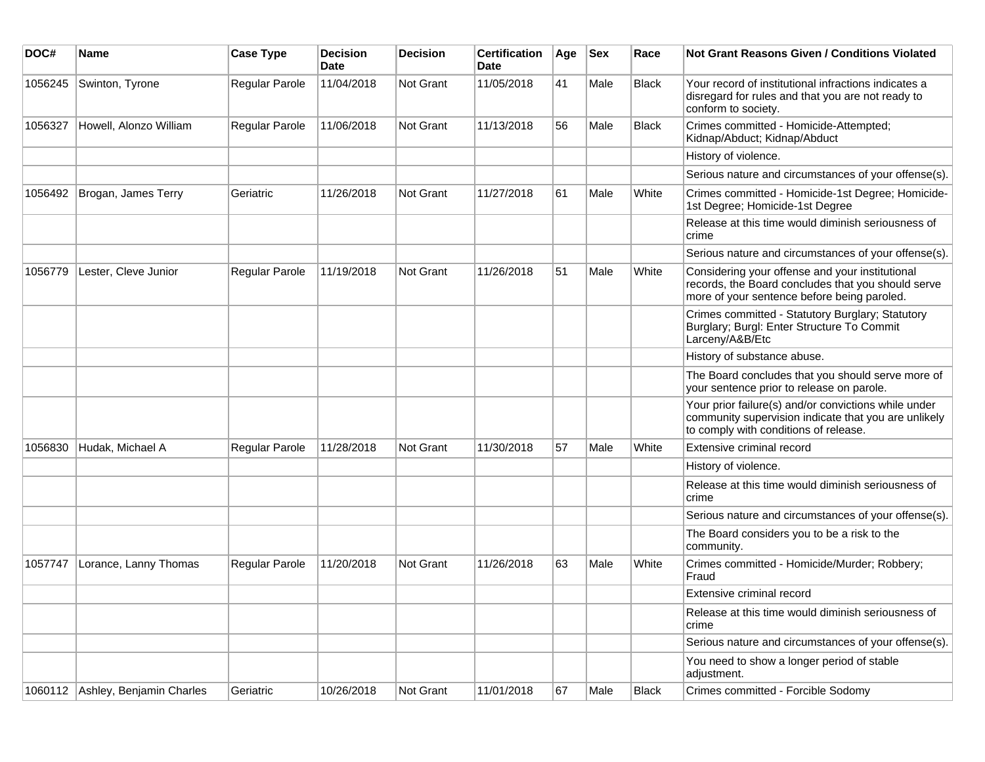| DOC#    | <b>Name</b>                      | <b>Case Type</b> | <b>Decision</b><br><b>Date</b> | <b>Decision</b> | <b>Certification</b><br>Date | Age | <b>Sex</b> | Race         | Not Grant Reasons Given / Conditions Violated                                                                                                         |
|---------|----------------------------------|------------------|--------------------------------|-----------------|------------------------------|-----|------------|--------------|-------------------------------------------------------------------------------------------------------------------------------------------------------|
| 1056245 | Swinton, Tyrone                  | Regular Parole   | 11/04/2018                     | Not Grant       | 11/05/2018                   | 41  | Male       | <b>Black</b> | Your record of institutional infractions indicates a<br>disregard for rules and that you are not ready to<br>conform to society.                      |
| 1056327 | Howell, Alonzo William           | Regular Parole   | 11/06/2018                     | Not Grant       | 11/13/2018                   | 56  | Male       | <b>Black</b> | Crimes committed - Homicide-Attempted;<br>Kidnap/Abduct; Kidnap/Abduct                                                                                |
|         |                                  |                  |                                |                 |                              |     |            |              | History of violence.                                                                                                                                  |
|         |                                  |                  |                                |                 |                              |     |            |              | Serious nature and circumstances of your offense(s).                                                                                                  |
| 1056492 | Brogan, James Terry              | Geriatric        | 11/26/2018                     | Not Grant       | 11/27/2018                   | 61  | Male       | White        | Crimes committed - Homicide-1st Degree; Homicide-<br>1st Degree; Homicide-1st Degree                                                                  |
|         |                                  |                  |                                |                 |                              |     |            |              | Release at this time would diminish seriousness of<br>crime                                                                                           |
|         |                                  |                  |                                |                 |                              |     |            |              | Serious nature and circumstances of your offense(s).                                                                                                  |
| 1056779 | Lester, Cleve Junior             | Regular Parole   | 11/19/2018                     | Not Grant       | 11/26/2018                   | 51  | Male       | White        | Considering your offense and your institutional<br>records, the Board concludes that you should serve<br>more of your sentence before being paroled.  |
|         |                                  |                  |                                |                 |                              |     |            |              | Crimes committed - Statutory Burglary; Statutory<br>Burglary; Burgl: Enter Structure To Commit<br>Larceny/A&B/Etc                                     |
|         |                                  |                  |                                |                 |                              |     |            |              | History of substance abuse.                                                                                                                           |
|         |                                  |                  |                                |                 |                              |     |            |              | The Board concludes that you should serve more of<br>your sentence prior to release on parole.                                                        |
|         |                                  |                  |                                |                 |                              |     |            |              | Your prior failure(s) and/or convictions while under<br>community supervision indicate that you are unlikely<br>to comply with conditions of release. |
| 1056830 | Hudak, Michael A                 | Regular Parole   | 11/28/2018                     | Not Grant       | 11/30/2018                   | 57  | Male       | White        | Extensive criminal record                                                                                                                             |
|         |                                  |                  |                                |                 |                              |     |            |              | History of violence.                                                                                                                                  |
|         |                                  |                  |                                |                 |                              |     |            |              | Release at this time would diminish seriousness of<br>crime                                                                                           |
|         |                                  |                  |                                |                 |                              |     |            |              | Serious nature and circumstances of your offense(s).                                                                                                  |
|         |                                  |                  |                                |                 |                              |     |            |              | The Board considers you to be a risk to the<br>community.                                                                                             |
| 1057747 | Lorance, Lanny Thomas            | Regular Parole   | 11/20/2018                     | Not Grant       | 11/26/2018                   | 63  | Male       | White        | Crimes committed - Homicide/Murder; Robbery;<br>Fraud                                                                                                 |
|         |                                  |                  |                                |                 |                              |     |            |              | Extensive criminal record                                                                                                                             |
|         |                                  |                  |                                |                 |                              |     |            |              | Release at this time would diminish seriousness of<br>crime                                                                                           |
|         |                                  |                  |                                |                 |                              |     |            |              | Serious nature and circumstances of your offense(s).                                                                                                  |
|         |                                  |                  |                                |                 |                              |     |            |              | You need to show a longer period of stable<br>adjustment.                                                                                             |
|         | 1060112 Ashley, Benjamin Charles | Geriatric        | 10/26/2018                     | Not Grant       | 11/01/2018                   | 67  | Male       | Black        | Crimes committed - Forcible Sodomy                                                                                                                    |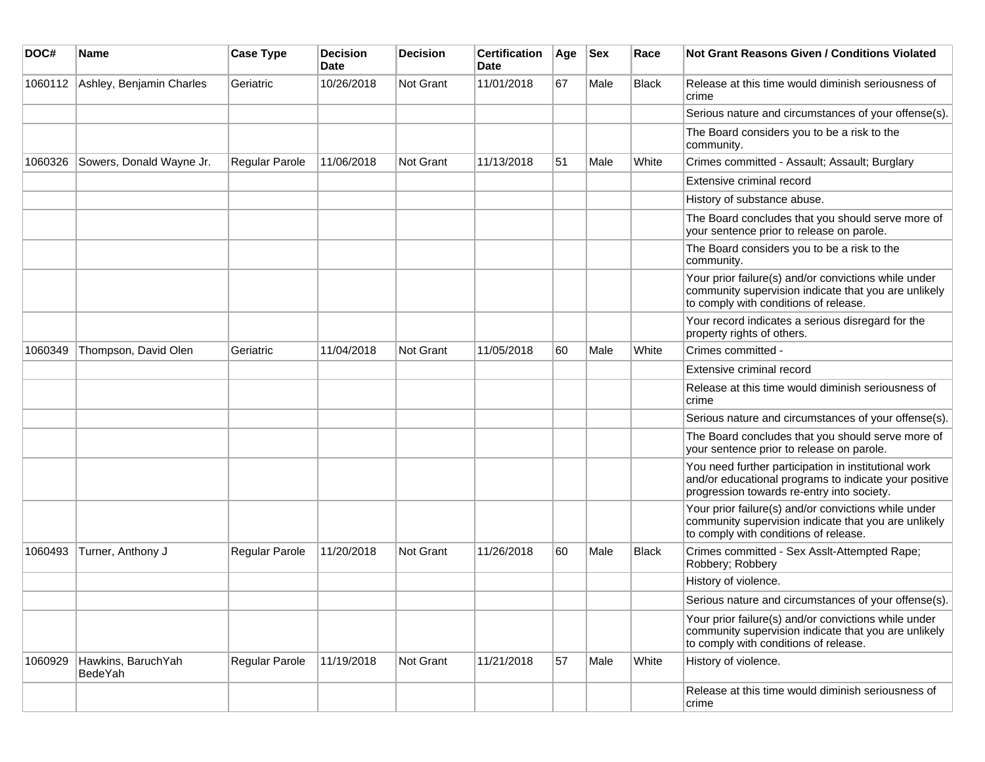| DOC#    | Name                          | <b>Case Type</b> | <b>Decision</b><br>Date | <b>Decision</b>  | <b>Certification</b><br>Date | Age | <b>Sex</b> | Race         | <b>Not Grant Reasons Given / Conditions Violated</b>                                                                                                        |
|---------|-------------------------------|------------------|-------------------------|------------------|------------------------------|-----|------------|--------------|-------------------------------------------------------------------------------------------------------------------------------------------------------------|
| 1060112 | Ashley, Benjamin Charles      | Geriatric        | 10/26/2018              | <b>Not Grant</b> | 11/01/2018                   | 67  | Male       | <b>Black</b> | Release at this time would diminish seriousness of<br>crime                                                                                                 |
|         |                               |                  |                         |                  |                              |     |            |              | Serious nature and circumstances of your offense(s).                                                                                                        |
|         |                               |                  |                         |                  |                              |     |            |              | The Board considers you to be a risk to the<br>community.                                                                                                   |
| 1060326 | Sowers, Donald Wayne Jr.      | Regular Parole   | 11/06/2018              | Not Grant        | 11/13/2018                   | 51  | Male       | White        | Crimes committed - Assault; Assault; Burglary                                                                                                               |
|         |                               |                  |                         |                  |                              |     |            |              | Extensive criminal record                                                                                                                                   |
|         |                               |                  |                         |                  |                              |     |            |              | History of substance abuse.                                                                                                                                 |
|         |                               |                  |                         |                  |                              |     |            |              | The Board concludes that you should serve more of<br>your sentence prior to release on parole.                                                              |
|         |                               |                  |                         |                  |                              |     |            |              | The Board considers you to be a risk to the<br>community.                                                                                                   |
|         |                               |                  |                         |                  |                              |     |            |              | Your prior failure(s) and/or convictions while under<br>community supervision indicate that you are unlikely<br>to comply with conditions of release.       |
|         |                               |                  |                         |                  |                              |     |            |              | Your record indicates a serious disregard for the<br>property rights of others.                                                                             |
| 1060349 | Thompson, David Olen          | Geriatric        | 11/04/2018              | Not Grant        | 11/05/2018                   | 60  | Male       | White        | Crimes committed -                                                                                                                                          |
|         |                               |                  |                         |                  |                              |     |            |              | Extensive criminal record                                                                                                                                   |
|         |                               |                  |                         |                  |                              |     |            |              | Release at this time would diminish seriousness of<br>crime                                                                                                 |
|         |                               |                  |                         |                  |                              |     |            |              | Serious nature and circumstances of your offense(s).                                                                                                        |
|         |                               |                  |                         |                  |                              |     |            |              | The Board concludes that you should serve more of<br>your sentence prior to release on parole.                                                              |
|         |                               |                  |                         |                  |                              |     |            |              | You need further participation in institutional work<br>and/or educational programs to indicate your positive<br>progression towards re-entry into society. |
|         |                               |                  |                         |                  |                              |     |            |              | Your prior failure(s) and/or convictions while under<br>community supervision indicate that you are unlikely<br>to comply with conditions of release.       |
| 1060493 | Turner, Anthony J             | Regular Parole   | 11/20/2018              | <b>Not Grant</b> | 11/26/2018                   | 60  | Male       | Black        | Crimes committed - Sex Asslt-Attempted Rape;<br>Robbery; Robbery                                                                                            |
|         |                               |                  |                         |                  |                              |     |            |              | History of violence.                                                                                                                                        |
|         |                               |                  |                         |                  |                              |     |            |              | Serious nature and circumstances of your offense(s).                                                                                                        |
|         |                               |                  |                         |                  |                              |     |            |              | Your prior failure(s) and/or convictions while under<br>community supervision indicate that you are unlikely<br>to comply with conditions of release.       |
| 1060929 | Hawkins, BaruchYah<br>BedeYah | Regular Parole   | 11/19/2018              | Not Grant        | 11/21/2018                   | 57  | Male       | White        | History of violence.                                                                                                                                        |
|         |                               |                  |                         |                  |                              |     |            |              | Release at this time would diminish seriousness of<br>crime                                                                                                 |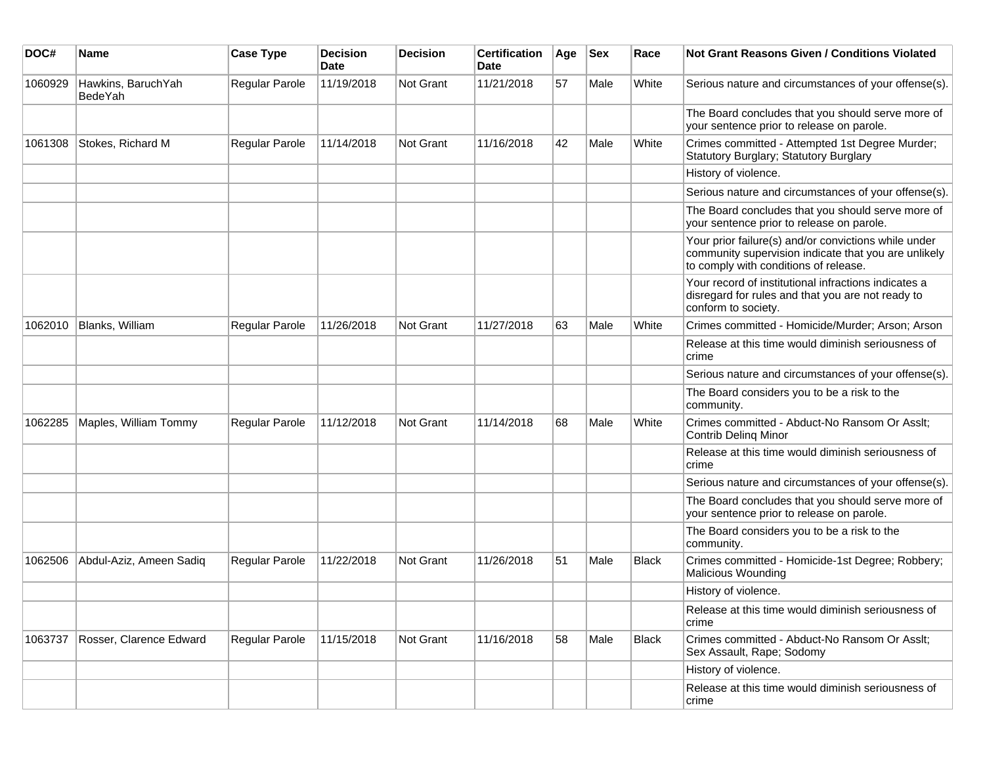| DOC#    | <b>Name</b>                   | <b>Case Type</b> | <b>Decision</b><br><b>Date</b> | <b>Decision</b> | <b>Certification</b><br>Date | Age | <b>Sex</b> | Race         | <b>Not Grant Reasons Given / Conditions Violated</b>                                                                                                  |
|---------|-------------------------------|------------------|--------------------------------|-----------------|------------------------------|-----|------------|--------------|-------------------------------------------------------------------------------------------------------------------------------------------------------|
| 1060929 | Hawkins, BaruchYah<br>BedeYah | Regular Parole   | 11/19/2018                     | Not Grant       | 11/21/2018                   | 57  | Male       | White        | Serious nature and circumstances of your offense(s).                                                                                                  |
|         |                               |                  |                                |                 |                              |     |            |              | The Board concludes that you should serve more of<br>your sentence prior to release on parole.                                                        |
| 1061308 | Stokes, Richard M             | Regular Parole   | 11/14/2018                     | Not Grant       | 11/16/2018                   | 42  | Male       | White        | Crimes committed - Attempted 1st Degree Murder;<br>Statutory Burglary; Statutory Burglary                                                             |
|         |                               |                  |                                |                 |                              |     |            |              | History of violence.                                                                                                                                  |
|         |                               |                  |                                |                 |                              |     |            |              | Serious nature and circumstances of your offense(s).                                                                                                  |
|         |                               |                  |                                |                 |                              |     |            |              | The Board concludes that you should serve more of<br>your sentence prior to release on parole.                                                        |
|         |                               |                  |                                |                 |                              |     |            |              | Your prior failure(s) and/or convictions while under<br>community supervision indicate that you are unlikely<br>to comply with conditions of release. |
|         |                               |                  |                                |                 |                              |     |            |              | Your record of institutional infractions indicates a<br>disregard for rules and that you are not ready to<br>conform to society.                      |
| 1062010 | Blanks, William               | Regular Parole   | 11/26/2018                     | Not Grant       | 11/27/2018                   | 63  | Male       | White        | Crimes committed - Homicide/Murder; Arson; Arson                                                                                                      |
|         |                               |                  |                                |                 |                              |     |            |              | Release at this time would diminish seriousness of<br>crime                                                                                           |
|         |                               |                  |                                |                 |                              |     |            |              | Serious nature and circumstances of your offense(s).                                                                                                  |
|         |                               |                  |                                |                 |                              |     |            |              | The Board considers you to be a risk to the<br>community.                                                                                             |
| 1062285 | Maples, William Tommy         | Regular Parole   | 11/12/2018                     | Not Grant       | 11/14/2018                   | 68  | Male       | White        | Crimes committed - Abduct-No Ransom Or Asslt;<br>Contrib Deling Minor                                                                                 |
|         |                               |                  |                                |                 |                              |     |            |              | Release at this time would diminish seriousness of<br>crime                                                                                           |
|         |                               |                  |                                |                 |                              |     |            |              | Serious nature and circumstances of your offense(s).                                                                                                  |
|         |                               |                  |                                |                 |                              |     |            |              | The Board concludes that you should serve more of<br>your sentence prior to release on parole.                                                        |
|         |                               |                  |                                |                 |                              |     |            |              | The Board considers you to be a risk to the<br>community.                                                                                             |
| 1062506 | Abdul-Aziz, Ameen Sadiq       | Regular Parole   | 11/22/2018                     | Not Grant       | 11/26/2018                   | 51  | Male       | <b>Black</b> | Crimes committed - Homicide-1st Degree; Robbery;<br><b>Malicious Wounding</b>                                                                         |
|         |                               |                  |                                |                 |                              |     |            |              | History of violence.                                                                                                                                  |
|         |                               |                  |                                |                 |                              |     |            |              | Release at this time would diminish seriousness of<br>crime                                                                                           |
| 1063737 | Rosser, Clarence Edward       | Regular Parole   | 11/15/2018                     | Not Grant       | 11/16/2018                   | 58  | Male       | <b>Black</b> | Crimes committed - Abduct-No Ransom Or Asslt;<br>Sex Assault, Rape; Sodomy                                                                            |
|         |                               |                  |                                |                 |                              |     |            |              | History of violence.                                                                                                                                  |
|         |                               |                  |                                |                 |                              |     |            |              | Release at this time would diminish seriousness of<br>crime                                                                                           |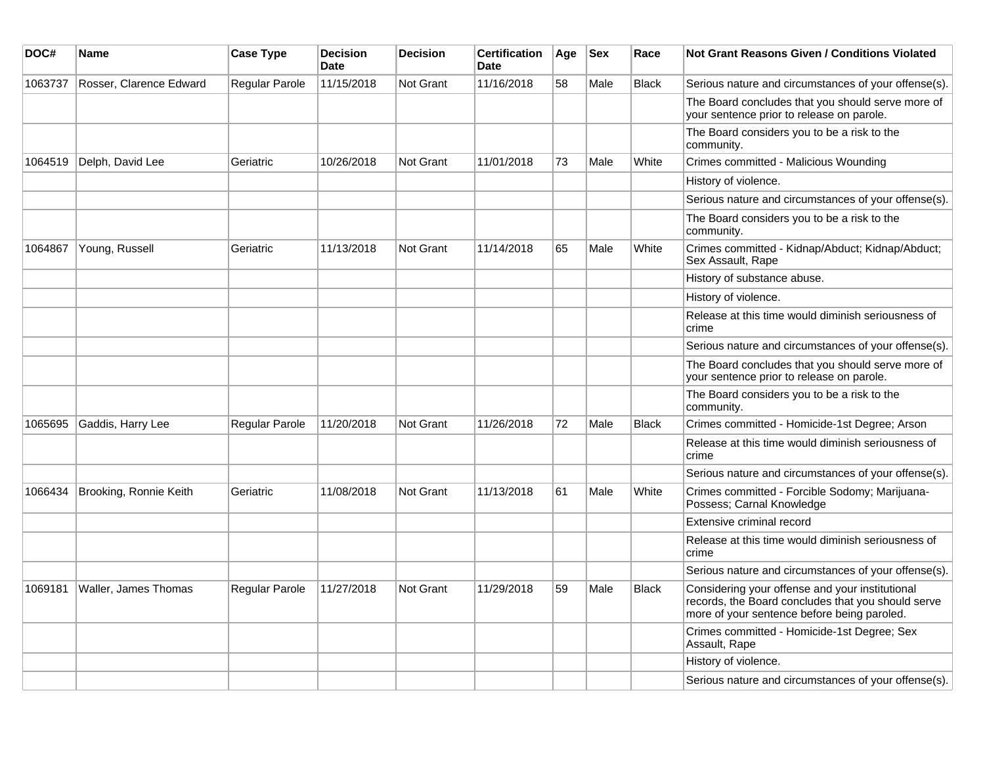| DOC#    | <b>Name</b>                 | <b>Case Type</b>      | <b>Decision</b><br><b>Date</b> | <b>Decision</b>  | <b>Certification</b><br><b>Date</b> | Age | <b>Sex</b> | Race         | Not Grant Reasons Given / Conditions Violated                                                                                                        |
|---------|-----------------------------|-----------------------|--------------------------------|------------------|-------------------------------------|-----|------------|--------------|------------------------------------------------------------------------------------------------------------------------------------------------------|
| 1063737 | Rosser, Clarence Edward     | Regular Parole        | 11/15/2018                     | Not Grant        | 11/16/2018                          | 58  | Male       | <b>Black</b> | Serious nature and circumstances of your offense(s).                                                                                                 |
|         |                             |                       |                                |                  |                                     |     |            |              | The Board concludes that you should serve more of<br>your sentence prior to release on parole.                                                       |
|         |                             |                       |                                |                  |                                     |     |            |              | The Board considers you to be a risk to the<br>community.                                                                                            |
| 1064519 | Delph, David Lee            | Geriatric             | 10/26/2018                     | <b>Not Grant</b> | 11/01/2018                          | 73  | Male       | White        | Crimes committed - Malicious Wounding                                                                                                                |
|         |                             |                       |                                |                  |                                     |     |            |              | History of violence.                                                                                                                                 |
|         |                             |                       |                                |                  |                                     |     |            |              | Serious nature and circumstances of your offense(s).                                                                                                 |
|         |                             |                       |                                |                  |                                     |     |            |              | The Board considers you to be a risk to the<br>community.                                                                                            |
| 1064867 | Young, Russell              | Geriatric             | 11/13/2018                     | Not Grant        | 11/14/2018                          | 65  | Male       | White        | Crimes committed - Kidnap/Abduct; Kidnap/Abduct;<br>Sex Assault, Rape                                                                                |
|         |                             |                       |                                |                  |                                     |     |            |              | History of substance abuse.                                                                                                                          |
|         |                             |                       |                                |                  |                                     |     |            |              | History of violence.                                                                                                                                 |
|         |                             |                       |                                |                  |                                     |     |            |              | Release at this time would diminish seriousness of<br>crime                                                                                          |
|         |                             |                       |                                |                  |                                     |     |            |              | Serious nature and circumstances of your offense(s).                                                                                                 |
|         |                             |                       |                                |                  |                                     |     |            |              | The Board concludes that you should serve more of<br>your sentence prior to release on parole.                                                       |
|         |                             |                       |                                |                  |                                     |     |            |              | The Board considers you to be a risk to the<br>community.                                                                                            |
| 1065695 | Gaddis, Harry Lee           | Regular Parole        | 11/20/2018                     | <b>Not Grant</b> | 11/26/2018                          | 72  | Male       | <b>Black</b> | Crimes committed - Homicide-1st Degree; Arson                                                                                                        |
|         |                             |                       |                                |                  |                                     |     |            |              | Release at this time would diminish seriousness of<br>crime                                                                                          |
|         |                             |                       |                                |                  |                                     |     |            |              | Serious nature and circumstances of your offense(s).                                                                                                 |
| 1066434 | Brooking, Ronnie Keith      | Geriatric             | 11/08/2018                     | <b>Not Grant</b> | 11/13/2018                          | 61  | Male       | White        | Crimes committed - Forcible Sodomy; Marijuana-<br>Possess; Carnal Knowledge                                                                          |
|         |                             |                       |                                |                  |                                     |     |            |              | Extensive criminal record                                                                                                                            |
|         |                             |                       |                                |                  |                                     |     |            |              | Release at this time would diminish seriousness of<br>crime                                                                                          |
|         |                             |                       |                                |                  |                                     |     |            |              | Serious nature and circumstances of your offense(s).                                                                                                 |
| 1069181 | <b>Waller, James Thomas</b> | <b>Regular Parole</b> | 11/27/2018                     | Not Grant        | 11/29/2018                          | 59  | Male       | <b>Black</b> | Considering your offense and your institutional<br>records, the Board concludes that you should serve<br>more of your sentence before being paroled. |
|         |                             |                       |                                |                  |                                     |     |            |              | Crimes committed - Homicide-1st Degree; Sex<br>Assault, Rape                                                                                         |
|         |                             |                       |                                |                  |                                     |     |            |              | History of violence.                                                                                                                                 |
|         |                             |                       |                                |                  |                                     |     |            |              | Serious nature and circumstances of your offense(s).                                                                                                 |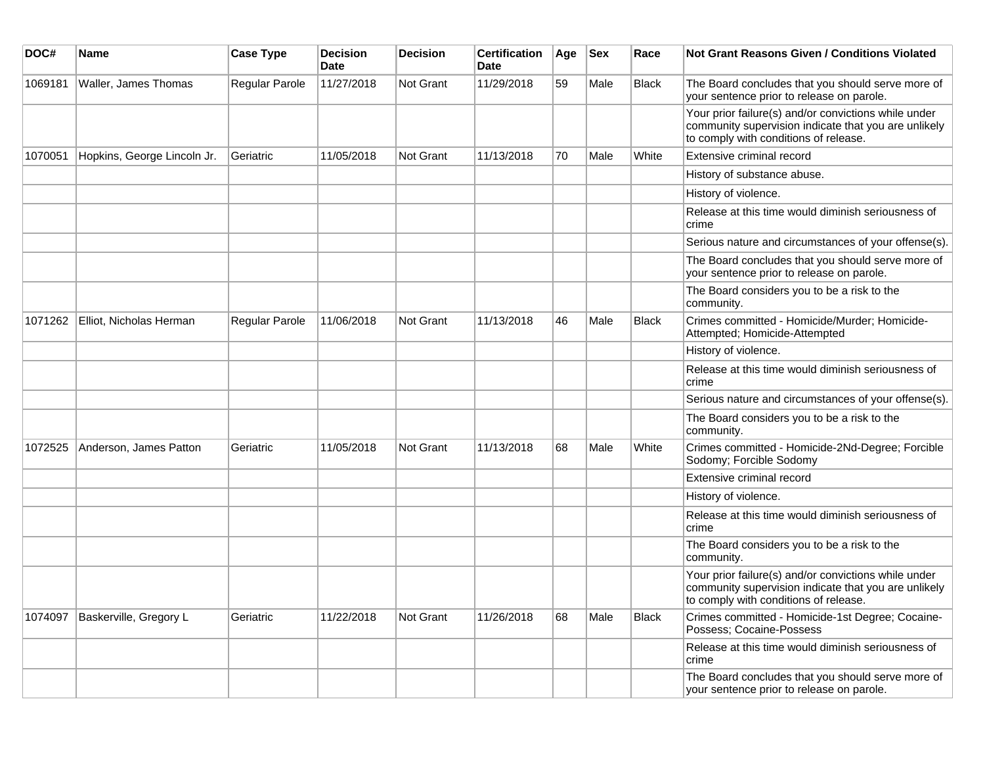| DOC#    | <b>Name</b>                 | <b>Case Type</b> | <b>Decision</b><br><b>Date</b> | <b>Decision</b> | <b>Certification</b><br>Date | Age | <b>Sex</b> | Race         | Not Grant Reasons Given / Conditions Violated                                                                                                         |
|---------|-----------------------------|------------------|--------------------------------|-----------------|------------------------------|-----|------------|--------------|-------------------------------------------------------------------------------------------------------------------------------------------------------|
| 1069181 | Waller, James Thomas        | Regular Parole   | 11/27/2018                     | Not Grant       | 11/29/2018                   | 59  | Male       | <b>Black</b> | The Board concludes that you should serve more of<br>your sentence prior to release on parole.                                                        |
|         |                             |                  |                                |                 |                              |     |            |              | Your prior failure(s) and/or convictions while under<br>community supervision indicate that you are unlikely<br>to comply with conditions of release. |
| 1070051 | Hopkins, George Lincoln Jr. | Geriatric        | 11/05/2018                     | Not Grant       | 11/13/2018                   | 70  | Male       | White        | Extensive criminal record                                                                                                                             |
|         |                             |                  |                                |                 |                              |     |            |              | History of substance abuse.                                                                                                                           |
|         |                             |                  |                                |                 |                              |     |            |              | History of violence.                                                                                                                                  |
|         |                             |                  |                                |                 |                              |     |            |              | Release at this time would diminish seriousness of<br>crime                                                                                           |
|         |                             |                  |                                |                 |                              |     |            |              | Serious nature and circumstances of your offense(s).                                                                                                  |
|         |                             |                  |                                |                 |                              |     |            |              | The Board concludes that you should serve more of<br>your sentence prior to release on parole.                                                        |
|         |                             |                  |                                |                 |                              |     |            |              | The Board considers you to be a risk to the<br>community.                                                                                             |
| 1071262 | Elliot, Nicholas Herman     | Regular Parole   | 11/06/2018                     | Not Grant       | 11/13/2018                   | 46  | Male       | <b>Black</b> | Crimes committed - Homicide/Murder; Homicide-<br>Attempted; Homicide-Attempted                                                                        |
|         |                             |                  |                                |                 |                              |     |            |              | History of violence.                                                                                                                                  |
|         |                             |                  |                                |                 |                              |     |            |              | Release at this time would diminish seriousness of<br>crime                                                                                           |
|         |                             |                  |                                |                 |                              |     |            |              | Serious nature and circumstances of your offense(s).                                                                                                  |
|         |                             |                  |                                |                 |                              |     |            |              | The Board considers you to be a risk to the<br>community.                                                                                             |
| 1072525 | Anderson, James Patton      | Geriatric        | 11/05/2018                     | Not Grant       | 11/13/2018                   | 68  | Male       | White        | Crimes committed - Homicide-2Nd-Degree; Forcible<br>Sodomy; Forcible Sodomy                                                                           |
|         |                             |                  |                                |                 |                              |     |            |              | Extensive criminal record                                                                                                                             |
|         |                             |                  |                                |                 |                              |     |            |              | History of violence.                                                                                                                                  |
|         |                             |                  |                                |                 |                              |     |            |              | Release at this time would diminish seriousness of<br>crime                                                                                           |
|         |                             |                  |                                |                 |                              |     |            |              | The Board considers you to be a risk to the<br>community.                                                                                             |
|         |                             |                  |                                |                 |                              |     |            |              | Your prior failure(s) and/or convictions while under<br>community supervision indicate that you are unlikely<br>to comply with conditions of release. |
| 1074097 | Baskerville, Gregory L      | Geriatric        | 11/22/2018                     | Not Grant       | 11/26/2018                   | 68  | Male       | <b>Black</b> | Crimes committed - Homicide-1st Degree; Cocaine-<br>Possess; Cocaine-Possess                                                                          |
|         |                             |                  |                                |                 |                              |     |            |              | Release at this time would diminish seriousness of<br>crime                                                                                           |
|         |                             |                  |                                |                 |                              |     |            |              | The Board concludes that you should serve more of<br>your sentence prior to release on parole.                                                        |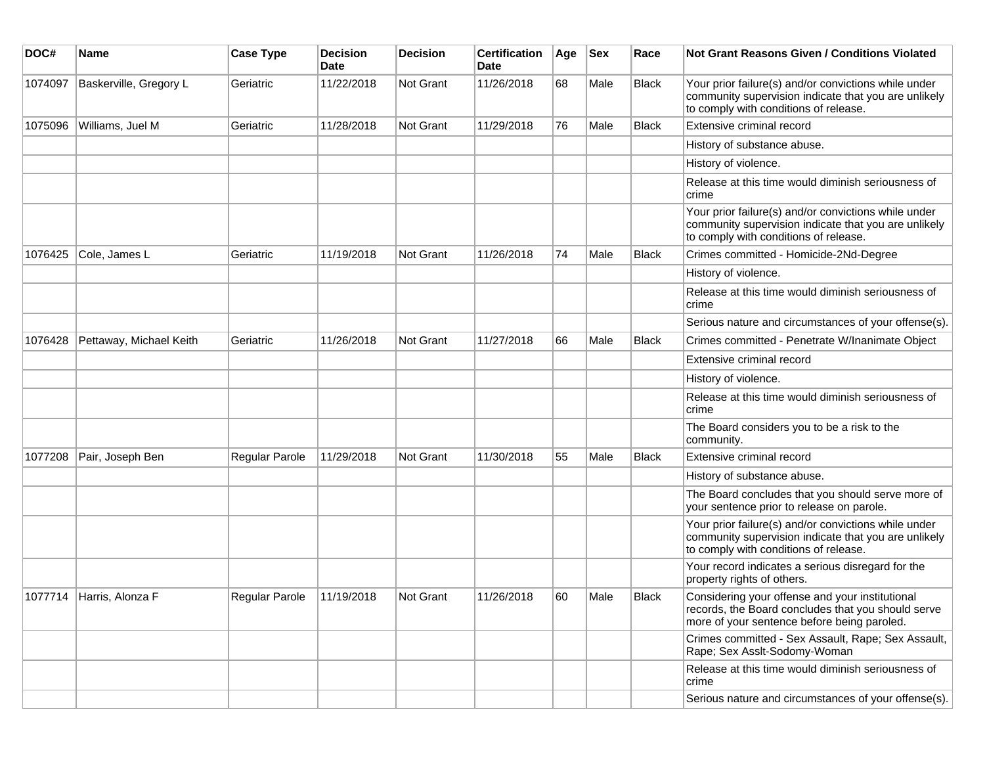| DOC#    | <b>Name</b>              | <b>Case Type</b>      | <b>Decision</b><br>Date | <b>Decision</b> | <b>Certification</b><br>Date | Age | <b>Sex</b> | Race         | <b>Not Grant Reasons Given / Conditions Violated</b>                                                                                                  |
|---------|--------------------------|-----------------------|-------------------------|-----------------|------------------------------|-----|------------|--------------|-------------------------------------------------------------------------------------------------------------------------------------------------------|
| 1074097 | Baskerville, Gregory L   | Geriatric             | 11/22/2018              | Not Grant       | 11/26/2018                   | 68  | Male       | <b>Black</b> | Your prior failure(s) and/or convictions while under<br>community supervision indicate that you are unlikely<br>to comply with conditions of release. |
| 1075096 | Williams, Juel M         | Geriatric             | 11/28/2018              | Not Grant       | 11/29/2018                   | 76  | Male       | <b>Black</b> | Extensive criminal record                                                                                                                             |
|         |                          |                       |                         |                 |                              |     |            |              | History of substance abuse.                                                                                                                           |
|         |                          |                       |                         |                 |                              |     |            |              | History of violence.                                                                                                                                  |
|         |                          |                       |                         |                 |                              |     |            |              | Release at this time would diminish seriousness of<br>crime                                                                                           |
|         |                          |                       |                         |                 |                              |     |            |              | Your prior failure(s) and/or convictions while under<br>community supervision indicate that you are unlikely<br>to comply with conditions of release. |
| 1076425 | Cole, James L            | Geriatric             | 11/19/2018              | Not Grant       | 11/26/2018                   | 74  | Male       | <b>Black</b> | Crimes committed - Homicide-2Nd-Degree                                                                                                                |
|         |                          |                       |                         |                 |                              |     |            |              | History of violence.                                                                                                                                  |
|         |                          |                       |                         |                 |                              |     |            |              | Release at this time would diminish seriousness of<br>crime                                                                                           |
|         |                          |                       |                         |                 |                              |     |            |              | Serious nature and circumstances of your offense(s).                                                                                                  |
| 1076428 | Pettaway, Michael Keith  | Geriatric             | 11/26/2018              | Not Grant       | 11/27/2018                   | 66  | Male       | <b>Black</b> | Crimes committed - Penetrate W/Inanimate Object                                                                                                       |
|         |                          |                       |                         |                 |                              |     |            |              | Extensive criminal record                                                                                                                             |
|         |                          |                       |                         |                 |                              |     |            |              | History of violence.                                                                                                                                  |
|         |                          |                       |                         |                 |                              |     |            |              | Release at this time would diminish seriousness of<br>crime                                                                                           |
|         |                          |                       |                         |                 |                              |     |            |              | The Board considers you to be a risk to the<br>community.                                                                                             |
| 1077208 | Pair, Joseph Ben         | Regular Parole        | 11/29/2018              | Not Grant       | 11/30/2018                   | 55  | Male       | <b>Black</b> | Extensive criminal record                                                                                                                             |
|         |                          |                       |                         |                 |                              |     |            |              | History of substance abuse.                                                                                                                           |
|         |                          |                       |                         |                 |                              |     |            |              | The Board concludes that you should serve more of<br>your sentence prior to release on parole.                                                        |
|         |                          |                       |                         |                 |                              |     |            |              | Your prior failure(s) and/or convictions while under<br>community supervision indicate that you are unlikely<br>to comply with conditions of release. |
|         |                          |                       |                         |                 |                              |     |            |              | Your record indicates a serious disregard for the<br>property rights of others.                                                                       |
|         | 1077714 Harris, Alonza F | <b>Regular Parole</b> | 11/19/2018              | Not Grant       | 11/26/2018                   | 60  | Male       | <b>Black</b> | Considering your offense and your institutional<br>records, the Board concludes that you should serve<br>more of your sentence before being paroled.  |
|         |                          |                       |                         |                 |                              |     |            |              | Crimes committed - Sex Assault, Rape; Sex Assault,<br>Rape; Sex Asslt-Sodomy-Woman                                                                    |
|         |                          |                       |                         |                 |                              |     |            |              | Release at this time would diminish seriousness of<br>crime                                                                                           |
|         |                          |                       |                         |                 |                              |     |            |              | Serious nature and circumstances of your offense(s).                                                                                                  |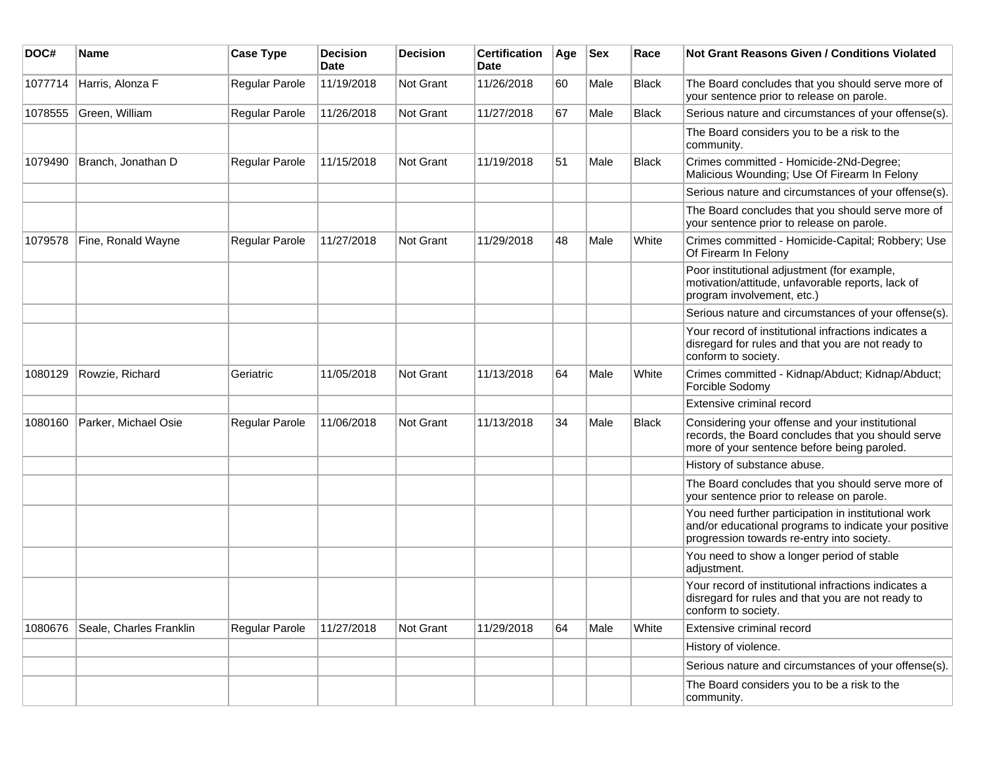| DOC#    | <b>Name</b>             | <b>Case Type</b>      | <b>Decision</b><br><b>Date</b> | <b>Decision</b>  | <b>Certification</b><br><b>Date</b> | Age | <b>Sex</b> | Race         | <b>Not Grant Reasons Given / Conditions Violated</b>                                                                                                        |
|---------|-------------------------|-----------------------|--------------------------------|------------------|-------------------------------------|-----|------------|--------------|-------------------------------------------------------------------------------------------------------------------------------------------------------------|
| 1077714 | Harris, Alonza F        | Regular Parole        | 11/19/2018                     | Not Grant        | 11/26/2018                          | 60  | Male       | <b>Black</b> | The Board concludes that you should serve more of<br>your sentence prior to release on parole.                                                              |
| 1078555 | Green, William          | <b>Regular Parole</b> | 11/26/2018                     | Not Grant        | 11/27/2018                          | 67  | Male       | <b>Black</b> | Serious nature and circumstances of your offense(s).                                                                                                        |
|         |                         |                       |                                |                  |                                     |     |            |              | The Board considers you to be a risk to the<br>community.                                                                                                   |
| 1079490 | Branch, Jonathan D      | Regular Parole        | 11/15/2018                     | <b>Not Grant</b> | 11/19/2018                          | 51  | Male       | <b>Black</b> | Crimes committed - Homicide-2Nd-Degree;<br>Malicious Wounding; Use Of Firearm In Felony                                                                     |
|         |                         |                       |                                |                  |                                     |     |            |              | Serious nature and circumstances of your offense(s).                                                                                                        |
|         |                         |                       |                                |                  |                                     |     |            |              | The Board concludes that you should serve more of<br>your sentence prior to release on parole.                                                              |
| 1079578 | Fine, Ronald Wayne      | <b>Regular Parole</b> | 11/27/2018                     | Not Grant        | 11/29/2018                          | 48  | Male       | White        | Crimes committed - Homicide-Capital; Robbery; Use<br>Of Firearm In Felony                                                                                   |
|         |                         |                       |                                |                  |                                     |     |            |              | Poor institutional adjustment (for example,<br>motivation/attitude, unfavorable reports, lack of<br>program involvement, etc.)                              |
|         |                         |                       |                                |                  |                                     |     |            |              | Serious nature and circumstances of your offense(s).                                                                                                        |
|         |                         |                       |                                |                  |                                     |     |            |              | Your record of institutional infractions indicates a<br>disregard for rules and that you are not ready to<br>conform to society.                            |
| 1080129 | Rowzie, Richard         | Geriatric             | 11/05/2018                     | <b>Not Grant</b> | 11/13/2018                          | 64  | Male       | White        | Crimes committed - Kidnap/Abduct; Kidnap/Abduct;<br>Forcible Sodomy                                                                                         |
|         |                         |                       |                                |                  |                                     |     |            |              | Extensive criminal record                                                                                                                                   |
| 1080160 | Parker, Michael Osie    | Regular Parole        | 11/06/2018                     | <b>Not Grant</b> | 11/13/2018                          | 34  | Male       | <b>Black</b> | Considering your offense and your institutional<br>records, the Board concludes that you should serve<br>more of your sentence before being paroled.        |
|         |                         |                       |                                |                  |                                     |     |            |              | History of substance abuse.                                                                                                                                 |
|         |                         |                       |                                |                  |                                     |     |            |              | The Board concludes that you should serve more of<br>your sentence prior to release on parole.                                                              |
|         |                         |                       |                                |                  |                                     |     |            |              | You need further participation in institutional work<br>and/or educational programs to indicate your positive<br>progression towards re-entry into society. |
|         |                         |                       |                                |                  |                                     |     |            |              | You need to show a longer period of stable<br>adjustment.                                                                                                   |
|         |                         |                       |                                |                  |                                     |     |            |              | Your record of institutional infractions indicates a<br>disregard for rules and that you are not ready to<br>conform to society.                            |
| 1080676 | Seale, Charles Franklin | <b>Regular Parole</b> | 11/27/2018                     | Not Grant        | 11/29/2018                          | 64  | Male       | White        | Extensive criminal record                                                                                                                                   |
|         |                         |                       |                                |                  |                                     |     |            |              | History of violence.                                                                                                                                        |
|         |                         |                       |                                |                  |                                     |     |            |              | Serious nature and circumstances of your offense(s).                                                                                                        |
|         |                         |                       |                                |                  |                                     |     |            |              | The Board considers you to be a risk to the<br>community.                                                                                                   |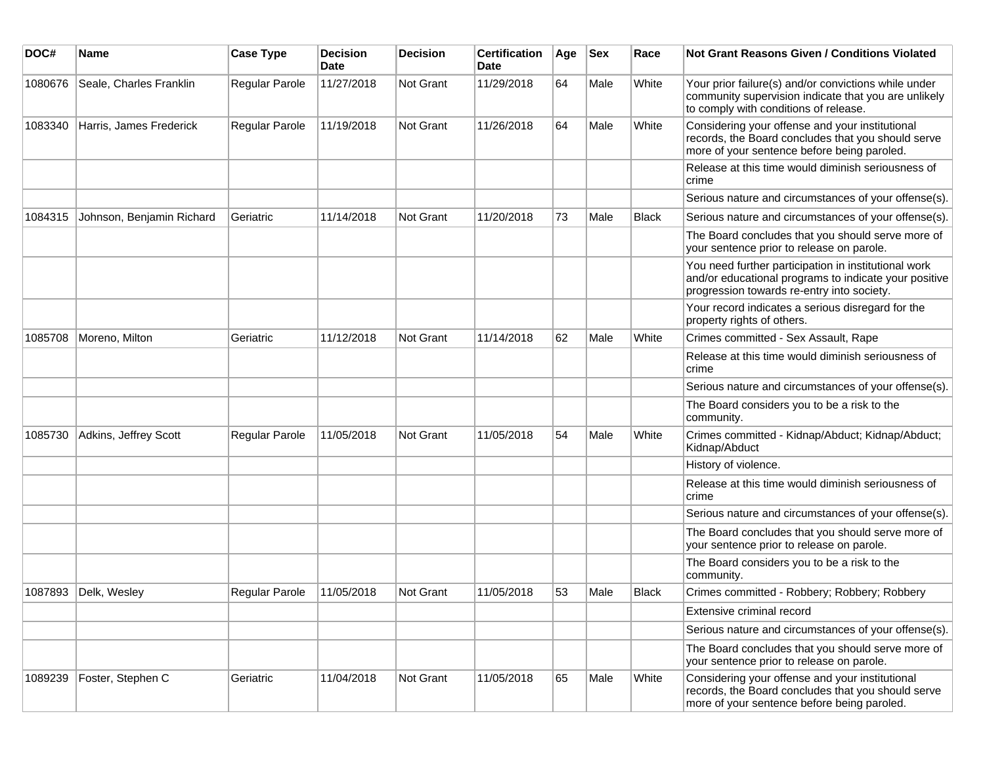| DOC#    | Name                      | <b>Case Type</b> | Decision<br><b>Date</b> | <b>Decision</b> | <b>Certification</b><br>Date | Age | <b>Sex</b> | Race         | <b>Not Grant Reasons Given / Conditions Violated</b>                                                                                                        |
|---------|---------------------------|------------------|-------------------------|-----------------|------------------------------|-----|------------|--------------|-------------------------------------------------------------------------------------------------------------------------------------------------------------|
| 1080676 | Seale, Charles Franklin   | Regular Parole   | 11/27/2018              | Not Grant       | 11/29/2018                   | 64  | Male       | White        | Your prior failure(s) and/or convictions while under<br>community supervision indicate that you are unlikely<br>to comply with conditions of release.       |
| 1083340 | Harris, James Frederick   | Regular Parole   | 11/19/2018              | Not Grant       | 11/26/2018                   | 64  | Male       | White        | Considering your offense and your institutional<br>records, the Board concludes that you should serve<br>more of your sentence before being paroled.        |
|         |                           |                  |                         |                 |                              |     |            |              | Release at this time would diminish seriousness of<br>crime                                                                                                 |
|         |                           |                  |                         |                 |                              |     |            |              | Serious nature and circumstances of your offense(s).                                                                                                        |
| 1084315 | Johnson, Benjamin Richard | Geriatric        | 11/14/2018              | Not Grant       | 11/20/2018                   | 73  | Male       | <b>Black</b> | Serious nature and circumstances of your offense(s).                                                                                                        |
|         |                           |                  |                         |                 |                              |     |            |              | The Board concludes that you should serve more of<br>your sentence prior to release on parole.                                                              |
|         |                           |                  |                         |                 |                              |     |            |              | You need further participation in institutional work<br>and/or educational programs to indicate your positive<br>progression towards re-entry into society. |
|         |                           |                  |                         |                 |                              |     |            |              | Your record indicates a serious disregard for the<br>property rights of others.                                                                             |
| 1085708 | Moreno, Milton            | Geriatric        | 11/12/2018              | Not Grant       | 11/14/2018                   | 62  | Male       | White        | Crimes committed - Sex Assault, Rape                                                                                                                        |
|         |                           |                  |                         |                 |                              |     |            |              | Release at this time would diminish seriousness of<br>crime                                                                                                 |
|         |                           |                  |                         |                 |                              |     |            |              | Serious nature and circumstances of your offense(s).                                                                                                        |
|         |                           |                  |                         |                 |                              |     |            |              | The Board considers you to be a risk to the<br>community.                                                                                                   |
| 1085730 | Adkins, Jeffrey Scott     | Regular Parole   | 11/05/2018              | Not Grant       | 11/05/2018                   | 54  | Male       | White        | Crimes committed - Kidnap/Abduct; Kidnap/Abduct;<br>Kidnap/Abduct                                                                                           |
|         |                           |                  |                         |                 |                              |     |            |              | History of violence.                                                                                                                                        |
|         |                           |                  |                         |                 |                              |     |            |              | Release at this time would diminish seriousness of<br>crime                                                                                                 |
|         |                           |                  |                         |                 |                              |     |            |              | Serious nature and circumstances of your offense(s).                                                                                                        |
|         |                           |                  |                         |                 |                              |     |            |              | The Board concludes that you should serve more of<br>your sentence prior to release on parole.                                                              |
|         |                           |                  |                         |                 |                              |     |            |              | The Board considers you to be a risk to the<br>community.                                                                                                   |
| 1087893 | Delk, Wesley              | Regular Parole   | 11/05/2018              | Not Grant       | 11/05/2018                   | 53  | Male       | <b>Black</b> | Crimes committed - Robbery; Robbery; Robbery                                                                                                                |
|         |                           |                  |                         |                 |                              |     |            |              | Extensive criminal record                                                                                                                                   |
|         |                           |                  |                         |                 |                              |     |            |              | Serious nature and circumstances of your offense(s).                                                                                                        |
|         |                           |                  |                         |                 |                              |     |            |              | The Board concludes that you should serve more of<br>your sentence prior to release on parole.                                                              |
| 1089239 | Foster, Stephen C         | Geriatric        | 11/04/2018              | Not Grant       | 11/05/2018                   | 65  | Male       | White        | Considering your offense and your institutional<br>records, the Board concludes that you should serve<br>more of your sentence before being paroled.        |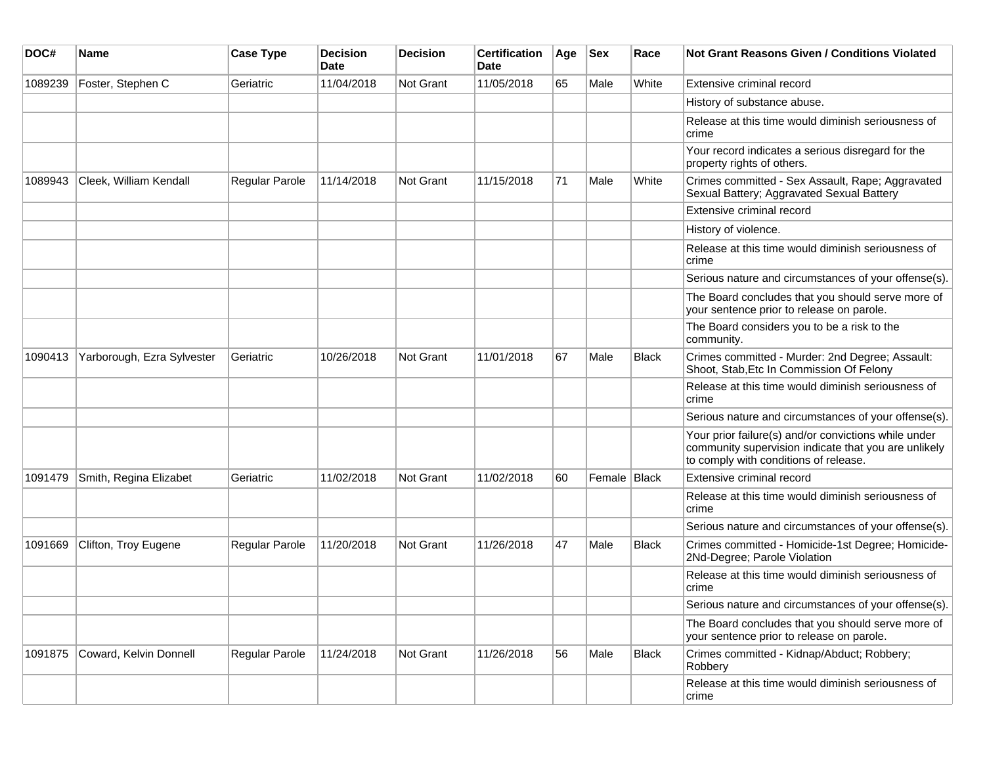| DOC#    | <b>Name</b>                | <b>Case Type</b> | <b>Decision</b><br>Date | <b>Decision</b> | <b>Certification</b><br>Date | Age | <b>Sex</b>     | Race         | Not Grant Reasons Given / Conditions Violated                                                                                                         |
|---------|----------------------------|------------------|-------------------------|-----------------|------------------------------|-----|----------------|--------------|-------------------------------------------------------------------------------------------------------------------------------------------------------|
| 1089239 | Foster, Stephen C          | Geriatric        | 11/04/2018              | Not Grant       | 11/05/2018                   | 65  | Male           | White        | Extensive criminal record                                                                                                                             |
|         |                            |                  |                         |                 |                              |     |                |              | History of substance abuse.                                                                                                                           |
|         |                            |                  |                         |                 |                              |     |                |              | Release at this time would diminish seriousness of<br>crime                                                                                           |
|         |                            |                  |                         |                 |                              |     |                |              | Your record indicates a serious disregard for the<br>property rights of others.                                                                       |
| 1089943 | Cleek, William Kendall     | Regular Parole   | 11/14/2018              | Not Grant       | 11/15/2018                   | 71  | Male           | White        | Crimes committed - Sex Assault, Rape; Aggravated<br>Sexual Battery; Aggravated Sexual Battery                                                         |
|         |                            |                  |                         |                 |                              |     |                |              | Extensive criminal record                                                                                                                             |
|         |                            |                  |                         |                 |                              |     |                |              | History of violence.                                                                                                                                  |
|         |                            |                  |                         |                 |                              |     |                |              | Release at this time would diminish seriousness of<br>crime                                                                                           |
|         |                            |                  |                         |                 |                              |     |                |              | Serious nature and circumstances of your offense(s).                                                                                                  |
|         |                            |                  |                         |                 |                              |     |                |              | The Board concludes that you should serve more of<br>your sentence prior to release on parole.                                                        |
|         |                            |                  |                         |                 |                              |     |                |              | The Board considers you to be a risk to the<br>community.                                                                                             |
| 1090413 | Yarborough, Ezra Sylvester | Geriatric        | 10/26/2018              | Not Grant       | 11/01/2018                   | 67  | Male           | <b>Black</b> | Crimes committed - Murder: 2nd Degree; Assault:<br>Shoot, Stab, Etc In Commission Of Felony                                                           |
|         |                            |                  |                         |                 |                              |     |                |              | Release at this time would diminish seriousness of<br>crime                                                                                           |
|         |                            |                  |                         |                 |                              |     |                |              | Serious nature and circumstances of your offense(s).                                                                                                  |
|         |                            |                  |                         |                 |                              |     |                |              | Your prior failure(s) and/or convictions while under<br>community supervision indicate that you are unlikely<br>to comply with conditions of release. |
| 1091479 | Smith, Regina Elizabet     | Geriatric        | 11/02/2018              | Not Grant       | 11/02/2018                   | 60  | Female   Black |              | Extensive criminal record                                                                                                                             |
|         |                            |                  |                         |                 |                              |     |                |              | Release at this time would diminish seriousness of<br>crime                                                                                           |
|         |                            |                  |                         |                 |                              |     |                |              | Serious nature and circumstances of your offense(s).                                                                                                  |
| 1091669 | Clifton, Troy Eugene       | Regular Parole   | 11/20/2018              | Not Grant       | 11/26/2018                   | 47  | Male           | <b>Black</b> | Crimes committed - Homicide-1st Degree; Homicide-<br>2Nd-Degree; Parole Violation                                                                     |
|         |                            |                  |                         |                 |                              |     |                |              | Release at this time would diminish seriousness of<br>crime                                                                                           |
|         |                            |                  |                         |                 |                              |     |                |              | Serious nature and circumstances of your offense(s).                                                                                                  |
|         |                            |                  |                         |                 |                              |     |                |              | The Board concludes that you should serve more of<br>your sentence prior to release on parole.                                                        |
| 1091875 | Coward, Kelvin Donnell     | Regular Parole   | 11/24/2018              | Not Grant       | 11/26/2018                   | 56  | Male           | <b>Black</b> | Crimes committed - Kidnap/Abduct; Robbery;<br>Robbery                                                                                                 |
|         |                            |                  |                         |                 |                              |     |                |              | Release at this time would diminish seriousness of<br>crime                                                                                           |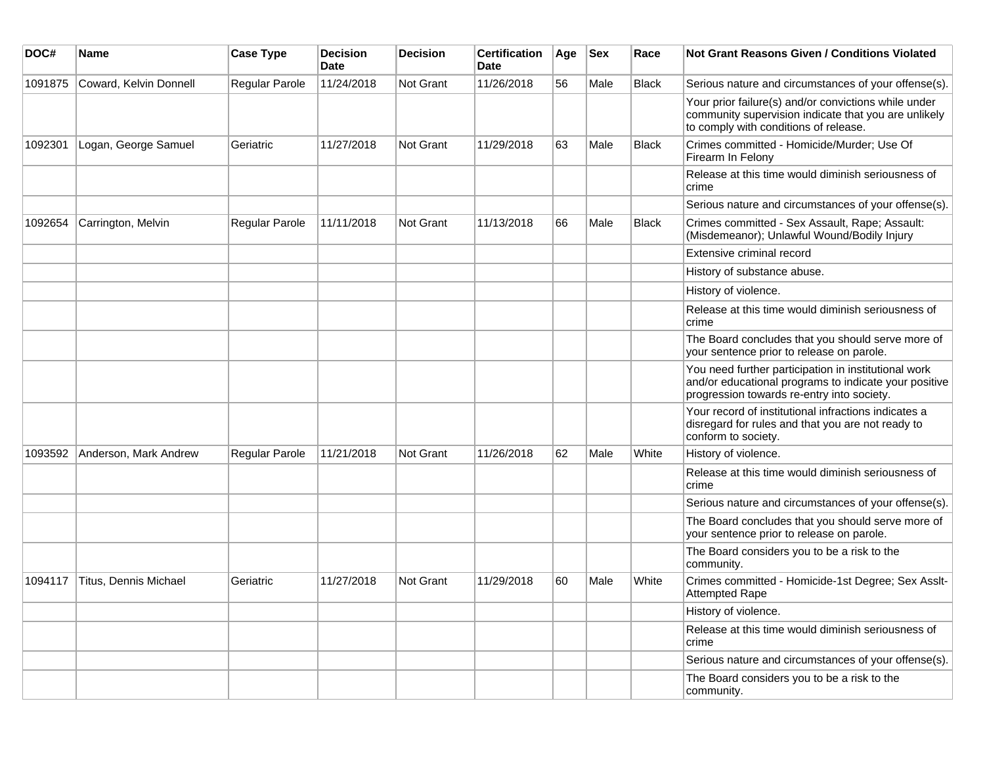| DOC#    | <b>Name</b>            | <b>Case Type</b> | <b>Decision</b><br>Date | <b>Decision</b> | <b>Certification</b><br>Date | Age | <b>Sex</b> | Race         | Not Grant Reasons Given / Conditions Violated                                                                                                               |
|---------|------------------------|------------------|-------------------------|-----------------|------------------------------|-----|------------|--------------|-------------------------------------------------------------------------------------------------------------------------------------------------------------|
| 1091875 | Coward, Kelvin Donnell | Regular Parole   | 11/24/2018              | Not Grant       | 11/26/2018                   | 56  | Male       | Black        | Serious nature and circumstances of your offense(s).                                                                                                        |
|         |                        |                  |                         |                 |                              |     |            |              | Your prior failure(s) and/or convictions while under<br>community supervision indicate that you are unlikely<br>to comply with conditions of release.       |
| 1092301 | Logan, George Samuel   | Geriatric        | 11/27/2018              | Not Grant       | 11/29/2018                   | 63  | Male       | <b>Black</b> | Crimes committed - Homicide/Murder; Use Of<br>Firearm In Felony                                                                                             |
|         |                        |                  |                         |                 |                              |     |            |              | Release at this time would diminish seriousness of<br>crime                                                                                                 |
|         |                        |                  |                         |                 |                              |     |            |              | Serious nature and circumstances of your offense(s).                                                                                                        |
| 1092654 | Carrington, Melvin     | Regular Parole   | 11/11/2018              | Not Grant       | 11/13/2018                   | 66  | Male       | Black        | Crimes committed - Sex Assault, Rape; Assault:<br>(Misdemeanor); Unlawful Wound/Bodily Injury                                                               |
|         |                        |                  |                         |                 |                              |     |            |              | Extensive criminal record                                                                                                                                   |
|         |                        |                  |                         |                 |                              |     |            |              | History of substance abuse.                                                                                                                                 |
|         |                        |                  |                         |                 |                              |     |            |              | History of violence.                                                                                                                                        |
|         |                        |                  |                         |                 |                              |     |            |              | Release at this time would diminish seriousness of<br>crime                                                                                                 |
|         |                        |                  |                         |                 |                              |     |            |              | The Board concludes that you should serve more of<br>your sentence prior to release on parole.                                                              |
|         |                        |                  |                         |                 |                              |     |            |              | You need further participation in institutional work<br>and/or educational programs to indicate your positive<br>progression towards re-entry into society. |
|         |                        |                  |                         |                 |                              |     |            |              | Your record of institutional infractions indicates a<br>disregard for rules and that you are not ready to<br>conform to society.                            |
| 1093592 | Anderson, Mark Andrew  | Regular Parole   | 11/21/2018              | Not Grant       | 11/26/2018                   | 62  | Male       | White        | History of violence.                                                                                                                                        |
|         |                        |                  |                         |                 |                              |     |            |              | Release at this time would diminish seriousness of<br>crime                                                                                                 |
|         |                        |                  |                         |                 |                              |     |            |              | Serious nature and circumstances of your offense(s).                                                                                                        |
|         |                        |                  |                         |                 |                              |     |            |              | The Board concludes that you should serve more of<br>your sentence prior to release on parole.                                                              |
|         |                        |                  |                         |                 |                              |     |            |              | The Board considers you to be a risk to the<br>community.                                                                                                   |
| 1094117 | Titus, Dennis Michael  | Geriatric        | 11/27/2018              | Not Grant       | 11/29/2018                   | 60  | Male       | White        | Crimes committed - Homicide-1st Degree; Sex Asslt-<br><b>Attempted Rape</b>                                                                                 |
|         |                        |                  |                         |                 |                              |     |            |              | History of violence.                                                                                                                                        |
|         |                        |                  |                         |                 |                              |     |            |              | Release at this time would diminish seriousness of<br>crime                                                                                                 |
|         |                        |                  |                         |                 |                              |     |            |              | Serious nature and circumstances of your offense(s).                                                                                                        |
|         |                        |                  |                         |                 |                              |     |            |              | The Board considers you to be a risk to the<br>community.                                                                                                   |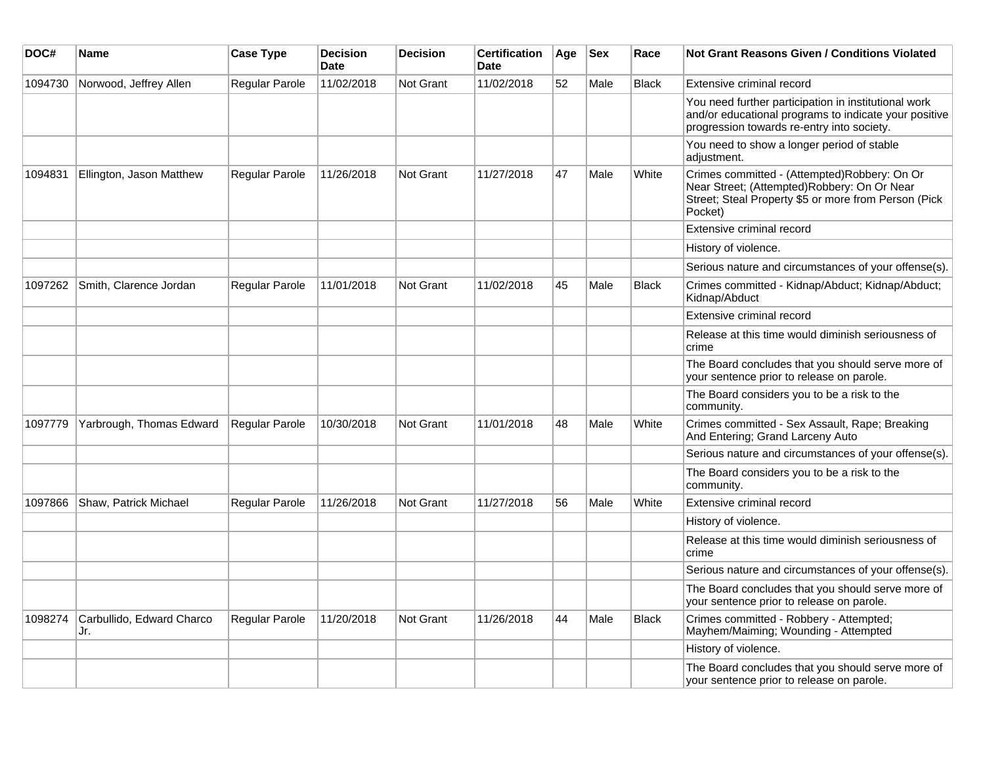| DOC#    | <b>Name</b>                      | <b>Case Type</b> | <b>Decision</b><br><b>Date</b> | <b>Decision</b>  | <b>Certification</b><br>Date | Age | <b>Sex</b> | Race         | Not Grant Reasons Given / Conditions Violated                                                                                                                  |
|---------|----------------------------------|------------------|--------------------------------|------------------|------------------------------|-----|------------|--------------|----------------------------------------------------------------------------------------------------------------------------------------------------------------|
| 1094730 | Norwood, Jeffrey Allen           | Regular Parole   | 11/02/2018                     | Not Grant        | 11/02/2018                   | 52  | Male       | <b>Black</b> | Extensive criminal record                                                                                                                                      |
|         |                                  |                  |                                |                  |                              |     |            |              | You need further participation in institutional work<br>and/or educational programs to indicate your positive<br>progression towards re-entry into society.    |
|         |                                  |                  |                                |                  |                              |     |            |              | You need to show a longer period of stable<br>adjustment.                                                                                                      |
| 1094831 | Ellington, Jason Matthew         | Regular Parole   | 11/26/2018                     | Not Grant        | 11/27/2018                   | 47  | Male       | White        | Crimes committed - (Attempted)Robbery: On Or<br>Near Street; (Attempted)Robbery: On Or Near<br>Street; Steal Property \$5 or more from Person (Pick<br>Pocket) |
|         |                                  |                  |                                |                  |                              |     |            |              | Extensive criminal record                                                                                                                                      |
|         |                                  |                  |                                |                  |                              |     |            |              | History of violence.                                                                                                                                           |
|         |                                  |                  |                                |                  |                              |     |            |              | Serious nature and circumstances of your offense(s).                                                                                                           |
| 1097262 | Smith, Clarence Jordan           | Regular Parole   | 11/01/2018                     | <b>Not Grant</b> | 11/02/2018                   | 45  | Male       | <b>Black</b> | Crimes committed - Kidnap/Abduct; Kidnap/Abduct;<br>Kidnap/Abduct                                                                                              |
|         |                                  |                  |                                |                  |                              |     |            |              | Extensive criminal record                                                                                                                                      |
|         |                                  |                  |                                |                  |                              |     |            |              | Release at this time would diminish seriousness of<br>crime                                                                                                    |
|         |                                  |                  |                                |                  |                              |     |            |              | The Board concludes that you should serve more of<br>your sentence prior to release on parole.                                                                 |
|         |                                  |                  |                                |                  |                              |     |            |              | The Board considers you to be a risk to the<br>community.                                                                                                      |
| 1097779 | Yarbrough, Thomas Edward         | Regular Parole   | 10/30/2018                     | <b>Not Grant</b> | 11/01/2018                   | 48  | Male       | White        | Crimes committed - Sex Assault, Rape; Breaking<br>And Entering; Grand Larceny Auto                                                                             |
|         |                                  |                  |                                |                  |                              |     |            |              | Serious nature and circumstances of your offense(s).                                                                                                           |
|         |                                  |                  |                                |                  |                              |     |            |              | The Board considers you to be a risk to the<br>community.                                                                                                      |
| 1097866 | Shaw, Patrick Michael            | Regular Parole   | 11/26/2018                     | <b>Not Grant</b> | 11/27/2018                   | 56  | Male       | White        | Extensive criminal record                                                                                                                                      |
|         |                                  |                  |                                |                  |                              |     |            |              | History of violence.                                                                                                                                           |
|         |                                  |                  |                                |                  |                              |     |            |              | Release at this time would diminish seriousness of<br>crime                                                                                                    |
|         |                                  |                  |                                |                  |                              |     |            |              | Serious nature and circumstances of your offense(s).                                                                                                           |
|         |                                  |                  |                                |                  |                              |     |            |              | The Board concludes that you should serve more of<br>your sentence prior to release on parole.                                                                 |
| 1098274 | Carbullido, Edward Charco<br>Jr. | Regular Parole   | 11/20/2018                     | Not Grant        | 11/26/2018                   | 44  | Male       | <b>Black</b> | Crimes committed - Robbery - Attempted;<br>Mayhem/Maiming; Wounding - Attempted                                                                                |
|         |                                  |                  |                                |                  |                              |     |            |              | History of violence.                                                                                                                                           |
|         |                                  |                  |                                |                  |                              |     |            |              | The Board concludes that you should serve more of<br>your sentence prior to release on parole.                                                                 |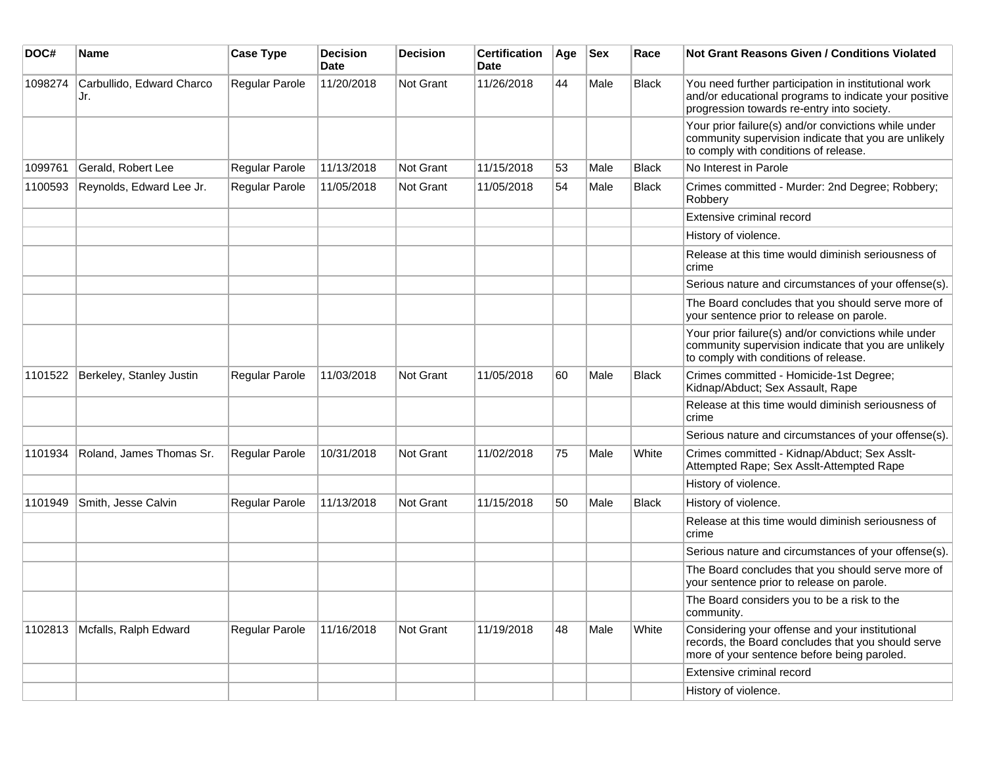| DOC#    | <b>Name</b>                      | <b>Case Type</b>      | <b>Decision</b><br><b>Date</b> | <b>Decision</b> | <b>Certification</b><br>Date | Age | <b>Sex</b> | Race         | Not Grant Reasons Given / Conditions Violated                                                                                                               |
|---------|----------------------------------|-----------------------|--------------------------------|-----------------|------------------------------|-----|------------|--------------|-------------------------------------------------------------------------------------------------------------------------------------------------------------|
| 1098274 | Carbullido, Edward Charco<br>Jr. | Regular Parole        | 11/20/2018                     | Not Grant       | 11/26/2018                   | 44  | Male       | Black        | You need further participation in institutional work<br>and/or educational programs to indicate your positive<br>progression towards re-entry into society. |
|         |                                  |                       |                                |                 |                              |     |            |              | Your prior failure(s) and/or convictions while under<br>community supervision indicate that you are unlikely<br>to comply with conditions of release.       |
| 1099761 | Gerald, Robert Lee               | Regular Parole        | 11/13/2018                     | Not Grant       | 11/15/2018                   | 53  | Male       | <b>Black</b> | No Interest in Parole                                                                                                                                       |
| 1100593 | Reynolds, Edward Lee Jr.         | Regular Parole        | 11/05/2018                     | Not Grant       | 11/05/2018                   | 54  | Male       | <b>Black</b> | Crimes committed - Murder: 2nd Degree; Robbery;<br>Robbery                                                                                                  |
|         |                                  |                       |                                |                 |                              |     |            |              | Extensive criminal record                                                                                                                                   |
|         |                                  |                       |                                |                 |                              |     |            |              | History of violence.                                                                                                                                        |
|         |                                  |                       |                                |                 |                              |     |            |              | Release at this time would diminish seriousness of<br>crime                                                                                                 |
|         |                                  |                       |                                |                 |                              |     |            |              | Serious nature and circumstances of your offense(s).                                                                                                        |
|         |                                  |                       |                                |                 |                              |     |            |              | The Board concludes that you should serve more of<br>your sentence prior to release on parole.                                                              |
|         |                                  |                       |                                |                 |                              |     |            |              | Your prior failure(s) and/or convictions while under<br>community supervision indicate that you are unlikely<br>to comply with conditions of release.       |
| 1101522 | Berkeley, Stanley Justin         | <b>Regular Parole</b> | 11/03/2018                     | Not Grant       | 11/05/2018                   | 60  | Male       | <b>Black</b> | Crimes committed - Homicide-1st Degree;<br>Kidnap/Abduct; Sex Assault, Rape                                                                                 |
|         |                                  |                       |                                |                 |                              |     |            |              | Release at this time would diminish seriousness of<br>crime                                                                                                 |
|         |                                  |                       |                                |                 |                              |     |            |              | Serious nature and circumstances of your offense(s).                                                                                                        |
| 1101934 | Roland, James Thomas Sr.         | Regular Parole        | 10/31/2018                     | Not Grant       | 11/02/2018                   | 75  | Male       | White        | Crimes committed - Kidnap/Abduct; Sex Asslt-<br>Attempted Rape; Sex Asslt-Attempted Rape                                                                    |
|         |                                  |                       |                                |                 |                              |     |            |              | History of violence.                                                                                                                                        |
| 1101949 | Smith, Jesse Calvin              | Regular Parole        | 11/13/2018                     | Not Grant       | 11/15/2018                   | 50  | Male       | <b>Black</b> | History of violence.                                                                                                                                        |
|         |                                  |                       |                                |                 |                              |     |            |              | Release at this time would diminish seriousness of<br>crime                                                                                                 |
|         |                                  |                       |                                |                 |                              |     |            |              | Serious nature and circumstances of your offense(s).                                                                                                        |
|         |                                  |                       |                                |                 |                              |     |            |              | The Board concludes that you should serve more of<br>your sentence prior to release on parole.                                                              |
|         |                                  |                       |                                |                 |                              |     |            |              | The Board considers you to be a risk to the<br>community.                                                                                                   |
| 1102813 | Mcfalls, Ralph Edward            | Regular Parole        | 11/16/2018                     | Not Grant       | 11/19/2018                   | 48  | Male       | White        | Considering your offense and your institutional<br>records, the Board concludes that you should serve<br>more of your sentence before being paroled.        |
|         |                                  |                       |                                |                 |                              |     |            |              | Extensive criminal record                                                                                                                                   |
|         |                                  |                       |                                |                 |                              |     |            |              | History of violence.                                                                                                                                        |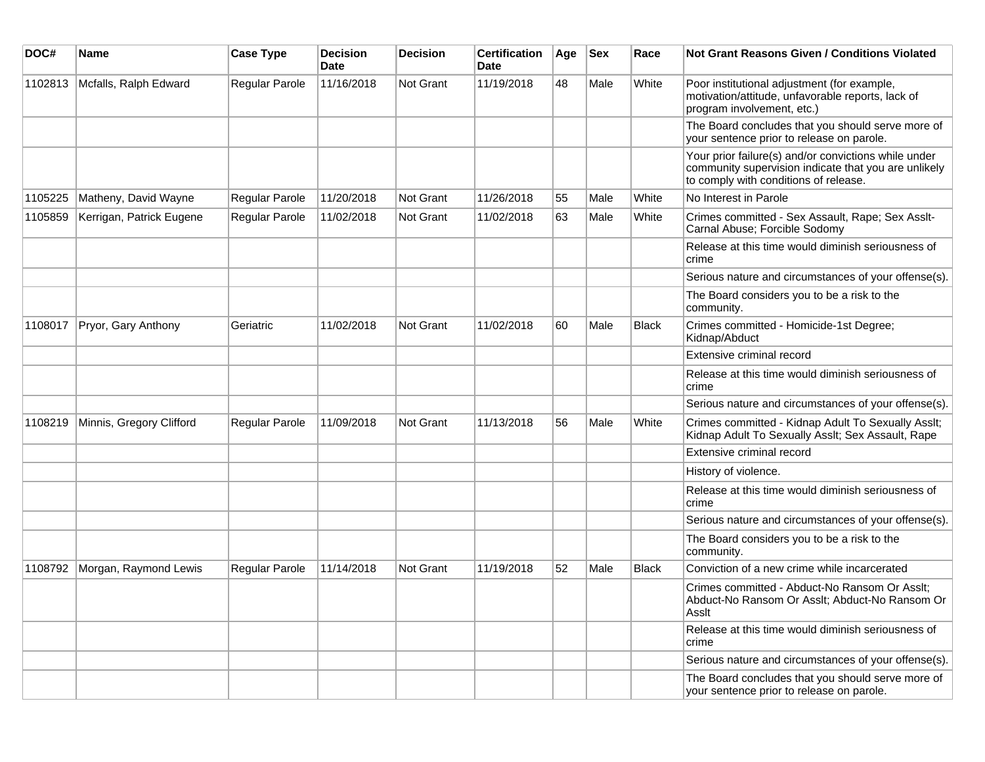| DOC#    | <b>Name</b>              | <b>Case Type</b>      | <b>Decision</b><br><b>Date</b> | <b>Decision</b> | <b>Certification</b><br>Date | Age | <b>Sex</b> | Race         | Not Grant Reasons Given / Conditions Violated                                                                                                         |
|---------|--------------------------|-----------------------|--------------------------------|-----------------|------------------------------|-----|------------|--------------|-------------------------------------------------------------------------------------------------------------------------------------------------------|
| 1102813 | Mcfalls, Ralph Edward    | Regular Parole        | 11/16/2018                     | Not Grant       | 11/19/2018                   | 48  | Male       | White        | Poor institutional adjustment (for example,<br>motivation/attitude, unfavorable reports, lack of<br>program involvement, etc.)                        |
|         |                          |                       |                                |                 |                              |     |            |              | The Board concludes that you should serve more of<br>your sentence prior to release on parole.                                                        |
|         |                          |                       |                                |                 |                              |     |            |              | Your prior failure(s) and/or convictions while under<br>community supervision indicate that you are unlikely<br>to comply with conditions of release. |
| 1105225 | Matheny, David Wayne     | Regular Parole        | 11/20/2018                     | Not Grant       | 11/26/2018                   | 55  | Male       | White        | No Interest in Parole                                                                                                                                 |
| 1105859 | Kerrigan, Patrick Eugene | <b>Regular Parole</b> | 11/02/2018                     | Not Grant       | 11/02/2018                   | 63  | Male       | White        | Crimes committed - Sex Assault, Rape; Sex Asslt-<br>Carnal Abuse; Forcible Sodomy                                                                     |
|         |                          |                       |                                |                 |                              |     |            |              | Release at this time would diminish seriousness of<br>crime                                                                                           |
|         |                          |                       |                                |                 |                              |     |            |              | Serious nature and circumstances of your offense(s).                                                                                                  |
|         |                          |                       |                                |                 |                              |     |            |              | The Board considers you to be a risk to the<br>community.                                                                                             |
| 1108017 | Pryor, Gary Anthony      | Geriatric             | 11/02/2018                     | Not Grant       | 11/02/2018                   | 60  | Male       | <b>Black</b> | Crimes committed - Homicide-1st Degree;<br>Kidnap/Abduct                                                                                              |
|         |                          |                       |                                |                 |                              |     |            |              | Extensive criminal record                                                                                                                             |
|         |                          |                       |                                |                 |                              |     |            |              | Release at this time would diminish seriousness of<br>crime                                                                                           |
|         |                          |                       |                                |                 |                              |     |            |              | Serious nature and circumstances of your offense(s).                                                                                                  |
| 1108219 | Minnis, Gregory Clifford | <b>Regular Parole</b> | 11/09/2018                     | Not Grant       | 11/13/2018                   | 56  | Male       | White        | Crimes committed - Kidnap Adult To Sexually Asslt;<br>Kidnap Adult To Sexually Asslt; Sex Assault, Rape                                               |
|         |                          |                       |                                |                 |                              |     |            |              | Extensive criminal record                                                                                                                             |
|         |                          |                       |                                |                 |                              |     |            |              | History of violence.                                                                                                                                  |
|         |                          |                       |                                |                 |                              |     |            |              | Release at this time would diminish seriousness of<br>crime                                                                                           |
|         |                          |                       |                                |                 |                              |     |            |              | Serious nature and circumstances of your offense(s).                                                                                                  |
|         |                          |                       |                                |                 |                              |     |            |              | The Board considers you to be a risk to the<br>community.                                                                                             |
| 1108792 | Morgan, Raymond Lewis    | <b>Regular Parole</b> | 11/14/2018                     | Not Grant       | 11/19/2018                   | 52  | Male       | <b>Black</b> | Conviction of a new crime while incarcerated                                                                                                          |
|         |                          |                       |                                |                 |                              |     |            |              | Crimes committed - Abduct-No Ransom Or Asslt;<br>Abduct-No Ransom Or Asslt; Abduct-No Ransom Or<br>Asslt                                              |
|         |                          |                       |                                |                 |                              |     |            |              | Release at this time would diminish seriousness of<br>crime                                                                                           |
|         |                          |                       |                                |                 |                              |     |            |              | Serious nature and circumstances of your offense(s).                                                                                                  |
|         |                          |                       |                                |                 |                              |     |            |              | The Board concludes that you should serve more of<br>your sentence prior to release on parole.                                                        |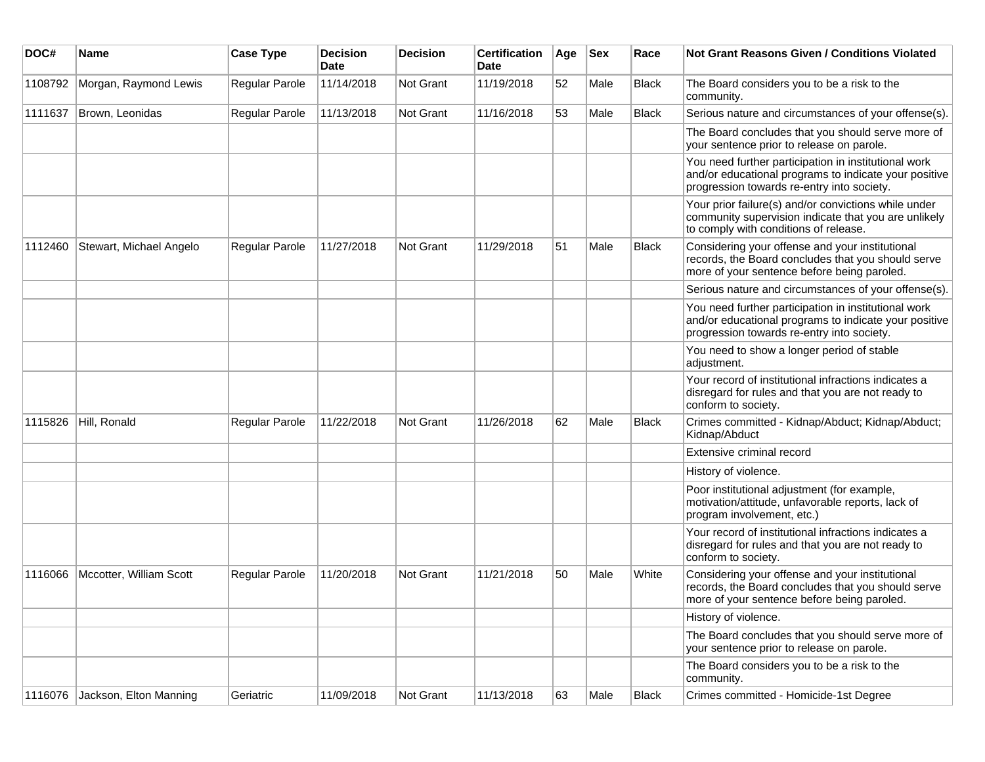| DOC#    | <b>Name</b>             | <b>Case Type</b> | <b>Decision</b><br><b>Date</b> | <b>Decision</b> | <b>Certification</b><br><b>Date</b> | Age | <b>Sex</b> | Race         | <b>Not Grant Reasons Given / Conditions Violated</b>                                                                                                        |
|---------|-------------------------|------------------|--------------------------------|-----------------|-------------------------------------|-----|------------|--------------|-------------------------------------------------------------------------------------------------------------------------------------------------------------|
| 1108792 | Morgan, Raymond Lewis   | Regular Parole   | 11/14/2018                     | Not Grant       | 11/19/2018                          | 52  | Male       | <b>Black</b> | The Board considers you to be a risk to the<br>community.                                                                                                   |
| 1111637 | Brown, Leonidas         | Regular Parole   | 11/13/2018                     | Not Grant       | 11/16/2018                          | 53  | Male       | <b>Black</b> | Serious nature and circumstances of your offense(s).                                                                                                        |
|         |                         |                  |                                |                 |                                     |     |            |              | The Board concludes that you should serve more of<br>your sentence prior to release on parole.                                                              |
|         |                         |                  |                                |                 |                                     |     |            |              | You need further participation in institutional work<br>and/or educational programs to indicate your positive<br>progression towards re-entry into society. |
|         |                         |                  |                                |                 |                                     |     |            |              | Your prior failure(s) and/or convictions while under<br>community supervision indicate that you are unlikely<br>to comply with conditions of release.       |
| 1112460 | Stewart, Michael Angelo | Regular Parole   | 11/27/2018                     | Not Grant       | 11/29/2018                          | 51  | Male       | <b>Black</b> | Considering your offense and your institutional<br>records, the Board concludes that you should serve<br>more of your sentence before being paroled.        |
|         |                         |                  |                                |                 |                                     |     |            |              | Serious nature and circumstances of your offense(s).                                                                                                        |
|         |                         |                  |                                |                 |                                     |     |            |              | You need further participation in institutional work<br>and/or educational programs to indicate your positive<br>progression towards re-entry into society. |
|         |                         |                  |                                |                 |                                     |     |            |              | You need to show a longer period of stable<br>adjustment.                                                                                                   |
|         |                         |                  |                                |                 |                                     |     |            |              | Your record of institutional infractions indicates a<br>disregard for rules and that you are not ready to<br>conform to society.                            |
| 1115826 | Hill, Ronald            | Regular Parole   | 11/22/2018                     | Not Grant       | 11/26/2018                          | 62  | Male       | <b>Black</b> | Crimes committed - Kidnap/Abduct; Kidnap/Abduct;<br>Kidnap/Abduct                                                                                           |
|         |                         |                  |                                |                 |                                     |     |            |              | Extensive criminal record                                                                                                                                   |
|         |                         |                  |                                |                 |                                     |     |            |              | History of violence.                                                                                                                                        |
|         |                         |                  |                                |                 |                                     |     |            |              | Poor institutional adjustment (for example,<br>motivation/attitude, unfavorable reports, lack of<br>program involvement, etc.)                              |
|         |                         |                  |                                |                 |                                     |     |            |              | Your record of institutional infractions indicates a<br>disregard for rules and that you are not ready to<br>conform to society.                            |
| 1116066 | Mccotter, William Scott | Regular Parole   | 11/20/2018                     | Not Grant       | 11/21/2018                          | 50  | Male       | White        | Considering your offense and your institutional<br>records, the Board concludes that you should serve<br>more of your sentence before being paroled.        |
|         |                         |                  |                                |                 |                                     |     |            |              | History of violence.                                                                                                                                        |
|         |                         |                  |                                |                 |                                     |     |            |              | The Board concludes that you should serve more of<br>your sentence prior to release on parole.                                                              |
|         |                         |                  |                                |                 |                                     |     |            |              | The Board considers you to be a risk to the<br>community.                                                                                                   |
| 1116076 | Jackson, Elton Manning  | Geriatric        | 11/09/2018                     | Not Grant       | 11/13/2018                          | 63  | Male       | Black        | Crimes committed - Homicide-1st Degree                                                                                                                      |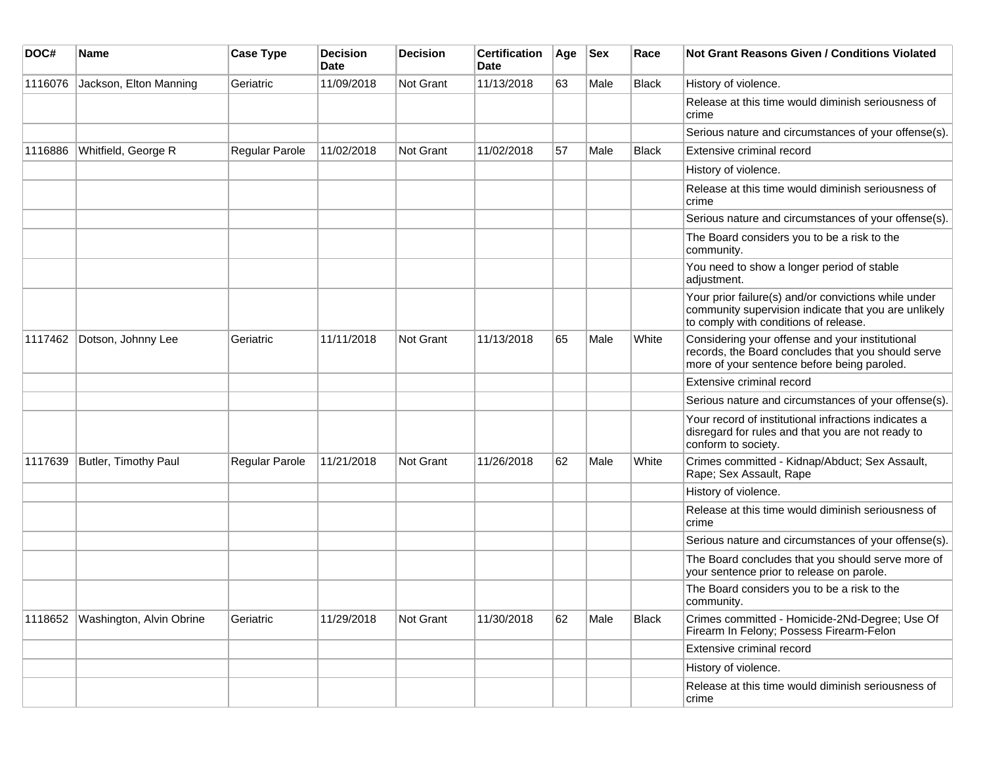| DOC#    | <b>Name</b>              | <b>Case Type</b> | <b>Decision</b><br><b>Date</b> | <b>Decision</b> | <b>Certification</b><br>Date | Age | <b>Sex</b> | Race  | <b>Not Grant Reasons Given / Conditions Violated</b>                                                                                                  |
|---------|--------------------------|------------------|--------------------------------|-----------------|------------------------------|-----|------------|-------|-------------------------------------------------------------------------------------------------------------------------------------------------------|
| 1116076 | Jackson, Elton Manning   | Geriatric        | 11/09/2018                     | Not Grant       | 11/13/2018                   | 63  | Male       | Black | History of violence.                                                                                                                                  |
|         |                          |                  |                                |                 |                              |     |            |       | Release at this time would diminish seriousness of<br>crime                                                                                           |
|         |                          |                  |                                |                 |                              |     |            |       | Serious nature and circumstances of your offense(s).                                                                                                  |
| 1116886 | Whitfield, George R      | Regular Parole   | 11/02/2018                     | Not Grant       | 11/02/2018                   | 57  | Male       | Black | Extensive criminal record                                                                                                                             |
|         |                          |                  |                                |                 |                              |     |            |       | History of violence.                                                                                                                                  |
|         |                          |                  |                                |                 |                              |     |            |       | Release at this time would diminish seriousness of<br>crime                                                                                           |
|         |                          |                  |                                |                 |                              |     |            |       | Serious nature and circumstances of your offense(s).                                                                                                  |
|         |                          |                  |                                |                 |                              |     |            |       | The Board considers you to be a risk to the<br>community.                                                                                             |
|         |                          |                  |                                |                 |                              |     |            |       | You need to show a longer period of stable<br>adjustment.                                                                                             |
|         |                          |                  |                                |                 |                              |     |            |       | Your prior failure(s) and/or convictions while under<br>community supervision indicate that you are unlikely<br>to comply with conditions of release. |
| 1117462 | Dotson, Johnny Lee       | Geriatric        | 11/11/2018                     | Not Grant       | 11/13/2018                   | 65  | Male       | White | Considering your offense and your institutional<br>records, the Board concludes that you should serve<br>more of your sentence before being paroled.  |
|         |                          |                  |                                |                 |                              |     |            |       | Extensive criminal record                                                                                                                             |
|         |                          |                  |                                |                 |                              |     |            |       | Serious nature and circumstances of your offense(s).                                                                                                  |
|         |                          |                  |                                |                 |                              |     |            |       | Your record of institutional infractions indicates a<br>disregard for rules and that you are not ready to<br>conform to society.                      |
| 1117639 | Butler, Timothy Paul     | Regular Parole   | 11/21/2018                     | Not Grant       | 11/26/2018                   | 62  | Male       | White | Crimes committed - Kidnap/Abduct; Sex Assault,<br>Rape; Sex Assault, Rape                                                                             |
|         |                          |                  |                                |                 |                              |     |            |       | History of violence.                                                                                                                                  |
|         |                          |                  |                                |                 |                              |     |            |       | Release at this time would diminish seriousness of<br>crime                                                                                           |
|         |                          |                  |                                |                 |                              |     |            |       | Serious nature and circumstances of your offense(s).                                                                                                  |
|         |                          |                  |                                |                 |                              |     |            |       | The Board concludes that you should serve more of<br>your sentence prior to release on parole.                                                        |
|         |                          |                  |                                |                 |                              |     |            |       | The Board considers you to be a risk to the<br>community.                                                                                             |
| 1118652 | Washington, Alvin Obrine | Geriatric        | 11/29/2018                     | Not Grant       | 11/30/2018                   | 62  | Male       | Black | Crimes committed - Homicide-2Nd-Degree; Use Of<br>Firearm In Felony; Possess Firearm-Felon                                                            |
|         |                          |                  |                                |                 |                              |     |            |       | Extensive criminal record                                                                                                                             |
|         |                          |                  |                                |                 |                              |     |            |       | History of violence.                                                                                                                                  |
|         |                          |                  |                                |                 |                              |     |            |       | Release at this time would diminish seriousness of<br>crime                                                                                           |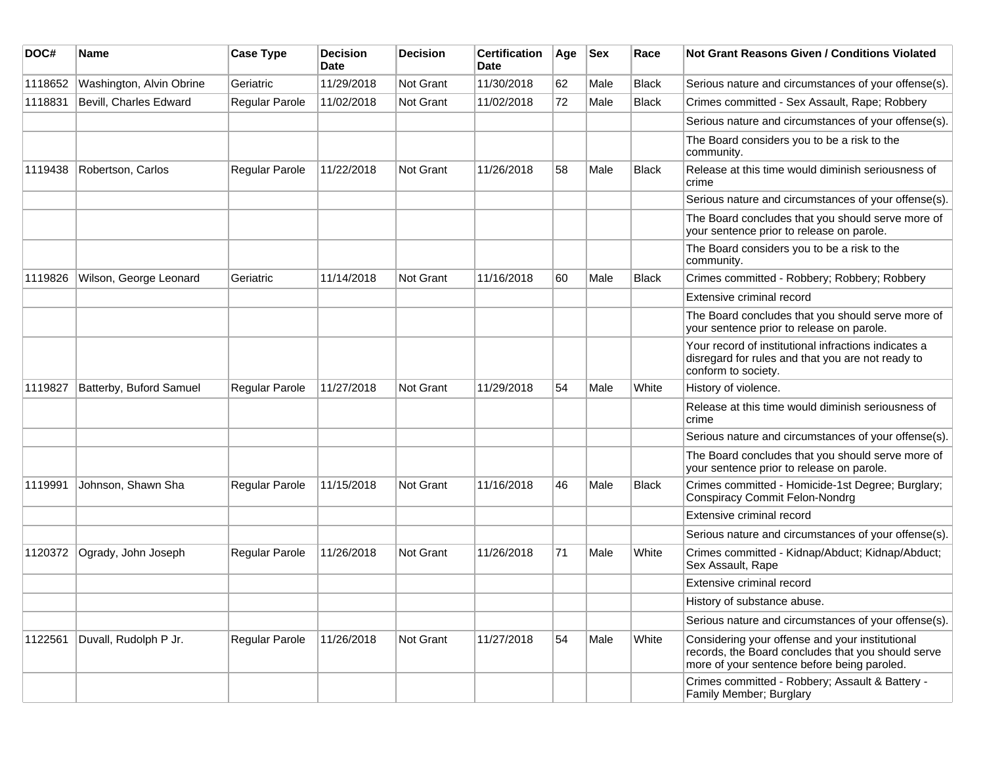| DOC#    | <b>Name</b>              | <b>Case Type</b> | <b>Decision</b><br>Date | <b>Decision</b>  | <b>Certification</b><br><b>Date</b> | Age | <b>Sex</b> | Race         | <b>Not Grant Reasons Given / Conditions Violated</b>                                                                                                 |
|---------|--------------------------|------------------|-------------------------|------------------|-------------------------------------|-----|------------|--------------|------------------------------------------------------------------------------------------------------------------------------------------------------|
| 1118652 | Washington, Alvin Obrine | Geriatric        | 11/29/2018              | Not Grant        | 11/30/2018                          | 62  | Male       | <b>Black</b> | Serious nature and circumstances of your offense(s).                                                                                                 |
| 1118831 | Bevill, Charles Edward   | Regular Parole   | 11/02/2018              | <b>Not Grant</b> | 11/02/2018                          | 72  | Male       | <b>Black</b> | Crimes committed - Sex Assault, Rape; Robbery                                                                                                        |
|         |                          |                  |                         |                  |                                     |     |            |              | Serious nature and circumstances of your offense(s).                                                                                                 |
|         |                          |                  |                         |                  |                                     |     |            |              | The Board considers you to be a risk to the<br>community.                                                                                            |
| 1119438 | Robertson, Carlos        | Regular Parole   | 11/22/2018              | Not Grant        | 11/26/2018                          | 58  | Male       | <b>Black</b> | Release at this time would diminish seriousness of<br>crime                                                                                          |
|         |                          |                  |                         |                  |                                     |     |            |              | Serious nature and circumstances of your offense(s).                                                                                                 |
|         |                          |                  |                         |                  |                                     |     |            |              | The Board concludes that you should serve more of<br>your sentence prior to release on parole.                                                       |
|         |                          |                  |                         |                  |                                     |     |            |              | The Board considers you to be a risk to the<br>community.                                                                                            |
| 1119826 | Wilson, George Leonard   | Geriatric        | 11/14/2018              | Not Grant        | 11/16/2018                          | 60  | Male       | <b>Black</b> | Crimes committed - Robbery; Robbery; Robbery                                                                                                         |
|         |                          |                  |                         |                  |                                     |     |            |              | Extensive criminal record                                                                                                                            |
|         |                          |                  |                         |                  |                                     |     |            |              | The Board concludes that you should serve more of<br>your sentence prior to release on parole.                                                       |
|         |                          |                  |                         |                  |                                     |     |            |              | Your record of institutional infractions indicates a<br>disregard for rules and that you are not ready to<br>conform to society.                     |
| 1119827 | Batterby, Buford Samuel  | Regular Parole   | 11/27/2018              | Not Grant        | 11/29/2018                          | 54  | Male       | White        | History of violence.                                                                                                                                 |
|         |                          |                  |                         |                  |                                     |     |            |              | Release at this time would diminish seriousness of<br>crime                                                                                          |
|         |                          |                  |                         |                  |                                     |     |            |              | Serious nature and circumstances of your offense(s).                                                                                                 |
|         |                          |                  |                         |                  |                                     |     |            |              | The Board concludes that you should serve more of<br>your sentence prior to release on parole.                                                       |
| 1119991 | Johnson, Shawn Sha       | Regular Parole   | 11/15/2018              | Not Grant        | 11/16/2018                          | 46  | Male       | <b>Black</b> | Crimes committed - Homicide-1st Degree; Burglary;<br><b>Conspiracy Commit Felon-Nondrg</b>                                                           |
|         |                          |                  |                         |                  |                                     |     |            |              | Extensive criminal record                                                                                                                            |
|         |                          |                  |                         |                  |                                     |     |            |              | Serious nature and circumstances of your offense(s).                                                                                                 |
| 1120372 | Ogrady, John Joseph      | Regular Parole   | 11/26/2018              | Not Grant        | 11/26/2018                          | 71  | Male       | White        | Crimes committed - Kidnap/Abduct; Kidnap/Abduct;<br>Sex Assault, Rape                                                                                |
|         |                          |                  |                         |                  |                                     |     |            |              | Extensive criminal record                                                                                                                            |
|         |                          |                  |                         |                  |                                     |     |            |              | History of substance abuse.                                                                                                                          |
|         |                          |                  |                         |                  |                                     |     |            |              | Serious nature and circumstances of your offense(s).                                                                                                 |
| 1122561 | Duvall, Rudolph P Jr.    | Regular Parole   | 11/26/2018              | Not Grant        | 11/27/2018                          | 54  | Male       | White        | Considering your offense and your institutional<br>records, the Board concludes that you should serve<br>more of your sentence before being paroled. |
|         |                          |                  |                         |                  |                                     |     |            |              | Crimes committed - Robbery; Assault & Battery -<br>Family Member; Burglary                                                                           |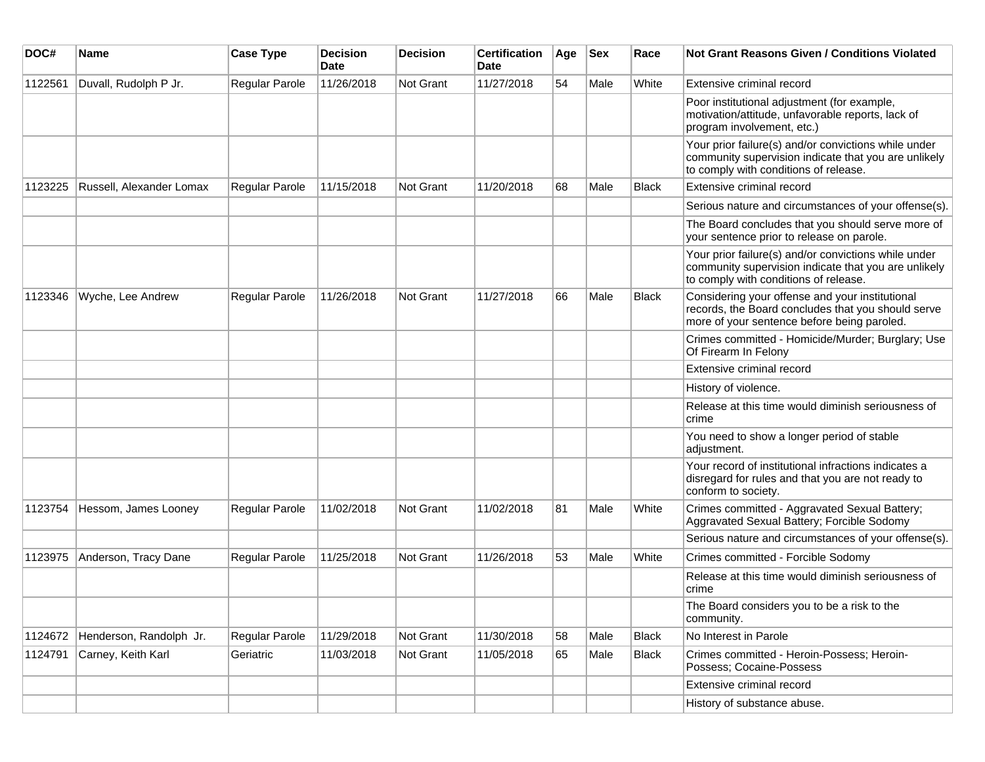| DOC#    | Name                     | <b>Case Type</b> | <b>Decision</b><br><b>Date</b> | <b>Decision</b>  | <b>Certification</b><br>Date | Age | <b>Sex</b> | Race         | <b>Not Grant Reasons Given / Conditions Violated</b>                                                                                                  |
|---------|--------------------------|------------------|--------------------------------|------------------|------------------------------|-----|------------|--------------|-------------------------------------------------------------------------------------------------------------------------------------------------------|
| 1122561 | Duvall, Rudolph P Jr.    | Regular Parole   | 11/26/2018                     | <b>Not Grant</b> | 11/27/2018                   | 54  | Male       | White        | Extensive criminal record                                                                                                                             |
|         |                          |                  |                                |                  |                              |     |            |              | Poor institutional adjustment (for example,<br>motivation/attitude, unfavorable reports, lack of<br>program involvement, etc.)                        |
|         |                          |                  |                                |                  |                              |     |            |              | Your prior failure(s) and/or convictions while under<br>community supervision indicate that you are unlikely<br>to comply with conditions of release. |
| 1123225 | Russell, Alexander Lomax | Regular Parole   | 11/15/2018                     | <b>Not Grant</b> | 11/20/2018                   | 68  | Male       | <b>Black</b> | Extensive criminal record                                                                                                                             |
|         |                          |                  |                                |                  |                              |     |            |              | Serious nature and circumstances of your offense(s).                                                                                                  |
|         |                          |                  |                                |                  |                              |     |            |              | The Board concludes that you should serve more of<br>your sentence prior to release on parole.                                                        |
|         |                          |                  |                                |                  |                              |     |            |              | Your prior failure(s) and/or convictions while under<br>community supervision indicate that you are unlikely<br>to comply with conditions of release. |
| 1123346 | Wyche, Lee Andrew        | Regular Parole   | 11/26/2018                     | <b>Not Grant</b> | 11/27/2018                   | 66  | Male       | <b>Black</b> | Considering your offense and your institutional<br>records, the Board concludes that you should serve<br>more of your sentence before being paroled.  |
|         |                          |                  |                                |                  |                              |     |            |              | Crimes committed - Homicide/Murder; Burglary; Use<br>Of Firearm In Felony                                                                             |
|         |                          |                  |                                |                  |                              |     |            |              | <b>Extensive criminal record</b>                                                                                                                      |
|         |                          |                  |                                |                  |                              |     |            |              | History of violence.                                                                                                                                  |
|         |                          |                  |                                |                  |                              |     |            |              | Release at this time would diminish seriousness of<br>crime                                                                                           |
|         |                          |                  |                                |                  |                              |     |            |              | You need to show a longer period of stable<br>adjustment.                                                                                             |
|         |                          |                  |                                |                  |                              |     |            |              | Your record of institutional infractions indicates a<br>disregard for rules and that you are not ready to<br>conform to society.                      |
| 1123754 | Hessom, James Looney     | Regular Parole   | 11/02/2018                     | Not Grant        | 11/02/2018                   | 81  | Male       | White        | Crimes committed - Aggravated Sexual Battery;<br>Aggravated Sexual Battery; Forcible Sodomy                                                           |
|         |                          |                  |                                |                  |                              |     |            |              | Serious nature and circumstances of your offense(s).                                                                                                  |
| 1123975 | Anderson, Tracy Dane     | Regular Parole   | 11/25/2018                     | <b>Not Grant</b> | 11/26/2018                   | 53  | Male       | White        | Crimes committed - Forcible Sodomy                                                                                                                    |
|         |                          |                  |                                |                  |                              |     |            |              | Release at this time would diminish seriousness of<br>crime                                                                                           |
|         |                          |                  |                                |                  |                              |     |            |              | The Board considers you to be a risk to the<br>community.                                                                                             |
| 1124672 | Henderson, Randolph Jr.  | Regular Parole   | 11/29/2018                     | Not Grant        | 11/30/2018                   | 58  | Male       | <b>Black</b> | No Interest in Parole                                                                                                                                 |
| 1124791 | Carney, Keith Karl       | Geriatric        | 11/03/2018                     | Not Grant        | 11/05/2018                   | 65  | Male       | <b>Black</b> | Crimes committed - Heroin-Possess; Heroin-<br>Possess; Cocaine-Possess                                                                                |
|         |                          |                  |                                |                  |                              |     |            |              | Extensive criminal record                                                                                                                             |
|         |                          |                  |                                |                  |                              |     |            |              | History of substance abuse.                                                                                                                           |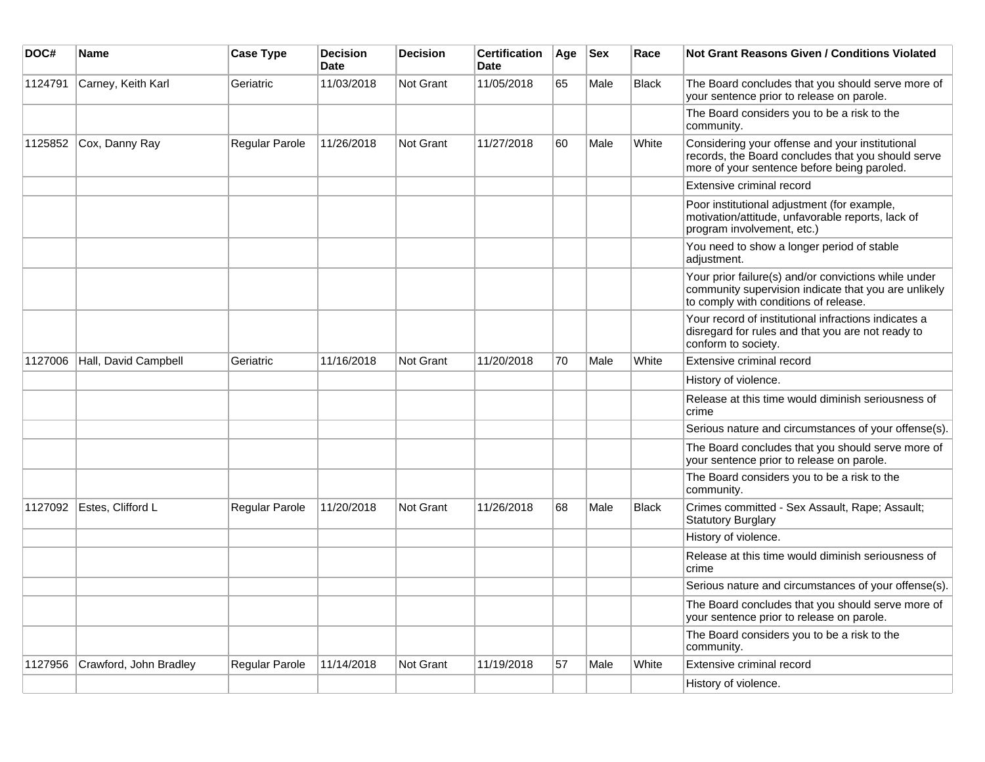| DOC#    | <b>Name</b>            | <b>Case Type</b> | <b>Decision</b><br><b>Date</b> | <b>Decision</b>  | <b>Certification</b><br><b>Date</b> | Age | <b>Sex</b> | Race         | <b>Not Grant Reasons Given / Conditions Violated</b>                                                                                                  |
|---------|------------------------|------------------|--------------------------------|------------------|-------------------------------------|-----|------------|--------------|-------------------------------------------------------------------------------------------------------------------------------------------------------|
| 1124791 | Carney, Keith Karl     | Geriatric        | 11/03/2018                     | Not Grant        | 11/05/2018                          | 65  | Male       | <b>Black</b> | The Board concludes that you should serve more of<br>your sentence prior to release on parole.                                                        |
|         |                        |                  |                                |                  |                                     |     |            |              | The Board considers you to be a risk to the<br>community.                                                                                             |
| 1125852 | Cox, Danny Ray         | Regular Parole   | 11/26/2018                     | <b>Not Grant</b> | 11/27/2018                          | 60  | Male       | White        | Considering your offense and your institutional<br>records, the Board concludes that you should serve<br>more of your sentence before being paroled.  |
|         |                        |                  |                                |                  |                                     |     |            |              | Extensive criminal record                                                                                                                             |
|         |                        |                  |                                |                  |                                     |     |            |              | Poor institutional adjustment (for example,<br>motivation/attitude, unfavorable reports, lack of<br>program involvement, etc.)                        |
|         |                        |                  |                                |                  |                                     |     |            |              | You need to show a longer period of stable<br>adjustment.                                                                                             |
|         |                        |                  |                                |                  |                                     |     |            |              | Your prior failure(s) and/or convictions while under<br>community supervision indicate that you are unlikely<br>to comply with conditions of release. |
|         |                        |                  |                                |                  |                                     |     |            |              | Your record of institutional infractions indicates a<br>disregard for rules and that you are not ready to<br>conform to society.                      |
| 1127006 | Hall, David Campbell   | Geriatric        | 11/16/2018                     | Not Grant        | 11/20/2018                          | 70  | Male       | White        | Extensive criminal record                                                                                                                             |
|         |                        |                  |                                |                  |                                     |     |            |              | History of violence.                                                                                                                                  |
|         |                        |                  |                                |                  |                                     |     |            |              | Release at this time would diminish seriousness of<br>crime                                                                                           |
|         |                        |                  |                                |                  |                                     |     |            |              | Serious nature and circumstances of your offense(s).                                                                                                  |
|         |                        |                  |                                |                  |                                     |     |            |              | The Board concludes that you should serve more of<br>your sentence prior to release on parole.                                                        |
|         |                        |                  |                                |                  |                                     |     |            |              | The Board considers you to be a risk to the<br>community.                                                                                             |
| 1127092 | Estes, Clifford L      | Regular Parole   | 11/20/2018                     | Not Grant        | 11/26/2018                          | 68  | Male       | <b>Black</b> | Crimes committed - Sex Assault, Rape; Assault;<br><b>Statutory Burglary</b>                                                                           |
|         |                        |                  |                                |                  |                                     |     |            |              | History of violence.                                                                                                                                  |
|         |                        |                  |                                |                  |                                     |     |            |              | Release at this time would diminish seriousness of<br>crime                                                                                           |
|         |                        |                  |                                |                  |                                     |     |            |              | Serious nature and circumstances of your offense(s).                                                                                                  |
|         |                        |                  |                                |                  |                                     |     |            |              | The Board concludes that you should serve more of<br>your sentence prior to release on parole.                                                        |
|         |                        |                  |                                |                  |                                     |     |            |              | The Board considers you to be a risk to the<br>community.                                                                                             |
| 1127956 | Crawford, John Bradley | Regular Parole   | 11/14/2018                     | <b>Not Grant</b> | 11/19/2018                          | 57  | Male       | White        | Extensive criminal record                                                                                                                             |
|         |                        |                  |                                |                  |                                     |     |            |              | History of violence.                                                                                                                                  |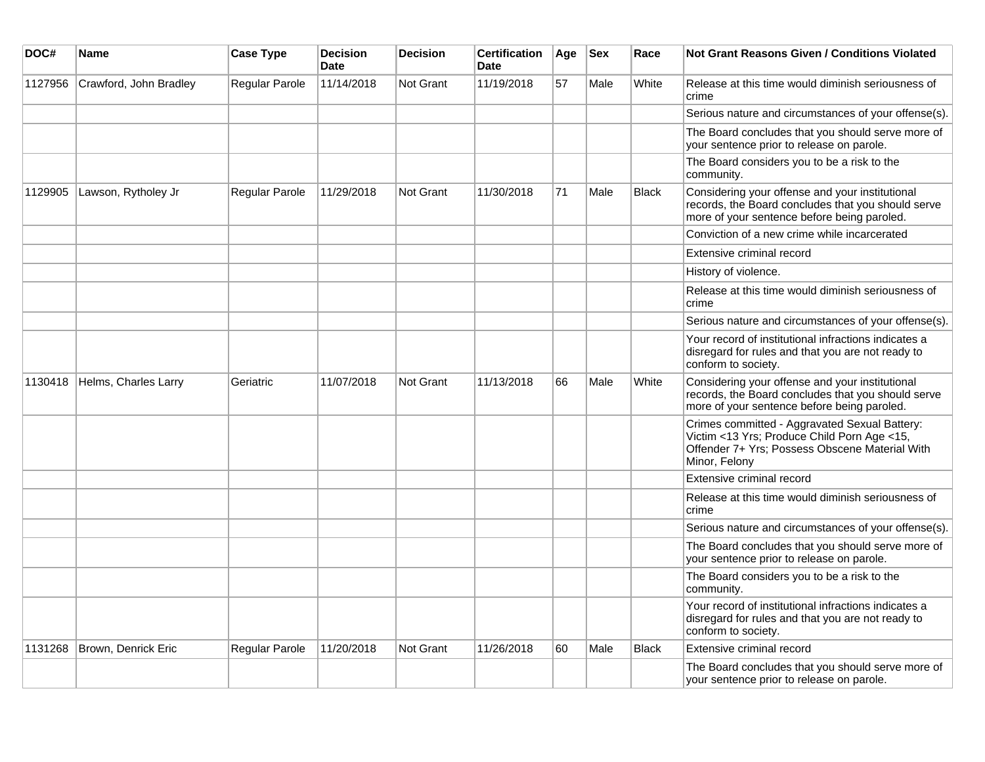| DOC#    | <b>Name</b>            | <b>Case Type</b> | <b>Decision</b><br><b>Date</b> | <b>Decision</b>  | <b>Certification</b><br><b>Date</b> | Age | <b>Sex</b> | Race         | <b>Not Grant Reasons Given / Conditions Violated</b>                                                                                                            |
|---------|------------------------|------------------|--------------------------------|------------------|-------------------------------------|-----|------------|--------------|-----------------------------------------------------------------------------------------------------------------------------------------------------------------|
| 1127956 | Crawford, John Bradley | Regular Parole   | 11/14/2018                     | Not Grant        | 11/19/2018                          | 57  | Male       | White        | Release at this time would diminish seriousness of<br>crime                                                                                                     |
|         |                        |                  |                                |                  |                                     |     |            |              | Serious nature and circumstances of your offense(s).                                                                                                            |
|         |                        |                  |                                |                  |                                     |     |            |              | The Board concludes that you should serve more of<br>your sentence prior to release on parole.                                                                  |
|         |                        |                  |                                |                  |                                     |     |            |              | The Board considers you to be a risk to the<br>community.                                                                                                       |
| 1129905 | Lawson, Rytholey Jr    | Regular Parole   | 11/29/2018                     | Not Grant        | 11/30/2018                          | 71  | Male       | Black        | Considering your offense and your institutional<br>records, the Board concludes that you should serve<br>more of your sentence before being paroled.            |
|         |                        |                  |                                |                  |                                     |     |            |              | Conviction of a new crime while incarcerated                                                                                                                    |
|         |                        |                  |                                |                  |                                     |     |            |              | Extensive criminal record                                                                                                                                       |
|         |                        |                  |                                |                  |                                     |     |            |              | History of violence.                                                                                                                                            |
|         |                        |                  |                                |                  |                                     |     |            |              | Release at this time would diminish seriousness of<br>crime                                                                                                     |
|         |                        |                  |                                |                  |                                     |     |            |              | Serious nature and circumstances of your offense(s).                                                                                                            |
|         |                        |                  |                                |                  |                                     |     |            |              | Your record of institutional infractions indicates a<br>disregard for rules and that you are not ready to<br>conform to society.                                |
| 1130418 | Helms, Charles Larry   | Geriatric        | 11/07/2018                     | Not Grant        | 11/13/2018                          | 66  | Male       | White        | Considering your offense and your institutional<br>records, the Board concludes that you should serve<br>more of your sentence before being paroled.            |
|         |                        |                  |                                |                  |                                     |     |            |              | Crimes committed - Aggravated Sexual Battery:<br>Victim <13 Yrs; Produce Child Porn Age <15,<br>Offender 7+ Yrs; Possess Obscene Material With<br>Minor, Felony |
|         |                        |                  |                                |                  |                                     |     |            |              | Extensive criminal record                                                                                                                                       |
|         |                        |                  |                                |                  |                                     |     |            |              | Release at this time would diminish seriousness of<br>crime                                                                                                     |
|         |                        |                  |                                |                  |                                     |     |            |              | Serious nature and circumstances of your offense(s).                                                                                                            |
|         |                        |                  |                                |                  |                                     |     |            |              | The Board concludes that you should serve more of<br>your sentence prior to release on parole.                                                                  |
|         |                        |                  |                                |                  |                                     |     |            |              | The Board considers you to be a risk to the<br>community.                                                                                                       |
|         |                        |                  |                                |                  |                                     |     |            |              | Your record of institutional infractions indicates a<br>disregard for rules and that you are not ready to<br>conform to society.                                |
| 1131268 | Brown, Denrick Eric    | Regular Parole   | 11/20/2018                     | <b>Not Grant</b> | 11/26/2018                          | 60  | Male       | <b>Black</b> | Extensive criminal record                                                                                                                                       |
|         |                        |                  |                                |                  |                                     |     |            |              | The Board concludes that you should serve more of<br>your sentence prior to release on parole.                                                                  |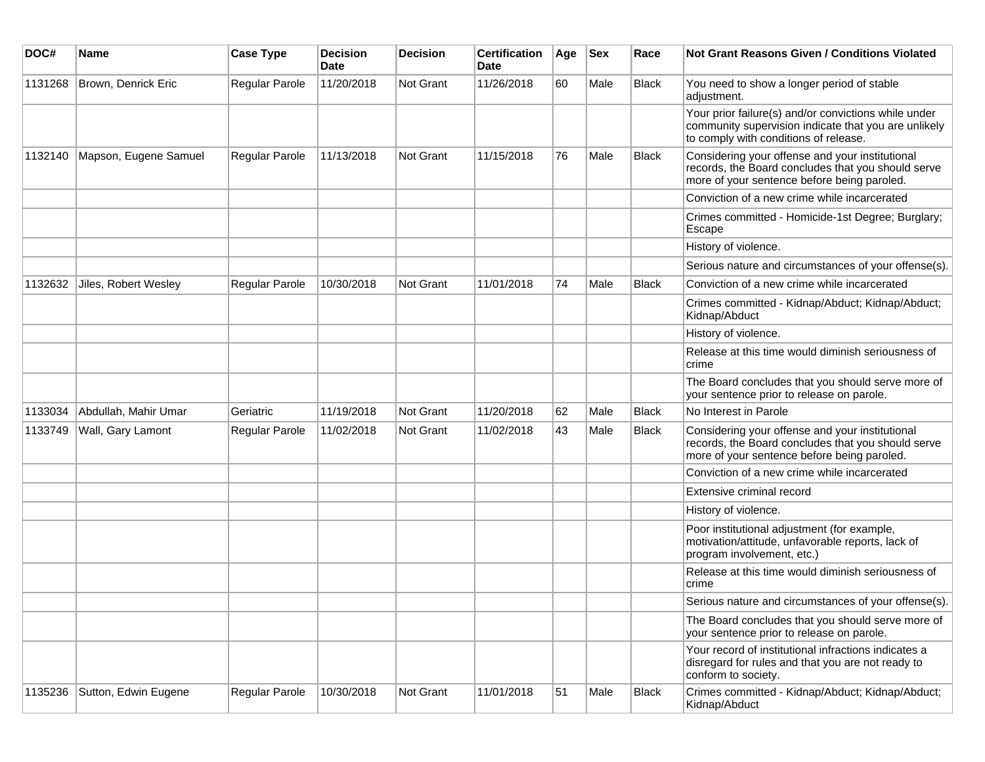| DOC#    | <b>Name</b>           | <b>Case Type</b>      | <b>Decision</b><br><b>Date</b> | <b>Decision</b>  | <b>Certification</b><br>Date | Age | <b>Sex</b> | Race  | <b>Not Grant Reasons Given / Conditions Violated</b>                                                                                                  |
|---------|-----------------------|-----------------------|--------------------------------|------------------|------------------------------|-----|------------|-------|-------------------------------------------------------------------------------------------------------------------------------------------------------|
| 1131268 | Brown, Denrick Eric   | Regular Parole        | 11/20/2018                     | Not Grant        | 11/26/2018                   | 60  | Male       | Black | You need to show a longer period of stable<br>adjustment.                                                                                             |
|         |                       |                       |                                |                  |                              |     |            |       | Your prior failure(s) and/or convictions while under<br>community supervision indicate that you are unlikely<br>to comply with conditions of release. |
| 1132140 | Mapson, Eugene Samuel | Regular Parole        | 11/13/2018                     | Not Grant        | 11/15/2018                   | 76  | Male       | Black | Considering your offense and your institutional<br>records, the Board concludes that you should serve<br>more of your sentence before being paroled.  |
|         |                       |                       |                                |                  |                              |     |            |       | Conviction of a new crime while incarcerated                                                                                                          |
|         |                       |                       |                                |                  |                              |     |            |       | Crimes committed - Homicide-1st Degree; Burglary;<br>Escape                                                                                           |
|         |                       |                       |                                |                  |                              |     |            |       | History of violence.                                                                                                                                  |
|         |                       |                       |                                |                  |                              |     |            |       | Serious nature and circumstances of your offense(s).                                                                                                  |
| 1132632 | Jiles, Robert Wesley  | <b>Regular Parole</b> | 10/30/2018                     | <b>Not Grant</b> | 11/01/2018                   | 74  | Male       | Black | Conviction of a new crime while incarcerated                                                                                                          |
|         |                       |                       |                                |                  |                              |     |            |       | Crimes committed - Kidnap/Abduct; Kidnap/Abduct;<br>Kidnap/Abduct                                                                                     |
|         |                       |                       |                                |                  |                              |     |            |       | History of violence.                                                                                                                                  |
|         |                       |                       |                                |                  |                              |     |            |       | Release at this time would diminish seriousness of<br>crime                                                                                           |
|         |                       |                       |                                |                  |                              |     |            |       | The Board concludes that you should serve more of<br>your sentence prior to release on parole.                                                        |
| 1133034 | Abdullah, Mahir Umar  | Geriatric             | 11/19/2018                     | Not Grant        | 11/20/2018                   | 62  | Male       | Black | No Interest in Parole                                                                                                                                 |
| 1133749 | Wall, Gary Lamont     | Regular Parole        | 11/02/2018                     | <b>Not Grant</b> | 11/02/2018                   | 43  | Male       | Black | Considering your offense and your institutional<br>records, the Board concludes that you should serve<br>more of your sentence before being paroled.  |
|         |                       |                       |                                |                  |                              |     |            |       | Conviction of a new crime while incarcerated                                                                                                          |
|         |                       |                       |                                |                  |                              |     |            |       | Extensive criminal record                                                                                                                             |
|         |                       |                       |                                |                  |                              |     |            |       | History of violence.                                                                                                                                  |
|         |                       |                       |                                |                  |                              |     |            |       | Poor institutional adjustment (for example,<br>motivation/attitude, unfavorable reports, lack of<br>program involvement, etc.)                        |
|         |                       |                       |                                |                  |                              |     |            |       | Release at this time would diminish seriousness of<br>crime                                                                                           |
|         |                       |                       |                                |                  |                              |     |            |       | Serious nature and circumstances of your offense(s).                                                                                                  |
|         |                       |                       |                                |                  |                              |     |            |       | The Board concludes that you should serve more of<br>your sentence prior to release on parole.                                                        |
|         |                       |                       |                                |                  |                              |     |            |       | Your record of institutional infractions indicates a<br>disregard for rules and that you are not ready to<br>conform to society.                      |
| 1135236 | Sutton, Edwin Eugene  | Regular Parole        | 10/30/2018                     | Not Grant        | 11/01/2018                   | 51  | Male       | Black | Crimes committed - Kidnap/Abduct; Kidnap/Abduct;<br>Kidnap/Abduct                                                                                     |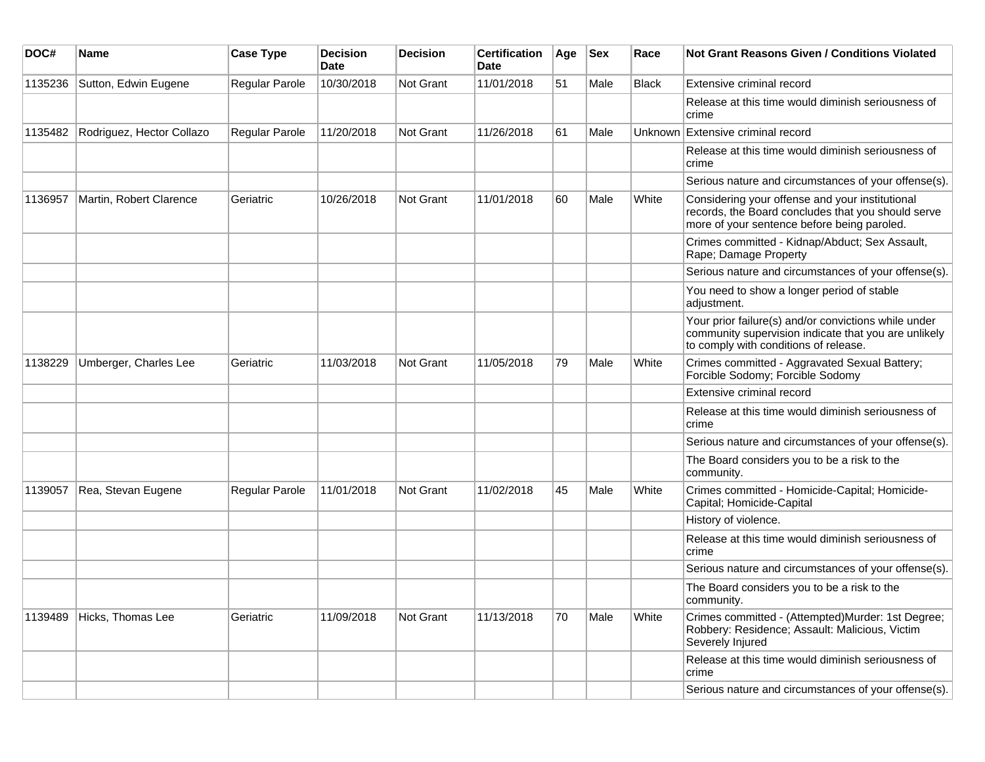| DOC#    | Name                      | <b>Case Type</b> | <b>Decision</b><br><b>Date</b> | <b>Decision</b> | <b>Certification</b><br>Date | Age | <b>Sex</b> | Race         | <b>Not Grant Reasons Given / Conditions Violated</b>                                                                                                  |
|---------|---------------------------|------------------|--------------------------------|-----------------|------------------------------|-----|------------|--------------|-------------------------------------------------------------------------------------------------------------------------------------------------------|
| 1135236 | Sutton, Edwin Eugene      | Regular Parole   | 10/30/2018                     | Not Grant       | 11/01/2018                   | 51  | Male       | <b>Black</b> | Extensive criminal record                                                                                                                             |
|         |                           |                  |                                |                 |                              |     |            |              | Release at this time would diminish seriousness of<br>crime                                                                                           |
| 1135482 | Rodriguez, Hector Collazo | Regular Parole   | 11/20/2018                     | Not Grant       | 11/26/2018                   | 61  | Male       |              | Unknown Extensive criminal record                                                                                                                     |
|         |                           |                  |                                |                 |                              |     |            |              | Release at this time would diminish seriousness of<br>crime                                                                                           |
|         |                           |                  |                                |                 |                              |     |            |              | Serious nature and circumstances of your offense(s).                                                                                                  |
| 1136957 | Martin, Robert Clarence   | Geriatric        | 10/26/2018                     | Not Grant       | 11/01/2018                   | 60  | Male       | White        | Considering your offense and your institutional<br>records, the Board concludes that you should serve<br>more of your sentence before being paroled.  |
|         |                           |                  |                                |                 |                              |     |            |              | Crimes committed - Kidnap/Abduct; Sex Assault,<br>Rape; Damage Property                                                                               |
|         |                           |                  |                                |                 |                              |     |            |              | Serious nature and circumstances of your offense(s).                                                                                                  |
|         |                           |                  |                                |                 |                              |     |            |              | You need to show a longer period of stable<br>adjustment.                                                                                             |
|         |                           |                  |                                |                 |                              |     |            |              | Your prior failure(s) and/or convictions while under<br>community supervision indicate that you are unlikely<br>to comply with conditions of release. |
| 1138229 | Umberger, Charles Lee     | Geriatric        | 11/03/2018                     | Not Grant       | 11/05/2018                   | 79  | Male       | White        | Crimes committed - Aggravated Sexual Battery;<br>Forcible Sodomy; Forcible Sodomy                                                                     |
|         |                           |                  |                                |                 |                              |     |            |              | Extensive criminal record                                                                                                                             |
|         |                           |                  |                                |                 |                              |     |            |              | Release at this time would diminish seriousness of<br>crime                                                                                           |
|         |                           |                  |                                |                 |                              |     |            |              | Serious nature and circumstances of your offense(s).                                                                                                  |
|         |                           |                  |                                |                 |                              |     |            |              | The Board considers you to be a risk to the<br>community.                                                                                             |
| 1139057 | Rea, Stevan Eugene        | Regular Parole   | 11/01/2018                     | Not Grant       | 11/02/2018                   | 45  | Male       | White        | Crimes committed - Homicide-Capital; Homicide-<br>Capital; Homicide-Capital                                                                           |
|         |                           |                  |                                |                 |                              |     |            |              | History of violence.                                                                                                                                  |
|         |                           |                  |                                |                 |                              |     |            |              | Release at this time would diminish seriousness of<br>crime                                                                                           |
|         |                           |                  |                                |                 |                              |     |            |              | Serious nature and circumstances of your offense(s).                                                                                                  |
|         |                           |                  |                                |                 |                              |     |            |              | The Board considers you to be a risk to the<br>community.                                                                                             |
| 1139489 | Hicks, Thomas Lee         | Geriatric        | 11/09/2018                     | Not Grant       | 11/13/2018                   | 70  | Male       | White        | Crimes committed - (Attempted)Murder: 1st Degree;<br>Robbery: Residence; Assault: Malicious, Victim<br>Severely Injured                               |
|         |                           |                  |                                |                 |                              |     |            |              | Release at this time would diminish seriousness of<br>crime                                                                                           |
|         |                           |                  |                                |                 |                              |     |            |              | Serious nature and circumstances of your offense(s).                                                                                                  |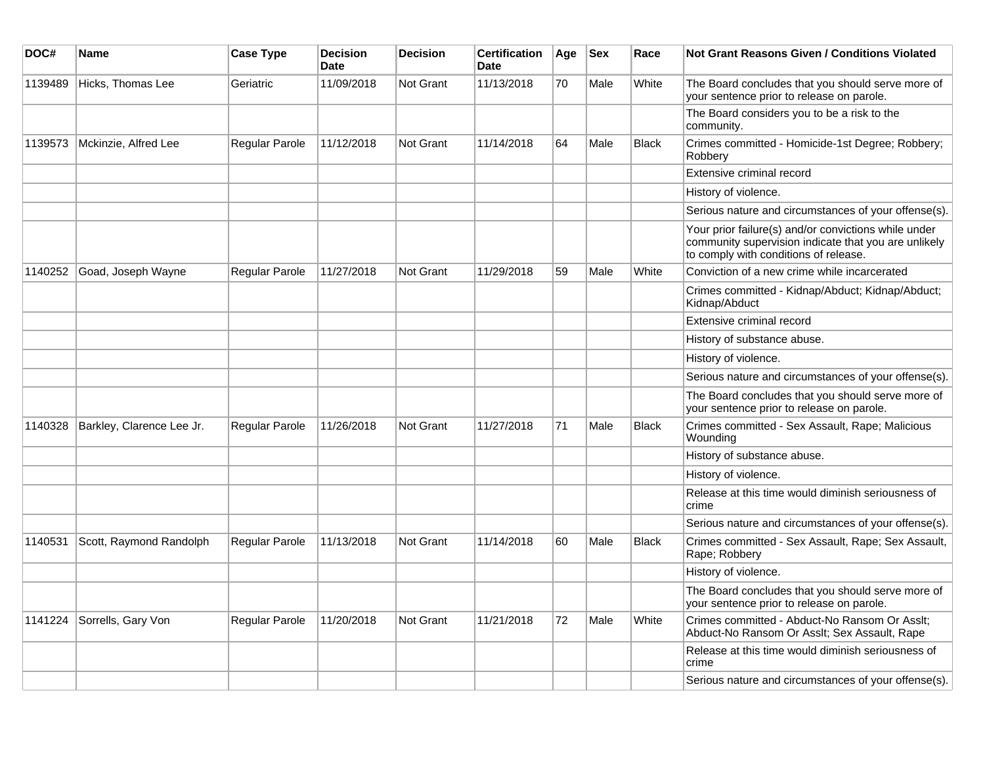| DOC#    | Name                      | <b>Case Type</b>      | <b>Decision</b><br><b>Date</b> | <b>Decision</b>  | <b>Certification</b><br><b>Date</b> | Age | <b>Sex</b> | Race         | <b>Not Grant Reasons Given / Conditions Violated</b>                                                                                                  |
|---------|---------------------------|-----------------------|--------------------------------|------------------|-------------------------------------|-----|------------|--------------|-------------------------------------------------------------------------------------------------------------------------------------------------------|
| 1139489 | Hicks, Thomas Lee         | Geriatric             | 11/09/2018                     | Not Grant        | 11/13/2018                          | 70  | Male       | White        | The Board concludes that you should serve more of<br>your sentence prior to release on parole.                                                        |
|         |                           |                       |                                |                  |                                     |     |            |              | The Board considers you to be a risk to the<br>community.                                                                                             |
| 1139573 | Mckinzie, Alfred Lee      | <b>Regular Parole</b> | 11/12/2018                     | Not Grant        | 11/14/2018                          | 64  | Male       | <b>Black</b> | Crimes committed - Homicide-1st Degree; Robbery;<br>Robberv                                                                                           |
|         |                           |                       |                                |                  |                                     |     |            |              | Extensive criminal record                                                                                                                             |
|         |                           |                       |                                |                  |                                     |     |            |              | History of violence.                                                                                                                                  |
|         |                           |                       |                                |                  |                                     |     |            |              | Serious nature and circumstances of your offense(s).                                                                                                  |
|         |                           |                       |                                |                  |                                     |     |            |              | Your prior failure(s) and/or convictions while under<br>community supervision indicate that you are unlikely<br>to comply with conditions of release. |
| 1140252 | Goad, Joseph Wayne        | <b>Regular Parole</b> | 11/27/2018                     | Not Grant        | 11/29/2018                          | 59  | Male       | White        | Conviction of a new crime while incarcerated                                                                                                          |
|         |                           |                       |                                |                  |                                     |     |            |              | Crimes committed - Kidnap/Abduct; Kidnap/Abduct;<br>Kidnap/Abduct                                                                                     |
|         |                           |                       |                                |                  |                                     |     |            |              | Extensive criminal record                                                                                                                             |
|         |                           |                       |                                |                  |                                     |     |            |              | History of substance abuse.                                                                                                                           |
|         |                           |                       |                                |                  |                                     |     |            |              | History of violence.                                                                                                                                  |
|         |                           |                       |                                |                  |                                     |     |            |              | Serious nature and circumstances of your offense(s).                                                                                                  |
|         |                           |                       |                                |                  |                                     |     |            |              | The Board concludes that you should serve more of<br>your sentence prior to release on parole.                                                        |
| 1140328 | Barkley, Clarence Lee Jr. | Regular Parole        | 11/26/2018                     | <b>Not Grant</b> | 11/27/2018                          | 71  | Male       | <b>Black</b> | Crimes committed - Sex Assault, Rape; Malicious<br>Wounding                                                                                           |
|         |                           |                       |                                |                  |                                     |     |            |              | History of substance abuse.                                                                                                                           |
|         |                           |                       |                                |                  |                                     |     |            |              | History of violence.                                                                                                                                  |
|         |                           |                       |                                |                  |                                     |     |            |              | Release at this time would diminish seriousness of<br>crime                                                                                           |
|         |                           |                       |                                |                  |                                     |     |            |              | Serious nature and circumstances of your offense(s).                                                                                                  |
| 1140531 | Scott, Raymond Randolph   | Regular Parole        | 11/13/2018                     | <b>Not Grant</b> | 11/14/2018                          | 60  | Male       | <b>Black</b> | Crimes committed - Sex Assault, Rape; Sex Assault,<br>Rape; Robbery                                                                                   |
|         |                           |                       |                                |                  |                                     |     |            |              | History of violence.                                                                                                                                  |
|         |                           |                       |                                |                  |                                     |     |            |              | The Board concludes that you should serve more of<br>your sentence prior to release on parole.                                                        |
| 1141224 | Sorrells, Gary Von        | Regular Parole        | 11/20/2018                     | Not Grant        | 11/21/2018                          | 72  | Male       | White        | Crimes committed - Abduct-No Ransom Or Asslt;<br>Abduct-No Ransom Or Asslt; Sex Assault, Rape                                                         |
|         |                           |                       |                                |                  |                                     |     |            |              | Release at this time would diminish seriousness of<br>crime                                                                                           |
|         |                           |                       |                                |                  |                                     |     |            |              | Serious nature and circumstances of your offense(s).                                                                                                  |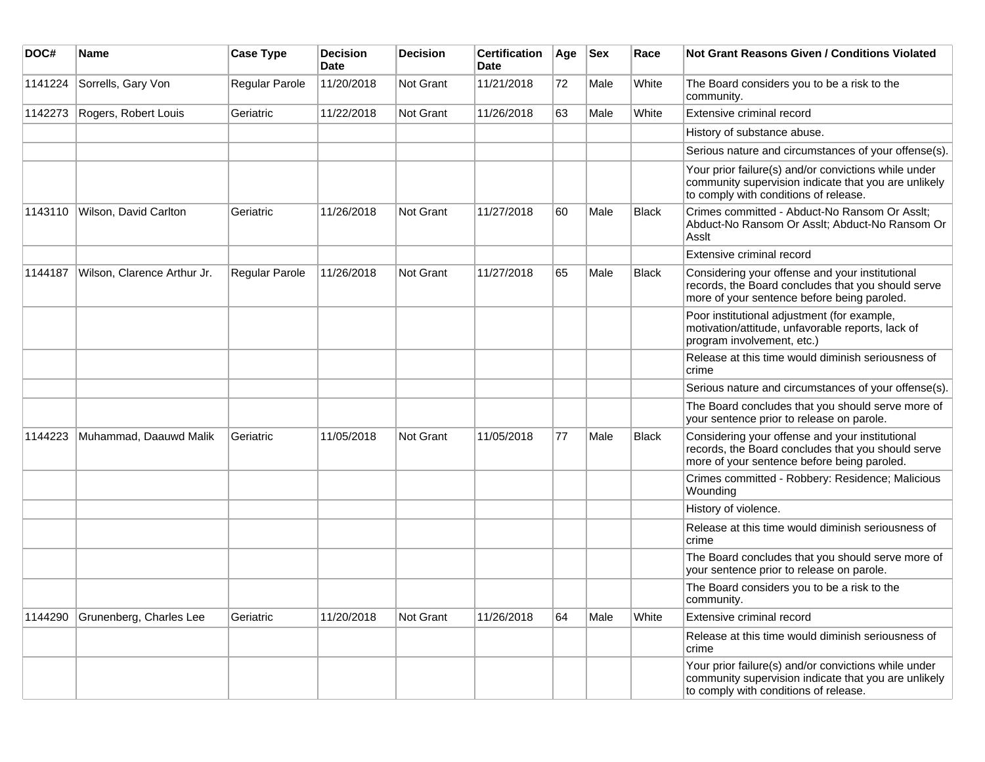| DOC#    | <b>Name</b>                 | <b>Case Type</b> | <b>Decision</b><br><b>Date</b> | <b>Decision</b> | <b>Certification</b><br>Date | Age | <b>Sex</b> | Race         | <b>Not Grant Reasons Given / Conditions Violated</b>                                                                                                  |
|---------|-----------------------------|------------------|--------------------------------|-----------------|------------------------------|-----|------------|--------------|-------------------------------------------------------------------------------------------------------------------------------------------------------|
| 1141224 | Sorrells, Gary Von          | Regular Parole   | 11/20/2018                     | Not Grant       | 11/21/2018                   | 72  | Male       | White        | The Board considers you to be a risk to the<br>community.                                                                                             |
| 1142273 | Rogers, Robert Louis        | Geriatric        | 11/22/2018                     | Not Grant       | 11/26/2018                   | 63  | Male       | White        | Extensive criminal record                                                                                                                             |
|         |                             |                  |                                |                 |                              |     |            |              | History of substance abuse.                                                                                                                           |
|         |                             |                  |                                |                 |                              |     |            |              | Serious nature and circumstances of your offense(s).                                                                                                  |
|         |                             |                  |                                |                 |                              |     |            |              | Your prior failure(s) and/or convictions while under<br>community supervision indicate that you are unlikely<br>to comply with conditions of release. |
| 1143110 | Wilson, David Carlton       | Geriatric        | 11/26/2018                     | Not Grant       | 11/27/2018                   | 60  | Male       | <b>Black</b> | Crimes committed - Abduct-No Ransom Or Asslt;<br>Abduct-No Ransom Or Asslt; Abduct-No Ransom Or<br>Assit                                              |
|         |                             |                  |                                |                 |                              |     |            |              | Extensive criminal record                                                                                                                             |
| 1144187 | Wilson, Clarence Arthur Jr. | Regular Parole   | 11/26/2018                     | Not Grant       | 11/27/2018                   | 65  | Male       | <b>Black</b> | Considering your offense and your institutional<br>records, the Board concludes that you should serve<br>more of your sentence before being paroled.  |
|         |                             |                  |                                |                 |                              |     |            |              | Poor institutional adjustment (for example,<br>motivation/attitude, unfavorable reports, lack of<br>program involvement, etc.)                        |
|         |                             |                  |                                |                 |                              |     |            |              | Release at this time would diminish seriousness of<br>crime                                                                                           |
|         |                             |                  |                                |                 |                              |     |            |              | Serious nature and circumstances of your offense(s).                                                                                                  |
|         |                             |                  |                                |                 |                              |     |            |              | The Board concludes that you should serve more of<br>your sentence prior to release on parole.                                                        |
| 1144223 | Muhammad, Daauwd Malik      | Geriatric        | 11/05/2018                     | Not Grant       | 11/05/2018                   | 77  | Male       | <b>Black</b> | Considering your offense and your institutional<br>records, the Board concludes that you should serve<br>more of your sentence before being paroled.  |
|         |                             |                  |                                |                 |                              |     |            |              | Crimes committed - Robbery: Residence; Malicious<br>Wounding                                                                                          |
|         |                             |                  |                                |                 |                              |     |            |              | History of violence.                                                                                                                                  |
|         |                             |                  |                                |                 |                              |     |            |              | Release at this time would diminish seriousness of<br>crime                                                                                           |
|         |                             |                  |                                |                 |                              |     |            |              | The Board concludes that you should serve more of<br>your sentence prior to release on parole.                                                        |
|         |                             |                  |                                |                 |                              |     |            |              | The Board considers you to be a risk to the<br>community.                                                                                             |
| 1144290 | Grunenberg, Charles Lee     | Geriatric        | 11/20/2018                     | Not Grant       | 11/26/2018                   | 64  | Male       | White        | Extensive criminal record                                                                                                                             |
|         |                             |                  |                                |                 |                              |     |            |              | Release at this time would diminish seriousness of<br>crime                                                                                           |
|         |                             |                  |                                |                 |                              |     |            |              | Your prior failure(s) and/or convictions while under<br>community supervision indicate that you are unlikely<br>to comply with conditions of release. |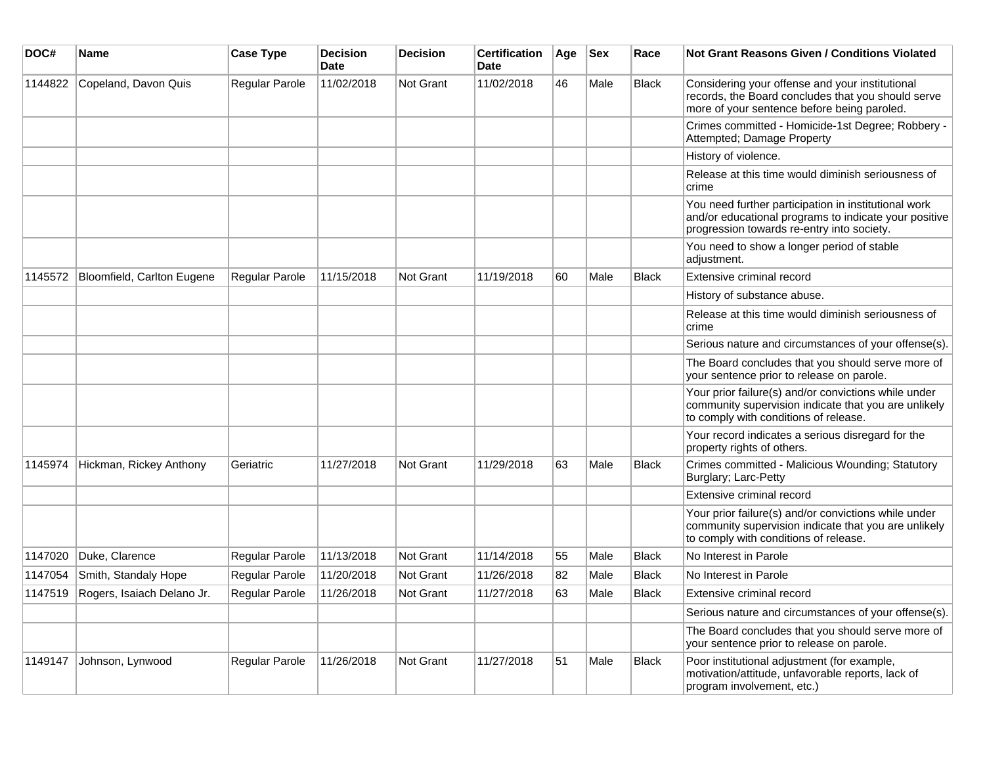| DOC#    | Name                       | <b>Case Type</b>      | <b>Decision</b><br><b>Date</b> | <b>Decision</b>  | <b>Certification</b><br><b>Date</b> | Age | <b>Sex</b> | Race         | <b>Not Grant Reasons Given / Conditions Violated</b>                                                                                                        |
|---------|----------------------------|-----------------------|--------------------------------|------------------|-------------------------------------|-----|------------|--------------|-------------------------------------------------------------------------------------------------------------------------------------------------------------|
| 1144822 | Copeland, Davon Quis       | Regular Parole        | 11/02/2018                     | Not Grant        | 11/02/2018                          | 46  | Male       | <b>Black</b> | Considering your offense and your institutional<br>records, the Board concludes that you should serve<br>more of your sentence before being paroled.        |
|         |                            |                       |                                |                  |                                     |     |            |              | Crimes committed - Homicide-1st Degree; Robbery -<br>Attempted; Damage Property                                                                             |
|         |                            |                       |                                |                  |                                     |     |            |              | History of violence.                                                                                                                                        |
|         |                            |                       |                                |                  |                                     |     |            |              | Release at this time would diminish seriousness of<br>crime                                                                                                 |
|         |                            |                       |                                |                  |                                     |     |            |              | You need further participation in institutional work<br>and/or educational programs to indicate your positive<br>progression towards re-entry into society. |
|         |                            |                       |                                |                  |                                     |     |            |              | You need to show a longer period of stable<br>adjustment.                                                                                                   |
| 1145572 | Bloomfield, Carlton Eugene | <b>Regular Parole</b> | 11/15/2018                     | Not Grant        | 11/19/2018                          | 60  | Male       | <b>Black</b> | Extensive criminal record                                                                                                                                   |
|         |                            |                       |                                |                  |                                     |     |            |              | History of substance abuse.                                                                                                                                 |
|         |                            |                       |                                |                  |                                     |     |            |              | Release at this time would diminish seriousness of<br>crime                                                                                                 |
|         |                            |                       |                                |                  |                                     |     |            |              | Serious nature and circumstances of your offense(s).                                                                                                        |
|         |                            |                       |                                |                  |                                     |     |            |              | The Board concludes that you should serve more of<br>your sentence prior to release on parole.                                                              |
|         |                            |                       |                                |                  |                                     |     |            |              | Your prior failure(s) and/or convictions while under<br>community supervision indicate that you are unlikely<br>to comply with conditions of release.       |
|         |                            |                       |                                |                  |                                     |     |            |              | Your record indicates a serious disregard for the<br>property rights of others.                                                                             |
| 1145974 | Hickman, Rickey Anthony    | Geriatric             | 11/27/2018                     | <b>Not Grant</b> | 11/29/2018                          | 63  | Male       | <b>Black</b> | Crimes committed - Malicious Wounding; Statutory<br>Burglary; Larc-Petty                                                                                    |
|         |                            |                       |                                |                  |                                     |     |            |              | Extensive criminal record                                                                                                                                   |
|         |                            |                       |                                |                  |                                     |     |            |              | Your prior failure(s) and/or convictions while under<br>community supervision indicate that you are unlikely<br>to comply with conditions of release.       |
| 1147020 | Duke, Clarence             | Regular Parole        | 11/13/2018                     | Not Grant        | 11/14/2018                          | 55  | Male       | <b>Black</b> | No Interest in Parole                                                                                                                                       |
| 1147054 | Smith, Standaly Hope       | Regular Parole        | 11/20/2018                     | Not Grant        | 11/26/2018                          | 82  | Male       | <b>Black</b> | No Interest in Parole                                                                                                                                       |
| 1147519 | Rogers, Isaiach Delano Jr. | Regular Parole        | 11/26/2018                     | <b>Not Grant</b> | 11/27/2018                          | 63  | Male       | Black        | Extensive criminal record                                                                                                                                   |
|         |                            |                       |                                |                  |                                     |     |            |              | Serious nature and circumstances of your offense(s).                                                                                                        |
|         |                            |                       |                                |                  |                                     |     |            |              | The Board concludes that you should serve more of<br>your sentence prior to release on parole.                                                              |
| 1149147 | Johnson, Lynwood           | Regular Parole        | 11/26/2018                     | Not Grant        | 11/27/2018                          | 51  | Male       | <b>Black</b> | Poor institutional adjustment (for example,<br>motivation/attitude, unfavorable reports, lack of<br>program involvement, etc.)                              |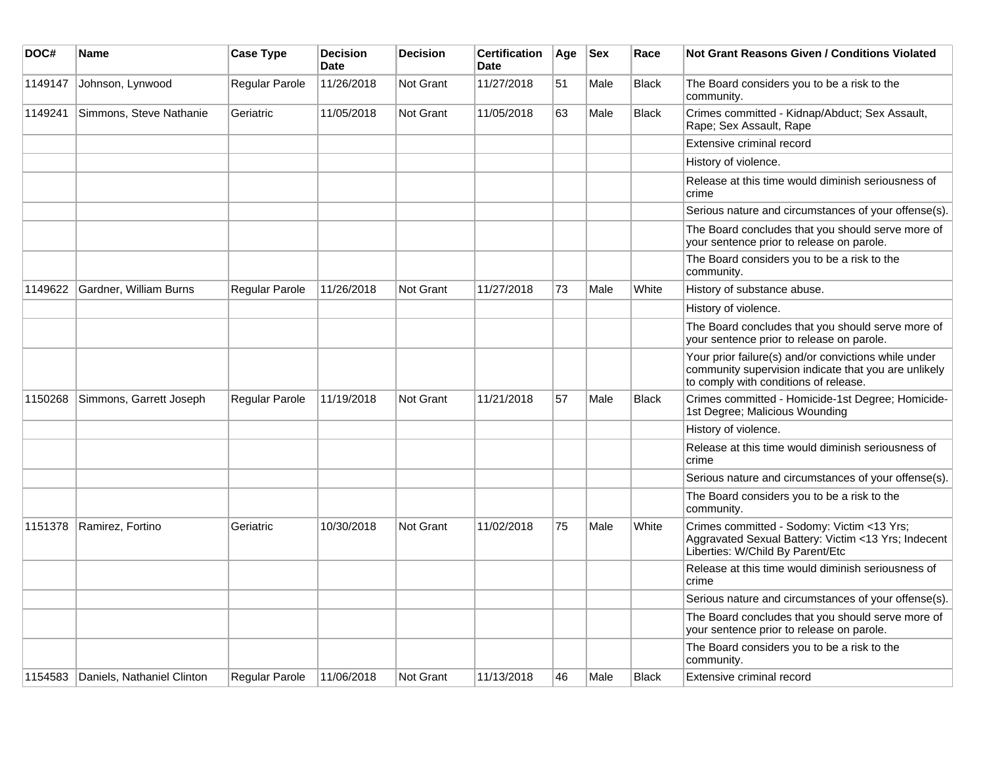| DOC#    | <b>Name</b>                | <b>Case Type</b> | <b>Decision</b><br><b>Date</b> | <b>Decision</b>  | <b>Certification</b><br><b>Date</b> | Age | <b>Sex</b> | Race         | Not Grant Reasons Given / Conditions Violated                                                                                                         |
|---------|----------------------------|------------------|--------------------------------|------------------|-------------------------------------|-----|------------|--------------|-------------------------------------------------------------------------------------------------------------------------------------------------------|
| 1149147 | Johnson, Lynwood           | Regular Parole   | 11/26/2018                     | Not Grant        | 11/27/2018                          | 51  | Male       | <b>Black</b> | The Board considers you to be a risk to the<br>community.                                                                                             |
| 1149241 | Simmons, Steve Nathanie    | Geriatric        | 11/05/2018                     | <b>Not Grant</b> | 11/05/2018                          | 63  | Male       | <b>Black</b> | Crimes committed - Kidnap/Abduct; Sex Assault,<br>Rape; Sex Assault, Rape                                                                             |
|         |                            |                  |                                |                  |                                     |     |            |              | Extensive criminal record                                                                                                                             |
|         |                            |                  |                                |                  |                                     |     |            |              | History of violence.                                                                                                                                  |
|         |                            |                  |                                |                  |                                     |     |            |              | Release at this time would diminish seriousness of<br>crime                                                                                           |
|         |                            |                  |                                |                  |                                     |     |            |              | Serious nature and circumstances of your offense(s).                                                                                                  |
|         |                            |                  |                                |                  |                                     |     |            |              | The Board concludes that you should serve more of<br>your sentence prior to release on parole.                                                        |
|         |                            |                  |                                |                  |                                     |     |            |              | The Board considers you to be a risk to the<br>community.                                                                                             |
| 1149622 | Gardner, William Burns     | Regular Parole   | 11/26/2018                     | <b>Not Grant</b> | 11/27/2018                          | 73  | Male       | White        | History of substance abuse.                                                                                                                           |
|         |                            |                  |                                |                  |                                     |     |            |              | History of violence.                                                                                                                                  |
|         |                            |                  |                                |                  |                                     |     |            |              | The Board concludes that you should serve more of<br>your sentence prior to release on parole.                                                        |
|         |                            |                  |                                |                  |                                     |     |            |              | Your prior failure(s) and/or convictions while under<br>community supervision indicate that you are unlikely<br>to comply with conditions of release. |
| 1150268 | Simmons, Garrett Joseph    | Regular Parole   | 11/19/2018                     | <b>Not Grant</b> | 11/21/2018                          | 57  | Male       | <b>Black</b> | Crimes committed - Homicide-1st Degree; Homicide-<br>1st Degree; Malicious Wounding                                                                   |
|         |                            |                  |                                |                  |                                     |     |            |              | History of violence.                                                                                                                                  |
|         |                            |                  |                                |                  |                                     |     |            |              | Release at this time would diminish seriousness of<br>crime                                                                                           |
|         |                            |                  |                                |                  |                                     |     |            |              | Serious nature and circumstances of your offense(s).                                                                                                  |
|         |                            |                  |                                |                  |                                     |     |            |              | The Board considers you to be a risk to the<br>community.                                                                                             |
| 1151378 | Ramirez, Fortino           | Geriatric        | 10/30/2018                     | <b>Not Grant</b> | 11/02/2018                          | 75  | Male       | White        | Crimes committed - Sodomy: Victim <13 Yrs;<br>Aggravated Sexual Battery: Victim <13 Yrs; Indecent<br>Liberties: W/Child By Parent/Etc                 |
|         |                            |                  |                                |                  |                                     |     |            |              | Release at this time would diminish seriousness of<br>crime                                                                                           |
|         |                            |                  |                                |                  |                                     |     |            |              | Serious nature and circumstances of your offense(s).                                                                                                  |
|         |                            |                  |                                |                  |                                     |     |            |              | The Board concludes that you should serve more of<br>your sentence prior to release on parole.                                                        |
|         |                            |                  |                                |                  |                                     |     |            |              | The Board considers you to be a risk to the<br>community.                                                                                             |
| 1154583 | Daniels, Nathaniel Clinton | Regular Parole   | 11/06/2018                     | Not Grant        | 11/13/2018                          | 46  | Male       | Black        | Extensive criminal record                                                                                                                             |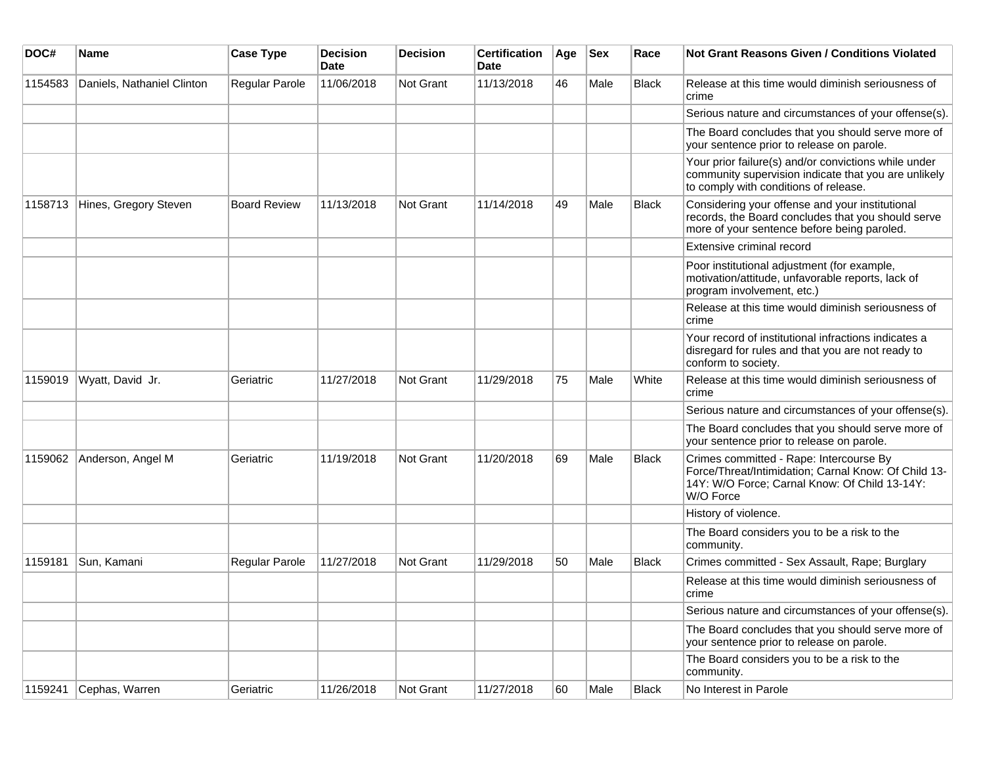| DOC#    | Name                       | <b>Case Type</b>    | <b>Decision</b><br>Date | <b>Decision</b>  | <b>Certification</b><br>Date | Age | <b>Sex</b> | Race         | <b>Not Grant Reasons Given / Conditions Violated</b>                                                                                                          |
|---------|----------------------------|---------------------|-------------------------|------------------|------------------------------|-----|------------|--------------|---------------------------------------------------------------------------------------------------------------------------------------------------------------|
| 1154583 | Daniels, Nathaniel Clinton | Regular Parole      | 11/06/2018              | Not Grant        | 11/13/2018                   | 46  | Male       | <b>Black</b> | Release at this time would diminish seriousness of<br>crime                                                                                                   |
|         |                            |                     |                         |                  |                              |     |            |              | Serious nature and circumstances of your offense(s).                                                                                                          |
|         |                            |                     |                         |                  |                              |     |            |              | The Board concludes that you should serve more of<br>your sentence prior to release on parole.                                                                |
|         |                            |                     |                         |                  |                              |     |            |              | Your prior failure(s) and/or convictions while under<br>community supervision indicate that you are unlikely<br>to comply with conditions of release.         |
| 1158713 | Hines, Gregory Steven      | <b>Board Review</b> | 11/13/2018              | <b>Not Grant</b> | 11/14/2018                   | 49  | Male       | Black        | Considering your offense and your institutional<br>records, the Board concludes that you should serve<br>more of your sentence before being paroled.          |
|         |                            |                     |                         |                  |                              |     |            |              | Extensive criminal record                                                                                                                                     |
|         |                            |                     |                         |                  |                              |     |            |              | Poor institutional adjustment (for example,<br>motivation/attitude, unfavorable reports, lack of<br>program involvement, etc.)                                |
|         |                            |                     |                         |                  |                              |     |            |              | Release at this time would diminish seriousness of<br>crime                                                                                                   |
|         |                            |                     |                         |                  |                              |     |            |              | Your record of institutional infractions indicates a<br>disregard for rules and that you are not ready to<br>conform to society.                              |
| 1159019 | Wyatt, David Jr.           | Geriatric           | 11/27/2018              | Not Grant        | 11/29/2018                   | 75  | Male       | White        | Release at this time would diminish seriousness of<br>crime                                                                                                   |
|         |                            |                     |                         |                  |                              |     |            |              | Serious nature and circumstances of your offense(s).                                                                                                          |
|         |                            |                     |                         |                  |                              |     |            |              | The Board concludes that you should serve more of<br>your sentence prior to release on parole.                                                                |
| 1159062 | Anderson, Angel M          | Geriatric           | 11/19/2018              | <b>Not Grant</b> | 11/20/2018                   | 69  | Male       | <b>Black</b> | Crimes committed - Rape: Intercourse By<br>Force/Threat/Intimidation; Carnal Know: Of Child 13-<br>14Y: W/O Force; Carnal Know: Of Child 13-14Y:<br>W/O Force |
|         |                            |                     |                         |                  |                              |     |            |              | History of violence.                                                                                                                                          |
|         |                            |                     |                         |                  |                              |     |            |              | The Board considers you to be a risk to the<br>community.                                                                                                     |
| 1159181 | Sun, Kamani                | Regular Parole      | 11/27/2018              | <b>Not Grant</b> | 11/29/2018                   | 50  | Male       | Black        | Crimes committed - Sex Assault, Rape; Burglary                                                                                                                |
|         |                            |                     |                         |                  |                              |     |            |              | Release at this time would diminish seriousness of<br>crime                                                                                                   |
|         |                            |                     |                         |                  |                              |     |            |              | Serious nature and circumstances of your offense(s).                                                                                                          |
|         |                            |                     |                         |                  |                              |     |            |              | The Board concludes that you should serve more of<br>your sentence prior to release on parole.                                                                |
|         |                            |                     |                         |                  |                              |     |            |              | The Board considers you to be a risk to the<br>community.                                                                                                     |
| 1159241 | Cephas, Warren             | Geriatric           | 11/26/2018              | Not Grant        | 11/27/2018                   | 60  | Male       | Black        | No Interest in Parole                                                                                                                                         |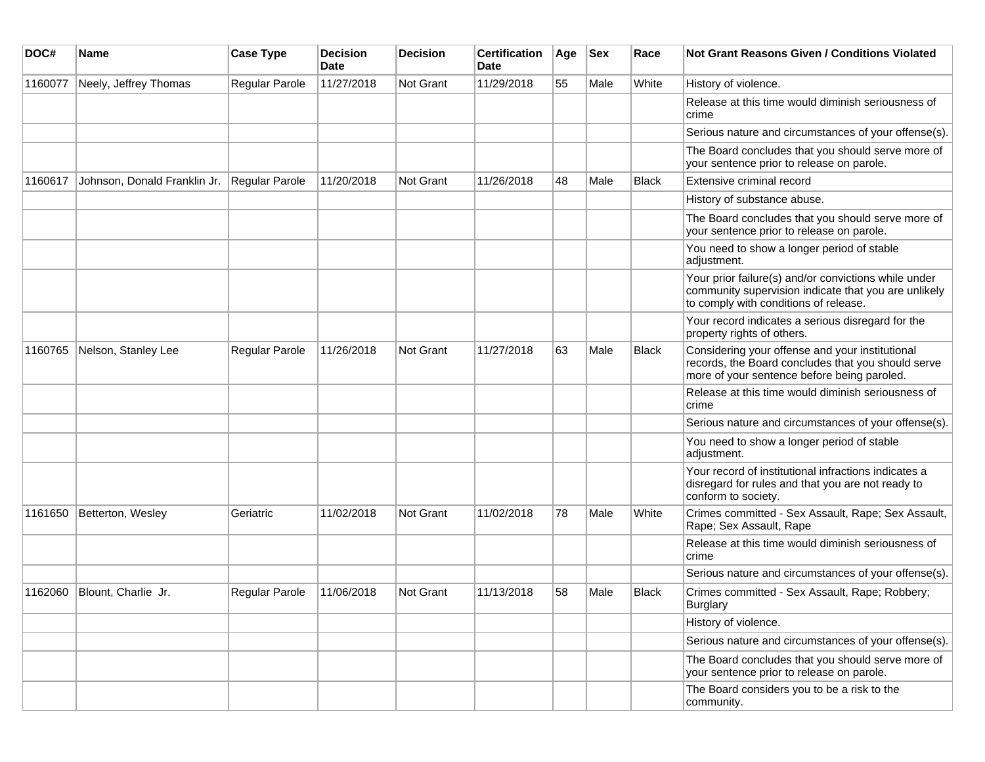| DOC#    | Name                         | <b>Case Type</b>      | <b>Decision</b><br>Date | <b>Decision</b> | <b>Certification</b><br>Date | Age | <b>Sex</b> | Race         | <b>Not Grant Reasons Given / Conditions Violated</b>                                                                                                  |
|---------|------------------------------|-----------------------|-------------------------|-----------------|------------------------------|-----|------------|--------------|-------------------------------------------------------------------------------------------------------------------------------------------------------|
| 1160077 | Neely, Jeffrey Thomas        | Regular Parole        | 11/27/2018              | Not Grant       | 11/29/2018                   | 55  | Male       | White        | History of violence.                                                                                                                                  |
|         |                              |                       |                         |                 |                              |     |            |              | Release at this time would diminish seriousness of<br>crime                                                                                           |
|         |                              |                       |                         |                 |                              |     |            |              | Serious nature and circumstances of your offense(s).                                                                                                  |
|         |                              |                       |                         |                 |                              |     |            |              | The Board concludes that you should serve more of<br>your sentence prior to release on parole.                                                        |
| 1160617 | Johnson, Donald Franklin Jr. | Regular Parole        | 11/20/2018              | Not Grant       | 11/26/2018                   | 48  | Male       | <b>Black</b> | Extensive criminal record                                                                                                                             |
|         |                              |                       |                         |                 |                              |     |            |              | History of substance abuse.                                                                                                                           |
|         |                              |                       |                         |                 |                              |     |            |              | The Board concludes that you should serve more of<br>your sentence prior to release on parole.                                                        |
|         |                              |                       |                         |                 |                              |     |            |              | You need to show a longer period of stable<br>adjustment.                                                                                             |
|         |                              |                       |                         |                 |                              |     |            |              | Your prior failure(s) and/or convictions while under<br>community supervision indicate that you are unlikely<br>to comply with conditions of release. |
|         |                              |                       |                         |                 |                              |     |            |              | Your record indicates a serious disregard for the<br>property rights of others.                                                                       |
| 1160765 | Nelson, Stanley Lee          | Regular Parole        | 11/26/2018              | Not Grant       | 11/27/2018                   | 63  | Male       | <b>Black</b> | Considering your offense and your institutional<br>records, the Board concludes that you should serve<br>more of your sentence before being paroled.  |
|         |                              |                       |                         |                 |                              |     |            |              | Release at this time would diminish seriousness of<br>crime                                                                                           |
|         |                              |                       |                         |                 |                              |     |            |              | Serious nature and circumstances of your offense(s).                                                                                                  |
|         |                              |                       |                         |                 |                              |     |            |              | You need to show a longer period of stable<br>adjustment.                                                                                             |
|         |                              |                       |                         |                 |                              |     |            |              | Your record of institutional infractions indicates a<br>disregard for rules and that you are not ready to<br>conform to society.                      |
| 1161650 | Betterton, Wesley            | Geriatric             | 11/02/2018              | Not Grant       | 11/02/2018                   | 78  | Male       | White        | Crimes committed - Sex Assault, Rape; Sex Assault,<br>Rape; Sex Assault, Rape                                                                         |
|         |                              |                       |                         |                 |                              |     |            |              | Release at this time would diminish seriousness of<br>crime                                                                                           |
|         |                              |                       |                         |                 |                              |     |            |              | Serious nature and circumstances of your offense(s).                                                                                                  |
| 1162060 | Blount, Charlie Jr.          | <b>Regular Parole</b> | 11/06/2018              | Not Grant       | 11/13/2018                   | 58  | Male       | <b>Black</b> | Crimes committed - Sex Assault, Rape; Robbery;<br><b>Burglary</b>                                                                                     |
|         |                              |                       |                         |                 |                              |     |            |              | History of violence.                                                                                                                                  |
|         |                              |                       |                         |                 |                              |     |            |              | Serious nature and circumstances of your offense(s).                                                                                                  |
|         |                              |                       |                         |                 |                              |     |            |              | The Board concludes that you should serve more of<br>your sentence prior to release on parole.                                                        |
|         |                              |                       |                         |                 |                              |     |            |              | The Board considers you to be a risk to the<br>community.                                                                                             |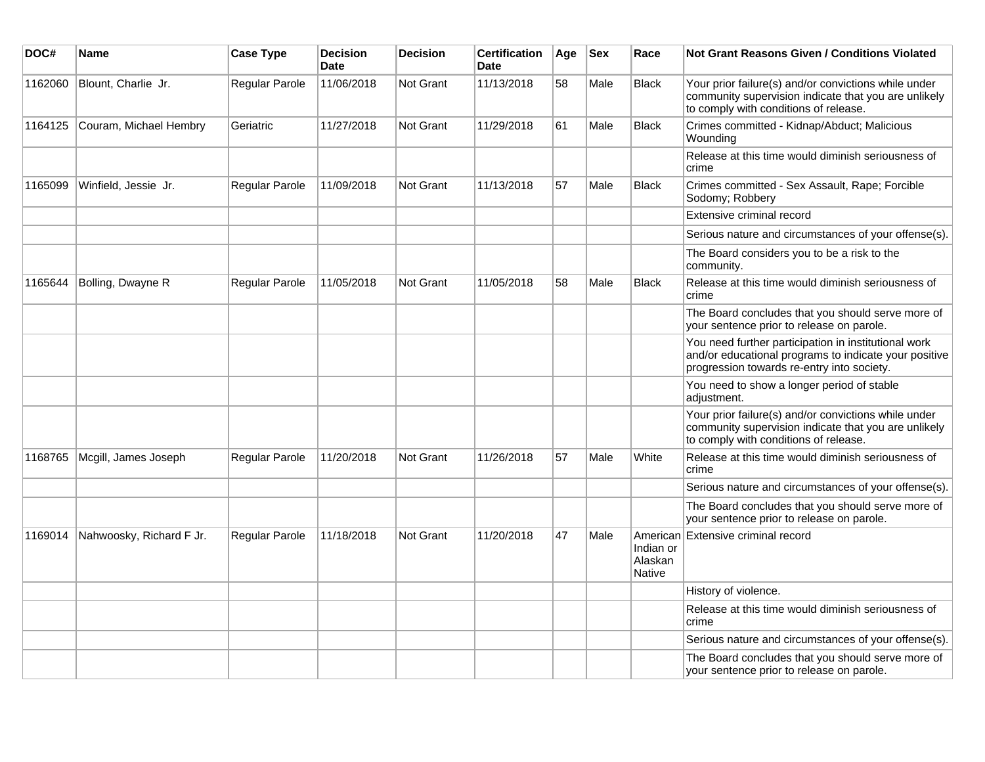| DOC#    | Name                     | <b>Case Type</b> | <b>Decision</b><br><b>Date</b> | <b>Decision</b> | Certification<br>Date | Age | Sex  | Race                           | Not Grant Reasons Given / Conditions Violated                                                                                                               |
|---------|--------------------------|------------------|--------------------------------|-----------------|-----------------------|-----|------|--------------------------------|-------------------------------------------------------------------------------------------------------------------------------------------------------------|
| 1162060 | Blount, Charlie Jr.      | Regular Parole   | 11/06/2018                     | Not Grant       | 11/13/2018            | 58  | Male | <b>Black</b>                   | Your prior failure(s) and/or convictions while under<br>community supervision indicate that you are unlikely<br>to comply with conditions of release.       |
| 1164125 | Couram, Michael Hembry   | Geriatric        | 11/27/2018                     | Not Grant       | 11/29/2018            | 61  | Male | <b>Black</b>                   | Crimes committed - Kidnap/Abduct; Malicious<br>Wounding                                                                                                     |
|         |                          |                  |                                |                 |                       |     |      |                                | Release at this time would diminish seriousness of<br>crime                                                                                                 |
| 1165099 | Winfield, Jessie Jr.     | Regular Parole   | 11/09/2018                     | Not Grant       | 11/13/2018            | 57  | Male | <b>Black</b>                   | Crimes committed - Sex Assault, Rape; Forcible<br>Sodomy; Robbery                                                                                           |
|         |                          |                  |                                |                 |                       |     |      |                                | Extensive criminal record                                                                                                                                   |
|         |                          |                  |                                |                 |                       |     |      |                                | Serious nature and circumstances of your offense(s).                                                                                                        |
|         |                          |                  |                                |                 |                       |     |      |                                | The Board considers you to be a risk to the<br>community.                                                                                                   |
| 1165644 | Bolling, Dwayne R        | Regular Parole   | 11/05/2018                     | Not Grant       | 11/05/2018            | 58  | Male | Black                          | Release at this time would diminish seriousness of<br>crime                                                                                                 |
|         |                          |                  |                                |                 |                       |     |      |                                | The Board concludes that you should serve more of<br>your sentence prior to release on parole.                                                              |
|         |                          |                  |                                |                 |                       |     |      |                                | You need further participation in institutional work<br>and/or educational programs to indicate your positive<br>progression towards re-entry into society. |
|         |                          |                  |                                |                 |                       |     |      |                                | You need to show a longer period of stable<br>adjustment.                                                                                                   |
|         |                          |                  |                                |                 |                       |     |      |                                | Your prior failure(s) and/or convictions while under<br>community supervision indicate that you are unlikely<br>to comply with conditions of release.       |
| 1168765 | Mcgill, James Joseph     | Regular Parole   | 11/20/2018                     | Not Grant       | 11/26/2018            | 57  | Male | White                          | Release at this time would diminish seriousness of<br>crime                                                                                                 |
|         |                          |                  |                                |                 |                       |     |      |                                | Serious nature and circumstances of your offense(s).                                                                                                        |
|         |                          |                  |                                |                 |                       |     |      |                                | The Board concludes that you should serve more of<br>your sentence prior to release on parole.                                                              |
| 1169014 | Nahwoosky, Richard F Jr. | Regular Parole   | 11/18/2018                     | Not Grant       | 11/20/2018            | 47  | Male | Indian or<br>Alaskan<br>Native | American Extensive criminal record                                                                                                                          |
|         |                          |                  |                                |                 |                       |     |      |                                | History of violence.                                                                                                                                        |
|         |                          |                  |                                |                 |                       |     |      |                                | Release at this time would diminish seriousness of<br>crime                                                                                                 |
|         |                          |                  |                                |                 |                       |     |      |                                | Serious nature and circumstances of your offense(s).                                                                                                        |
|         |                          |                  |                                |                 |                       |     |      |                                | The Board concludes that you should serve more of<br>your sentence prior to release on parole.                                                              |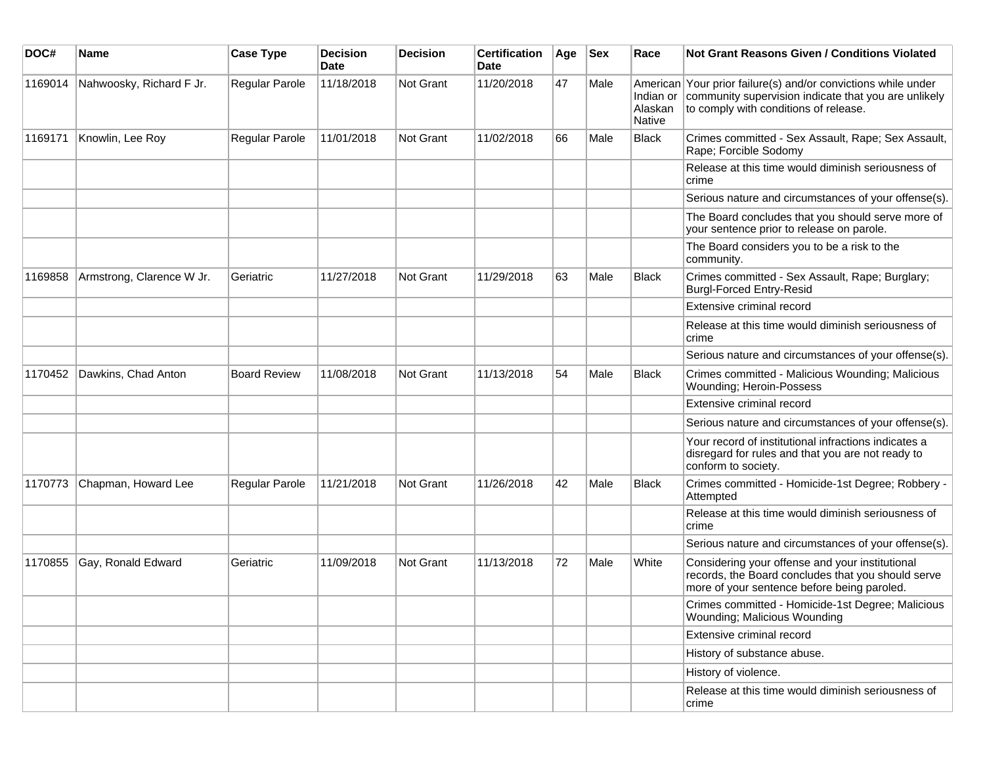| DOC#    | <b>Name</b>               | <b>Case Type</b>    | <b>Decision</b><br><b>Date</b> | <b>Decision</b> | <b>Certification</b><br>Date | Age | <b>Sex</b> | Race              | Not Grant Reasons Given / Conditions Violated                                                                                                                            |
|---------|---------------------------|---------------------|--------------------------------|-----------------|------------------------------|-----|------------|-------------------|--------------------------------------------------------------------------------------------------------------------------------------------------------------------------|
| 1169014 | Nahwoosky, Richard F Jr.  | Regular Parole      | 11/18/2018                     | Not Grant       | 11/20/2018                   | 47  | Male       | Alaskan<br>Native | American Your prior failure(s) and/or convictions while under<br>Indian or community supervision indicate that you are unlikely<br>to comply with conditions of release. |
| 1169171 | Knowlin, Lee Roy          | Regular Parole      | 11/01/2018                     | Not Grant       | 11/02/2018                   | 66  | Male       | <b>Black</b>      | Crimes committed - Sex Assault, Rape; Sex Assault,<br>Rape; Forcible Sodomy                                                                                              |
|         |                           |                     |                                |                 |                              |     |            |                   | Release at this time would diminish seriousness of<br>crime                                                                                                              |
|         |                           |                     |                                |                 |                              |     |            |                   | Serious nature and circumstances of your offense(s).                                                                                                                     |
|         |                           |                     |                                |                 |                              |     |            |                   | The Board concludes that you should serve more of<br>your sentence prior to release on parole.                                                                           |
|         |                           |                     |                                |                 |                              |     |            |                   | The Board considers you to be a risk to the<br>community.                                                                                                                |
| 1169858 | Armstrong, Clarence W Jr. | Geriatric           | 11/27/2018                     | Not Grant       | 11/29/2018                   | 63  | Male       | <b>Black</b>      | Crimes committed - Sex Assault, Rape; Burglary;<br><b>Burgl-Forced Entry-Resid</b>                                                                                       |
|         |                           |                     |                                |                 |                              |     |            |                   | Extensive criminal record                                                                                                                                                |
|         |                           |                     |                                |                 |                              |     |            |                   | Release at this time would diminish seriousness of<br>crime                                                                                                              |
|         |                           |                     |                                |                 |                              |     |            |                   | Serious nature and circumstances of your offense(s).                                                                                                                     |
| 1170452 | Dawkins, Chad Anton       | <b>Board Review</b> | 11/08/2018                     | Not Grant       | 11/13/2018                   | 54  | Male       | Black             | Crimes committed - Malicious Wounding; Malicious<br>Wounding; Heroin-Possess                                                                                             |
|         |                           |                     |                                |                 |                              |     |            |                   | Extensive criminal record                                                                                                                                                |
|         |                           |                     |                                |                 |                              |     |            |                   | Serious nature and circumstances of your offense(s).                                                                                                                     |
|         |                           |                     |                                |                 |                              |     |            |                   | Your record of institutional infractions indicates a<br>disregard for rules and that you are not ready to<br>conform to society.                                         |
| 1170773 | Chapman, Howard Lee       | Regular Parole      | 11/21/2018                     | Not Grant       | 11/26/2018                   | 42  | Male       | <b>Black</b>      | Crimes committed - Homicide-1st Degree; Robbery -<br>Attempted                                                                                                           |
|         |                           |                     |                                |                 |                              |     |            |                   | Release at this time would diminish seriousness of<br>crime                                                                                                              |
|         |                           |                     |                                |                 |                              |     |            |                   | Serious nature and circumstances of your offense(s).                                                                                                                     |
| 1170855 | Gay, Ronald Edward        | Geriatric           | 11/09/2018                     | Not Grant       | 11/13/2018                   | 72  | Male       | White             | Considering your offense and your institutional<br>records, the Board concludes that you should serve<br>more of your sentence before being paroled.                     |
|         |                           |                     |                                |                 |                              |     |            |                   | Crimes committed - Homicide-1st Degree; Malicious<br>Wounding; Malicious Wounding                                                                                        |
|         |                           |                     |                                |                 |                              |     |            |                   | Extensive criminal record                                                                                                                                                |
|         |                           |                     |                                |                 |                              |     |            |                   | History of substance abuse.                                                                                                                                              |
|         |                           |                     |                                |                 |                              |     |            |                   | History of violence.                                                                                                                                                     |
|         |                           |                     |                                |                 |                              |     |            |                   | Release at this time would diminish seriousness of<br>crime                                                                                                              |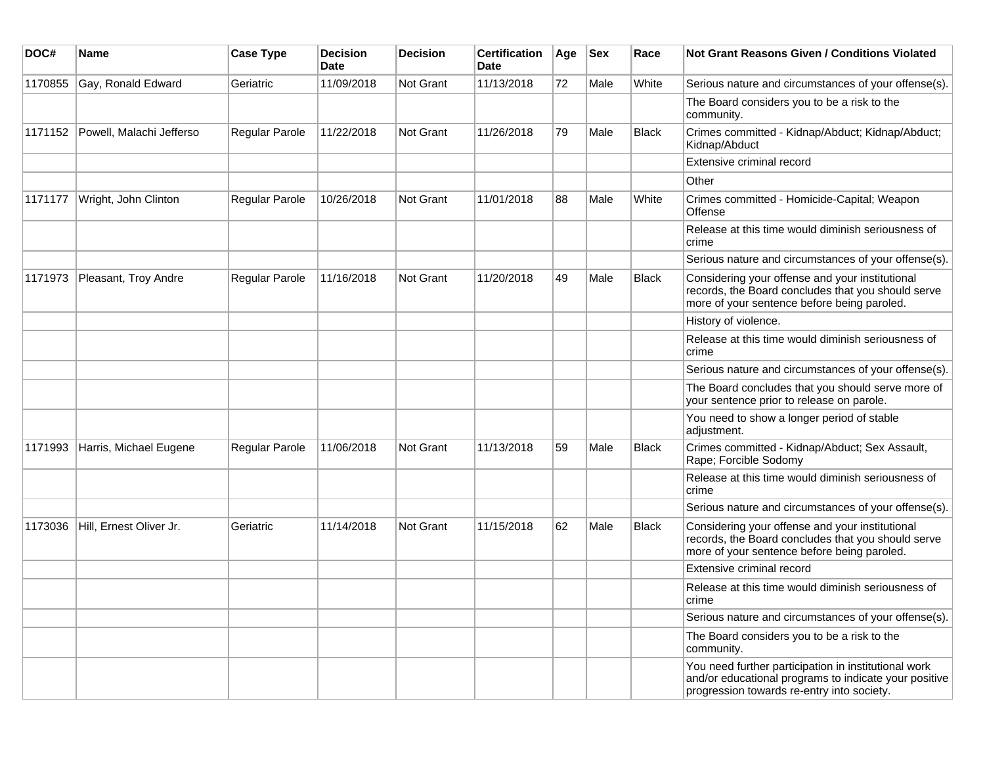| DOC#    | <b>Name</b>              | <b>Case Type</b> | <b>Decision</b><br><b>Date</b> | <b>Decision</b>  | <b>Certification</b><br>Date | Age | <b>Sex</b> | Race         | <b>Not Grant Reasons Given / Conditions Violated</b>                                                                                                        |
|---------|--------------------------|------------------|--------------------------------|------------------|------------------------------|-----|------------|--------------|-------------------------------------------------------------------------------------------------------------------------------------------------------------|
| 1170855 | Gay, Ronald Edward       | Geriatric        | 11/09/2018                     | Not Grant        | 11/13/2018                   | 72  | Male       | White        | Serious nature and circumstances of your offense(s).                                                                                                        |
|         |                          |                  |                                |                  |                              |     |            |              | The Board considers you to be a risk to the<br>community.                                                                                                   |
| 1171152 | Powell, Malachi Jefferso | Regular Parole   | 11/22/2018                     | <b>Not Grant</b> | 11/26/2018                   | 79  | Male       | <b>Black</b> | Crimes committed - Kidnap/Abduct; Kidnap/Abduct;<br>Kidnap/Abduct                                                                                           |
|         |                          |                  |                                |                  |                              |     |            |              | Extensive criminal record                                                                                                                                   |
|         |                          |                  |                                |                  |                              |     |            |              | Other                                                                                                                                                       |
| 1171177 | Wright, John Clinton     | Regular Parole   | 10/26/2018                     | Not Grant        | 11/01/2018                   | 88  | Male       | White        | Crimes committed - Homicide-Capital; Weapon<br>Offense                                                                                                      |
|         |                          |                  |                                |                  |                              |     |            |              | Release at this time would diminish seriousness of<br>crime                                                                                                 |
|         |                          |                  |                                |                  |                              |     |            |              | Serious nature and circumstances of your offense(s).                                                                                                        |
| 1171973 | Pleasant, Troy Andre     | Regular Parole   | 11/16/2018                     | <b>Not Grant</b> | 11/20/2018                   | 49  | Male       | <b>Black</b> | Considering your offense and your institutional<br>records, the Board concludes that you should serve<br>more of your sentence before being paroled.        |
|         |                          |                  |                                |                  |                              |     |            |              | History of violence.                                                                                                                                        |
|         |                          |                  |                                |                  |                              |     |            |              | Release at this time would diminish seriousness of<br>crime                                                                                                 |
|         |                          |                  |                                |                  |                              |     |            |              | Serious nature and circumstances of your offense(s).                                                                                                        |
|         |                          |                  |                                |                  |                              |     |            |              | The Board concludes that you should serve more of<br>your sentence prior to release on parole.                                                              |
|         |                          |                  |                                |                  |                              |     |            |              | You need to show a longer period of stable<br>adjustment.                                                                                                   |
| 1171993 | Harris, Michael Eugene   | Regular Parole   | 11/06/2018                     | Not Grant        | 11/13/2018                   | 59  | Male       | <b>Black</b> | Crimes committed - Kidnap/Abduct; Sex Assault,<br>Rape; Forcible Sodomy                                                                                     |
|         |                          |                  |                                |                  |                              |     |            |              | Release at this time would diminish seriousness of<br>crime                                                                                                 |
|         |                          |                  |                                |                  |                              |     |            |              | Serious nature and circumstances of your offense(s).                                                                                                        |
| 1173036 | Hill, Ernest Oliver Jr.  | Geriatric        | 11/14/2018                     | Not Grant        | 11/15/2018                   | 62  | Male       | <b>Black</b> | Considering your offense and your institutional<br>records, the Board concludes that you should serve<br>more of your sentence before being paroled.        |
|         |                          |                  |                                |                  |                              |     |            |              | Extensive criminal record                                                                                                                                   |
|         |                          |                  |                                |                  |                              |     |            |              | Release at this time would diminish seriousness of<br>crime                                                                                                 |
|         |                          |                  |                                |                  |                              |     |            |              | Serious nature and circumstances of your offense(s).                                                                                                        |
|         |                          |                  |                                |                  |                              |     |            |              | The Board considers you to be a risk to the<br>community.                                                                                                   |
|         |                          |                  |                                |                  |                              |     |            |              | You need further participation in institutional work<br>and/or educational programs to indicate your positive<br>progression towards re-entry into society. |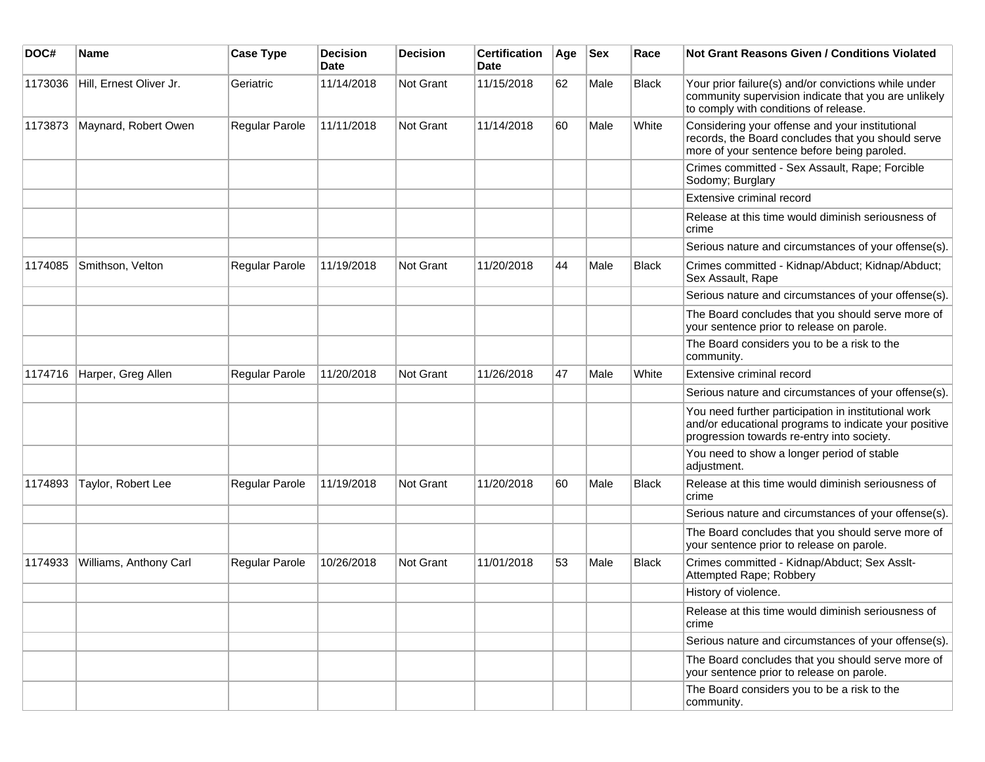| DOC#    | <b>Name</b>             | <b>Case Type</b> | <b>Decision</b><br><b>Date</b> | <b>Decision</b> | <b>Certification</b><br>Date | Age | <b>Sex</b> | Race         | Not Grant Reasons Given / Conditions Violated                                                                                                               |
|---------|-------------------------|------------------|--------------------------------|-----------------|------------------------------|-----|------------|--------------|-------------------------------------------------------------------------------------------------------------------------------------------------------------|
| 1173036 | Hill, Ernest Oliver Jr. | Geriatric        | 11/14/2018                     | Not Grant       | 11/15/2018                   | 62  | Male       | <b>Black</b> | Your prior failure(s) and/or convictions while under<br>community supervision indicate that you are unlikely<br>to comply with conditions of release.       |
| 1173873 | Maynard, Robert Owen    | Regular Parole   | 11/11/2018                     | Not Grant       | 11/14/2018                   | 60  | Male       | White        | Considering your offense and your institutional<br>records, the Board concludes that you should serve<br>more of your sentence before being paroled.        |
|         |                         |                  |                                |                 |                              |     |            |              | Crimes committed - Sex Assault, Rape; Forcible<br>Sodomy; Burglary                                                                                          |
|         |                         |                  |                                |                 |                              |     |            |              | Extensive criminal record                                                                                                                                   |
|         |                         |                  |                                |                 |                              |     |            |              | Release at this time would diminish seriousness of<br>crime                                                                                                 |
|         |                         |                  |                                |                 |                              |     |            |              | Serious nature and circumstances of your offense(s).                                                                                                        |
| 1174085 | Smithson, Velton        | Regular Parole   | 11/19/2018                     | Not Grant       | 11/20/2018                   | 44  | Male       | <b>Black</b> | Crimes committed - Kidnap/Abduct; Kidnap/Abduct;<br>Sex Assault, Rape                                                                                       |
|         |                         |                  |                                |                 |                              |     |            |              | Serious nature and circumstances of your offense(s).                                                                                                        |
|         |                         |                  |                                |                 |                              |     |            |              | The Board concludes that you should serve more of<br>your sentence prior to release on parole.                                                              |
|         |                         |                  |                                |                 |                              |     |            |              | The Board considers you to be a risk to the<br>community.                                                                                                   |
| 1174716 | Harper, Greg Allen      | Regular Parole   | 11/20/2018                     | Not Grant       | 11/26/2018                   | 47  | Male       | White        | Extensive criminal record                                                                                                                                   |
|         |                         |                  |                                |                 |                              |     |            |              | Serious nature and circumstances of your offense(s).                                                                                                        |
|         |                         |                  |                                |                 |                              |     |            |              | You need further participation in institutional work<br>and/or educational programs to indicate your positive<br>progression towards re-entry into society. |
|         |                         |                  |                                |                 |                              |     |            |              | You need to show a longer period of stable<br>adjustment.                                                                                                   |
| 1174893 | Taylor, Robert Lee      | Regular Parole   | 11/19/2018                     | Not Grant       | 11/20/2018                   | 60  | Male       | <b>Black</b> | Release at this time would diminish seriousness of<br>crime                                                                                                 |
|         |                         |                  |                                |                 |                              |     |            |              | Serious nature and circumstances of your offense(s).                                                                                                        |
|         |                         |                  |                                |                 |                              |     |            |              | The Board concludes that you should serve more of<br>your sentence prior to release on parole.                                                              |
| 1174933 | Williams, Anthony Carl  | Regular Parole   | 10/26/2018                     | Not Grant       | 11/01/2018                   | 53  | Male       | Black        | Crimes committed - Kidnap/Abduct; Sex Asslt-<br>Attempted Rape; Robbery                                                                                     |
|         |                         |                  |                                |                 |                              |     |            |              | History of violence.                                                                                                                                        |
|         |                         |                  |                                |                 |                              |     |            |              | Release at this time would diminish seriousness of<br>crime                                                                                                 |
|         |                         |                  |                                |                 |                              |     |            |              | Serious nature and circumstances of your offense(s).                                                                                                        |
|         |                         |                  |                                |                 |                              |     |            |              | The Board concludes that you should serve more of<br>your sentence prior to release on parole.                                                              |
|         |                         |                  |                                |                 |                              |     |            |              | The Board considers you to be a risk to the<br>community.                                                                                                   |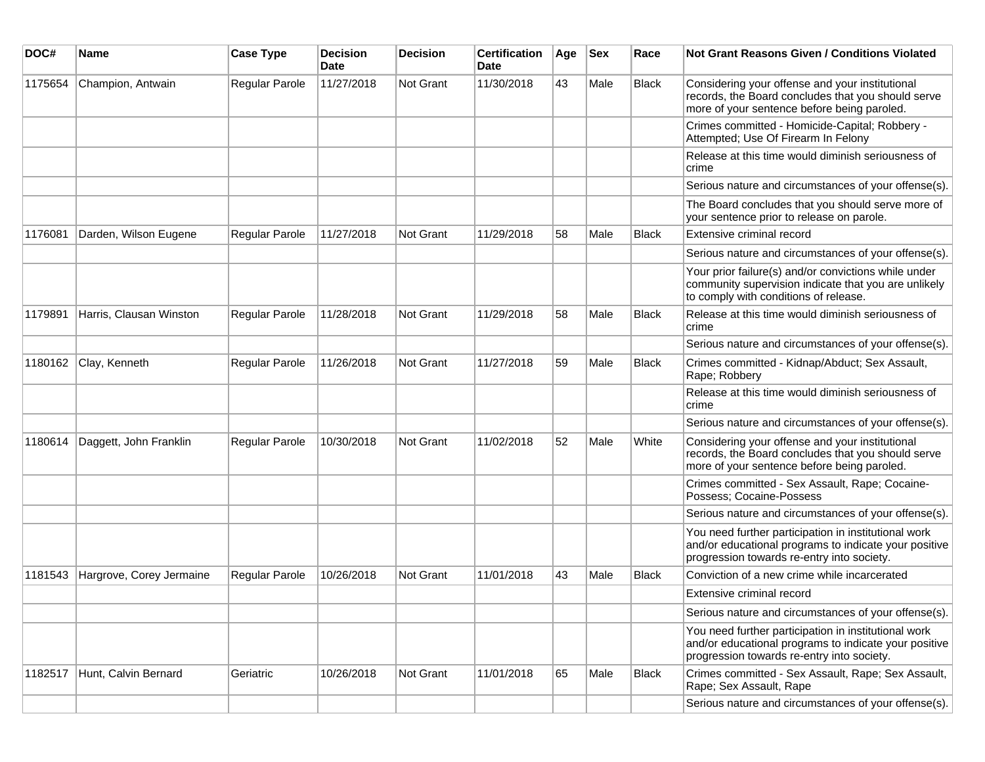| DOC#    | <b>Name</b>              | <b>Case Type</b> | <b>Decision</b><br><b>Date</b> | <b>Decision</b> | <b>Certification</b><br>Date | Age | <b>Sex</b> | Race         | <b>Not Grant Reasons Given / Conditions Violated</b>                                                                                                        |
|---------|--------------------------|------------------|--------------------------------|-----------------|------------------------------|-----|------------|--------------|-------------------------------------------------------------------------------------------------------------------------------------------------------------|
| 1175654 | Champion, Antwain        | Regular Parole   | 11/27/2018                     | Not Grant       | 11/30/2018                   | 43  | Male       | <b>Black</b> | Considering your offense and your institutional<br>records, the Board concludes that you should serve<br>more of your sentence before being paroled.        |
|         |                          |                  |                                |                 |                              |     |            |              | Crimes committed - Homicide-Capital; Robbery -<br>Attempted; Use Of Firearm In Felony                                                                       |
|         |                          |                  |                                |                 |                              |     |            |              | Release at this time would diminish seriousness of<br>crime                                                                                                 |
|         |                          |                  |                                |                 |                              |     |            |              | Serious nature and circumstances of your offense(s).                                                                                                        |
|         |                          |                  |                                |                 |                              |     |            |              | The Board concludes that you should serve more of<br>your sentence prior to release on parole.                                                              |
| 1176081 | Darden, Wilson Eugene    | Regular Parole   | 11/27/2018                     | Not Grant       | 11/29/2018                   | 58  | Male       | <b>Black</b> | Extensive criminal record                                                                                                                                   |
|         |                          |                  |                                |                 |                              |     |            |              | Serious nature and circumstances of your offense(s).                                                                                                        |
|         |                          |                  |                                |                 |                              |     |            |              | Your prior failure(s) and/or convictions while under<br>community supervision indicate that you are unlikely<br>to comply with conditions of release.       |
| 1179891 | Harris, Clausan Winston  | Regular Parole   | 11/28/2018                     | Not Grant       | 11/29/2018                   | 58  | Male       | <b>Black</b> | Release at this time would diminish seriousness of<br>crime                                                                                                 |
|         |                          |                  |                                |                 |                              |     |            |              | Serious nature and circumstances of your offense(s).                                                                                                        |
| 1180162 | Clay, Kenneth            | Regular Parole   | 11/26/2018                     | Not Grant       | 11/27/2018                   | 59  | Male       | <b>Black</b> | Crimes committed - Kidnap/Abduct; Sex Assault,<br>Rape; Robbery                                                                                             |
|         |                          |                  |                                |                 |                              |     |            |              | Release at this time would diminish seriousness of<br>crime                                                                                                 |
|         |                          |                  |                                |                 |                              |     |            |              | Serious nature and circumstances of your offense(s).                                                                                                        |
| 1180614 | Daggett, John Franklin   | Regular Parole   | 10/30/2018                     | Not Grant       | 11/02/2018                   | 52  | Male       | White        | Considering your offense and your institutional<br>records, the Board concludes that you should serve<br>more of your sentence before being paroled.        |
|         |                          |                  |                                |                 |                              |     |            |              | Crimes committed - Sex Assault, Rape; Cocaine-<br>Possess; Cocaine-Possess                                                                                  |
|         |                          |                  |                                |                 |                              |     |            |              | Serious nature and circumstances of your offense(s).                                                                                                        |
|         |                          |                  |                                |                 |                              |     |            |              | You need further participation in institutional work<br>and/or educational programs to indicate your positive<br>progression towards re-entry into society. |
| 1181543 | Hargrove, Corey Jermaine | Regular Parole   | 10/26/2018                     | Not Grant       | 11/01/2018                   | 43  | Male       | <b>Black</b> | Conviction of a new crime while incarcerated                                                                                                                |
|         |                          |                  |                                |                 |                              |     |            |              | Extensive criminal record                                                                                                                                   |
|         |                          |                  |                                |                 |                              |     |            |              | Serious nature and circumstances of your offense(s).                                                                                                        |
|         |                          |                  |                                |                 |                              |     |            |              | You need further participation in institutional work<br>and/or educational programs to indicate your positive<br>progression towards re-entry into society. |
| 1182517 | Hunt, Calvin Bernard     | Geriatric        | 10/26/2018                     | Not Grant       | 11/01/2018                   | 65  | Male       | <b>Black</b> | Crimes committed - Sex Assault, Rape; Sex Assault,<br>Rape; Sex Assault, Rape                                                                               |
|         |                          |                  |                                |                 |                              |     |            |              | Serious nature and circumstances of your offense(s).                                                                                                        |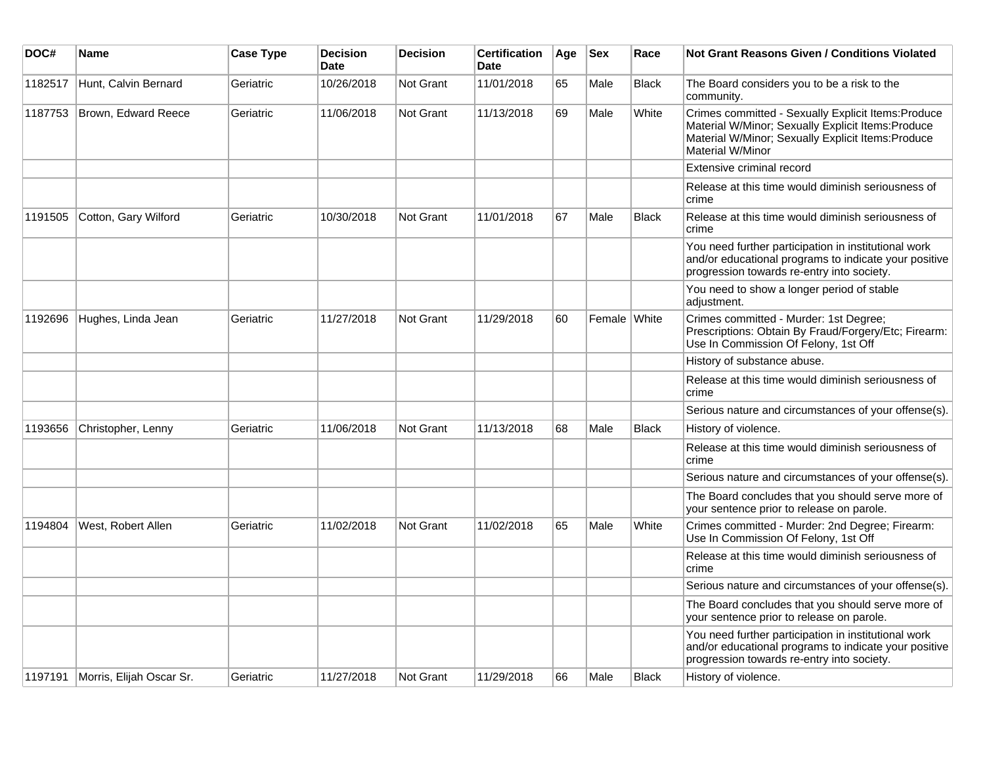| DOC#    | <b>Name</b>                        | <b>Case Type</b> | <b>Decision</b><br><b>Date</b> | <b>Decision</b>  | <b>Certification</b><br>Date | Age | <b>Sex</b>   | Race         | <b>Not Grant Reasons Given / Conditions Violated</b>                                                                                                                                |
|---------|------------------------------------|------------------|--------------------------------|------------------|------------------------------|-----|--------------|--------------|-------------------------------------------------------------------------------------------------------------------------------------------------------------------------------------|
| 1182517 | Hunt, Calvin Bernard               | Geriatric        | 10/26/2018                     | Not Grant        | 11/01/2018                   | 65  | Male         | <b>Black</b> | The Board considers you to be a risk to the<br>community.                                                                                                                           |
| 1187753 | Brown, Edward Reece                | Geriatric        | 11/06/2018                     | Not Grant        | 11/13/2018                   | 69  | Male         | White        | Crimes committed - Sexually Explicit Items: Produce<br>Material W/Minor; Sexually Explicit Items: Produce<br>Material W/Minor; Sexually Explicit Items: Produce<br>Material W/Minor |
|         |                                    |                  |                                |                  |                              |     |              |              | Extensive criminal record                                                                                                                                                           |
|         |                                    |                  |                                |                  |                              |     |              |              | Release at this time would diminish seriousness of<br>crime                                                                                                                         |
| 1191505 | Cotton, Gary Wilford               | Geriatric        | 10/30/2018                     | <b>Not Grant</b> | 11/01/2018                   | 67  | Male         | <b>Black</b> | Release at this time would diminish seriousness of<br>crime                                                                                                                         |
|         |                                    |                  |                                |                  |                              |     |              |              | You need further participation in institutional work<br>and/or educational programs to indicate your positive<br>progression towards re-entry into society.                         |
|         |                                    |                  |                                |                  |                              |     |              |              | You need to show a longer period of stable<br>adjustment.                                                                                                                           |
| 1192696 | Hughes, Linda Jean                 | Geriatric        | 11/27/2018                     | <b>Not Grant</b> | 11/29/2018                   | 60  | Female White |              | Crimes committed - Murder: 1st Degree;<br>Prescriptions: Obtain By Fraud/Forgery/Etc; Firearm:<br>Use In Commission Of Felony, 1st Off                                              |
|         |                                    |                  |                                |                  |                              |     |              |              | History of substance abuse.                                                                                                                                                         |
|         |                                    |                  |                                |                  |                              |     |              |              | Release at this time would diminish seriousness of<br>crime                                                                                                                         |
|         |                                    |                  |                                |                  |                              |     |              |              | Serious nature and circumstances of your offense(s).                                                                                                                                |
| 1193656 | Christopher, Lenny                 | Geriatric        | 11/06/2018                     | Not Grant        | 11/13/2018                   | 68  | Male         | <b>Black</b> | History of violence.                                                                                                                                                                |
|         |                                    |                  |                                |                  |                              |     |              |              | Release at this time would diminish seriousness of<br>crime                                                                                                                         |
|         |                                    |                  |                                |                  |                              |     |              |              | Serious nature and circumstances of your offense(s).                                                                                                                                |
|         |                                    |                  |                                |                  |                              |     |              |              | The Board concludes that you should serve more of<br>your sentence prior to release on parole.                                                                                      |
| 1194804 | West, Robert Allen                 | Geriatric        | 11/02/2018                     | Not Grant        | 11/02/2018                   | 65  | Male         | White        | Crimes committed - Murder: 2nd Degree; Firearm:<br>Use In Commission Of Felony, 1st Off                                                                                             |
|         |                                    |                  |                                |                  |                              |     |              |              | Release at this time would diminish seriousness of<br>crime                                                                                                                         |
|         |                                    |                  |                                |                  |                              |     |              |              | Serious nature and circumstances of your offense(s).                                                                                                                                |
|         |                                    |                  |                                |                  |                              |     |              |              | The Board concludes that you should serve more of<br>your sentence prior to release on parole.                                                                                      |
|         |                                    |                  |                                |                  |                              |     |              |              | You need further participation in institutional work<br>and/or educational programs to indicate your positive<br>progression towards re-entry into society.                         |
|         | 1197191   Morris, Elijah Oscar Sr. | Geriatric        | 11/27/2018                     | Not Grant        | 11/29/2018                   | 66  | Male         | <b>Black</b> | History of violence.                                                                                                                                                                |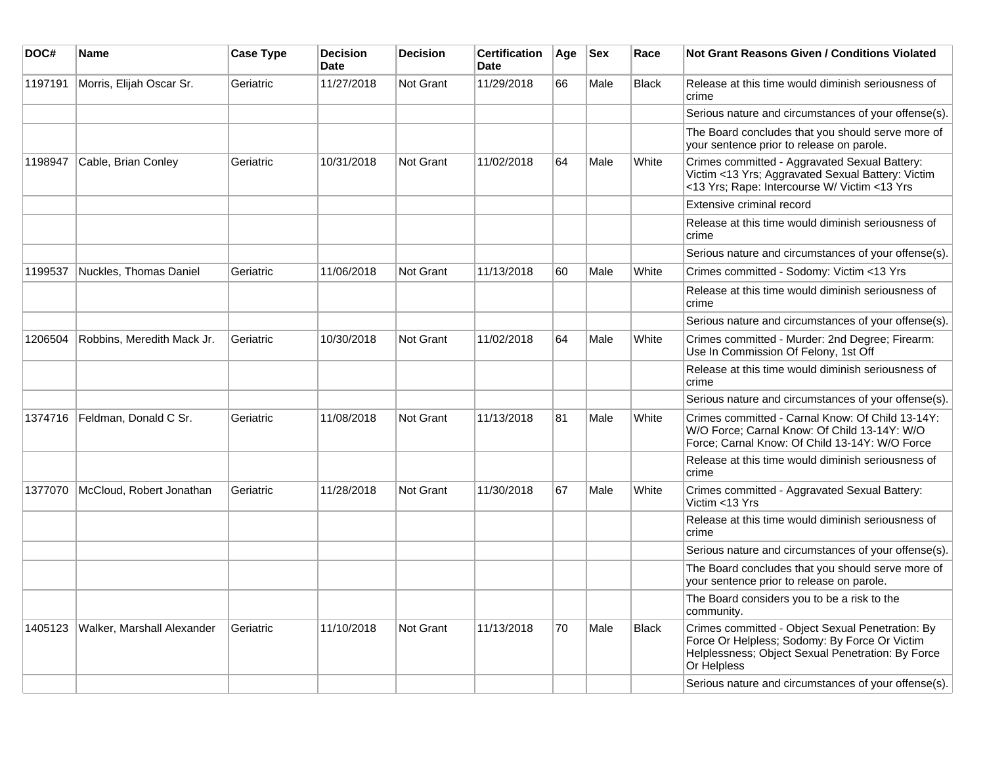| DOC#    | <b>Name</b>                | <b>Case Type</b> | <b>Decision</b><br><b>Date</b> | <b>Decision</b>  | <b>Certification</b><br><b>Date</b> | Age | <b>Sex</b> | Race         | <b>Not Grant Reasons Given / Conditions Violated</b>                                                                                                                  |
|---------|----------------------------|------------------|--------------------------------|------------------|-------------------------------------|-----|------------|--------------|-----------------------------------------------------------------------------------------------------------------------------------------------------------------------|
| 1197191 | Morris, Elijah Oscar Sr.   | Geriatric        | 11/27/2018                     | <b>Not Grant</b> | 11/29/2018                          | 66  | Male       | <b>Black</b> | Release at this time would diminish seriousness of<br>crime                                                                                                           |
|         |                            |                  |                                |                  |                                     |     |            |              | Serious nature and circumstances of your offense(s).                                                                                                                  |
|         |                            |                  |                                |                  |                                     |     |            |              | The Board concludes that you should serve more of<br>your sentence prior to release on parole.                                                                        |
| 1198947 | Cable, Brian Conley        | Geriatric        | 10/31/2018                     | <b>Not Grant</b> | 11/02/2018                          | 64  | Male       | White        | Crimes committed - Aggravated Sexual Battery:<br>Victim <13 Yrs; Aggravated Sexual Battery: Victim<br><13 Yrs; Rape: Intercourse W/ Victim <13 Yrs                    |
|         |                            |                  |                                |                  |                                     |     |            |              | Extensive criminal record                                                                                                                                             |
|         |                            |                  |                                |                  |                                     |     |            |              | Release at this time would diminish seriousness of<br>crime                                                                                                           |
|         |                            |                  |                                |                  |                                     |     |            |              | Serious nature and circumstances of your offense(s).                                                                                                                  |
| 1199537 | Nuckles, Thomas Daniel     | Geriatric        | 11/06/2018                     | Not Grant        | 11/13/2018                          | 60  | Male       | White        | Crimes committed - Sodomy: Victim <13 Yrs                                                                                                                             |
|         |                            |                  |                                |                  |                                     |     |            |              | Release at this time would diminish seriousness of<br>crime                                                                                                           |
|         |                            |                  |                                |                  |                                     |     |            |              | Serious nature and circumstances of your offense(s).                                                                                                                  |
| 1206504 | Robbins, Meredith Mack Jr. | Geriatric        | 10/30/2018                     | <b>Not Grant</b> | 11/02/2018                          | 64  | Male       | White        | Crimes committed - Murder: 2nd Degree; Firearm:<br>Use In Commission Of Felony, 1st Off                                                                               |
|         |                            |                  |                                |                  |                                     |     |            |              | Release at this time would diminish seriousness of<br>crime                                                                                                           |
|         |                            |                  |                                |                  |                                     |     |            |              | Serious nature and circumstances of your offense(s).                                                                                                                  |
| 1374716 | Feldman, Donald C Sr.      | Geriatric        | 11/08/2018                     | <b>Not Grant</b> | 11/13/2018                          | 81  | Male       | White        | Crimes committed - Carnal Know: Of Child 13-14Y:<br>W/O Force: Carnal Know: Of Child 13-14Y: W/O<br>Force; Carnal Know: Of Child 13-14Y: W/O Force                    |
|         |                            |                  |                                |                  |                                     |     |            |              | Release at this time would diminish seriousness of<br>crime                                                                                                           |
| 1377070 | McCloud, Robert Jonathan   | Geriatric        | 11/28/2018                     | <b>Not Grant</b> | 11/30/2018                          | 67  | Male       | White        | Crimes committed - Aggravated Sexual Battery:<br>Victim <13 Yrs                                                                                                       |
|         |                            |                  |                                |                  |                                     |     |            |              | Release at this time would diminish seriousness of<br>crime                                                                                                           |
|         |                            |                  |                                |                  |                                     |     |            |              | Serious nature and circumstances of your offense(s).                                                                                                                  |
|         |                            |                  |                                |                  |                                     |     |            |              | The Board concludes that you should serve more of<br>your sentence prior to release on parole.                                                                        |
|         |                            |                  |                                |                  |                                     |     |            |              | The Board considers you to be a risk to the<br>community.                                                                                                             |
| 1405123 | Walker, Marshall Alexander | Geriatric        | 11/10/2018                     | <b>Not Grant</b> | 11/13/2018                          | 70  | Male       | <b>Black</b> | Crimes committed - Object Sexual Penetration: By<br>Force Or Helpless; Sodomy: By Force Or Victim<br>Helplessness; Object Sexual Penetration: By Force<br>Or Helpless |
|         |                            |                  |                                |                  |                                     |     |            |              | Serious nature and circumstances of your offense(s).                                                                                                                  |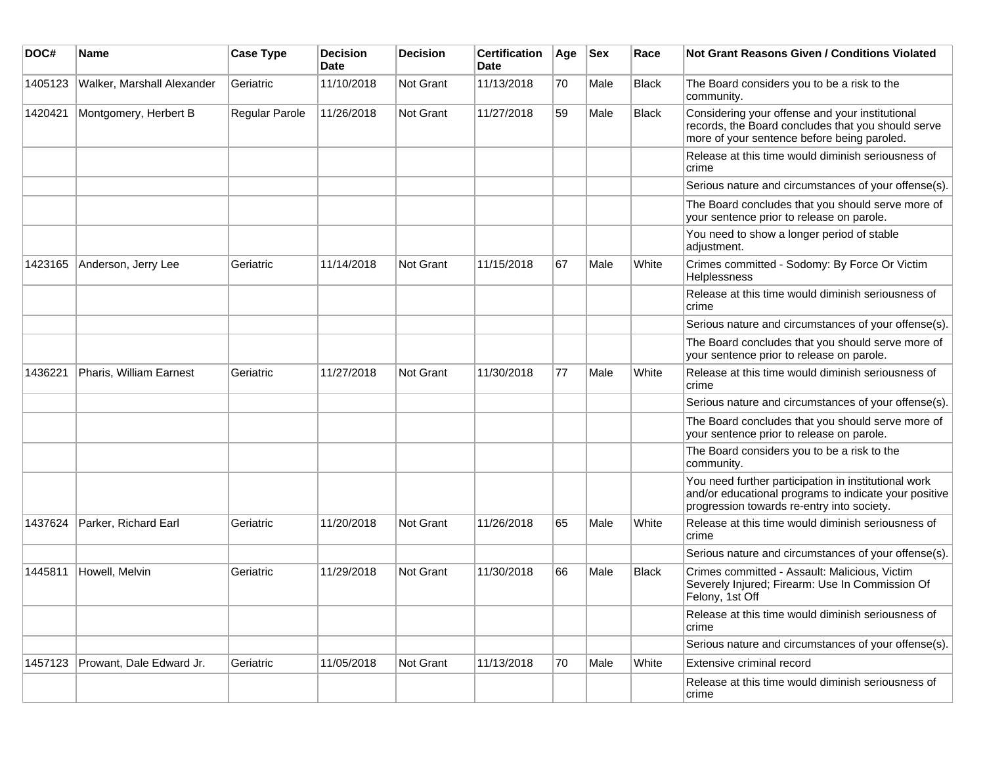| DOC#    | <b>Name</b>                | <b>Case Type</b> | <b>Decision</b><br><b>Date</b> | <b>Decision</b> | <b>Certification</b><br><b>Date</b> | Age | <b>Sex</b> | Race         | <b>Not Grant Reasons Given / Conditions Violated</b>                                                                                                        |
|---------|----------------------------|------------------|--------------------------------|-----------------|-------------------------------------|-----|------------|--------------|-------------------------------------------------------------------------------------------------------------------------------------------------------------|
| 1405123 | Walker, Marshall Alexander | Geriatric        | 11/10/2018                     | Not Grant       | 11/13/2018                          | 70  | Male       | <b>Black</b> | The Board considers you to be a risk to the<br>community.                                                                                                   |
| 1420421 | Montgomery, Herbert B      | Regular Parole   | 11/26/2018                     | Not Grant       | 11/27/2018                          | 59  | Male       | Black        | Considering your offense and your institutional<br>records, the Board concludes that you should serve<br>more of your sentence before being paroled.        |
|         |                            |                  |                                |                 |                                     |     |            |              | Release at this time would diminish seriousness of<br>crime                                                                                                 |
|         |                            |                  |                                |                 |                                     |     |            |              | Serious nature and circumstances of your offense(s).                                                                                                        |
|         |                            |                  |                                |                 |                                     |     |            |              | The Board concludes that you should serve more of<br>your sentence prior to release on parole.                                                              |
|         |                            |                  |                                |                 |                                     |     |            |              | You need to show a longer period of stable<br>adjustment.                                                                                                   |
| 1423165 | Anderson, Jerry Lee        | Geriatric        | 11/14/2018                     | Not Grant       | 11/15/2018                          | 67  | Male       | White        | Crimes committed - Sodomy: By Force Or Victim<br><b>Helplessness</b>                                                                                        |
|         |                            |                  |                                |                 |                                     |     |            |              | Release at this time would diminish seriousness of<br>crime                                                                                                 |
|         |                            |                  |                                |                 |                                     |     |            |              | Serious nature and circumstances of your offense(s).                                                                                                        |
|         |                            |                  |                                |                 |                                     |     |            |              | The Board concludes that you should serve more of<br>your sentence prior to release on parole.                                                              |
| 1436221 | Pharis, William Earnest    | Geriatric        | 11/27/2018                     | Not Grant       | 11/30/2018                          | 77  | Male       | White        | Release at this time would diminish seriousness of<br>crime                                                                                                 |
|         |                            |                  |                                |                 |                                     |     |            |              | Serious nature and circumstances of your offense(s).                                                                                                        |
|         |                            |                  |                                |                 |                                     |     |            |              | The Board concludes that you should serve more of<br>your sentence prior to release on parole.                                                              |
|         |                            |                  |                                |                 |                                     |     |            |              | The Board considers you to be a risk to the<br>community.                                                                                                   |
|         |                            |                  |                                |                 |                                     |     |            |              | You need further participation in institutional work<br>and/or educational programs to indicate your positive<br>progression towards re-entry into society. |
| 1437624 | Parker, Richard Earl       | Geriatric        | 11/20/2018                     | Not Grant       | 11/26/2018                          | 65  | Male       | White        | Release at this time would diminish seriousness of<br>crime                                                                                                 |
|         |                            |                  |                                |                 |                                     |     |            |              | Serious nature and circumstances of your offense(s).                                                                                                        |
| 1445811 | Howell, Melvin             | Geriatric        | 11/29/2018                     | Not Grant       | 11/30/2018                          | 66  | Male       | <b>Black</b> | Crimes committed - Assault: Malicious, Victim<br>Severely Injured; Firearm: Use In Commission Of<br>Felony, 1st Off                                         |
|         |                            |                  |                                |                 |                                     |     |            |              | Release at this time would diminish seriousness of<br>crime                                                                                                 |
|         |                            |                  |                                |                 |                                     |     |            |              | Serious nature and circumstances of your offense(s).                                                                                                        |
| 1457123 | Prowant, Dale Edward Jr.   | Geriatric        | 11/05/2018                     | Not Grant       | 11/13/2018                          | 70  | Male       | White        | Extensive criminal record                                                                                                                                   |
|         |                            |                  |                                |                 |                                     |     |            |              | Release at this time would diminish seriousness of<br>crime                                                                                                 |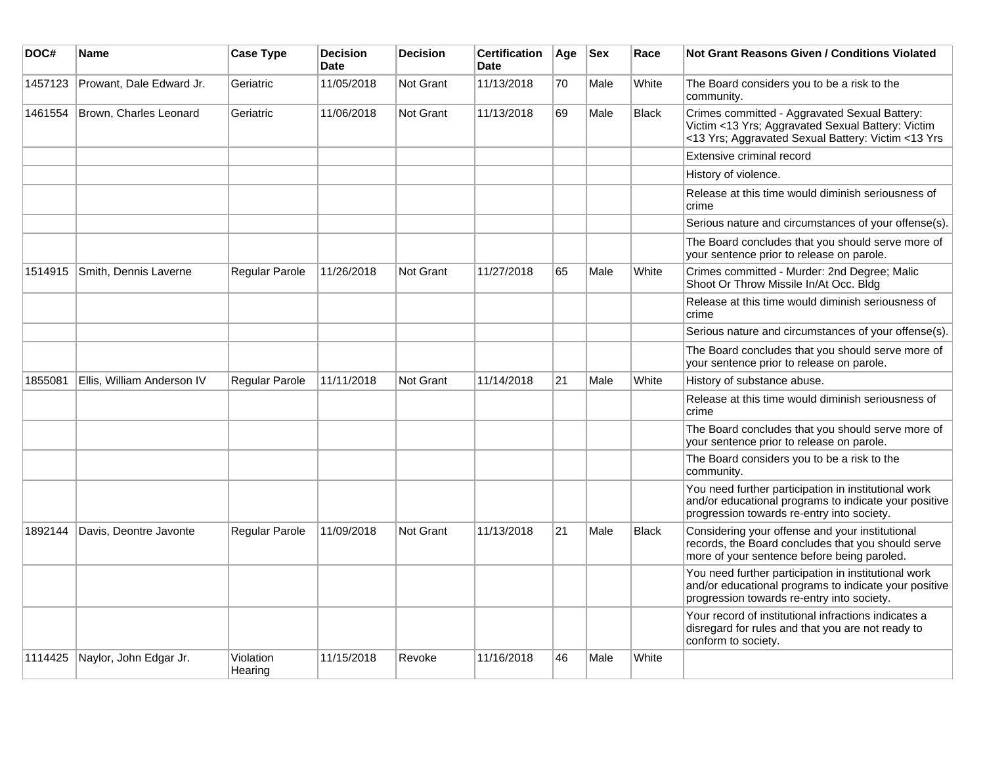| DOC#    | <b>Name</b>                | <b>Case Type</b>     | <b>Decision</b><br><b>Date</b> | <b>Decision</b> | <b>Certification</b><br><b>Date</b> | Age | <b>Sex</b> | Race         | <b>Not Grant Reasons Given / Conditions Violated</b>                                                                                                        |
|---------|----------------------------|----------------------|--------------------------------|-----------------|-------------------------------------|-----|------------|--------------|-------------------------------------------------------------------------------------------------------------------------------------------------------------|
| 1457123 | Prowant, Dale Edward Jr.   | Geriatric            | 11/05/2018                     | Not Grant       | 11/13/2018                          | 70  | Male       | White        | The Board considers you to be a risk to the<br>community.                                                                                                   |
| 1461554 | Brown, Charles Leonard     | Geriatric            | 11/06/2018                     | Not Grant       | 11/13/2018                          | 69  | Male       | Black        | Crimes committed - Aggravated Sexual Battery:<br>Victim <13 Yrs; Aggravated Sexual Battery: Victim<br><13 Yrs; Aggravated Sexual Battery: Victim <13 Yrs    |
|         |                            |                      |                                |                 |                                     |     |            |              | Extensive criminal record                                                                                                                                   |
|         |                            |                      |                                |                 |                                     |     |            |              | History of violence.                                                                                                                                        |
|         |                            |                      |                                |                 |                                     |     |            |              | Release at this time would diminish seriousness of<br>crime                                                                                                 |
|         |                            |                      |                                |                 |                                     |     |            |              | Serious nature and circumstances of your offense(s).                                                                                                        |
|         |                            |                      |                                |                 |                                     |     |            |              | The Board concludes that you should serve more of<br>your sentence prior to release on parole.                                                              |
| 1514915 | Smith, Dennis Laverne      | Regular Parole       | 11/26/2018                     | Not Grant       | 11/27/2018                          | 65  | Male       | White        | Crimes committed - Murder: 2nd Degree; Malic<br>Shoot Or Throw Missile In/At Occ. Bldg                                                                      |
|         |                            |                      |                                |                 |                                     |     |            |              | Release at this time would diminish seriousness of<br>crime                                                                                                 |
|         |                            |                      |                                |                 |                                     |     |            |              | Serious nature and circumstances of your offense(s).                                                                                                        |
|         |                            |                      |                                |                 |                                     |     |            |              | The Board concludes that you should serve more of<br>your sentence prior to release on parole.                                                              |
| 1855081 | Ellis, William Anderson IV | Regular Parole       | 11/11/2018                     | Not Grant       | 11/14/2018                          | 21  | Male       | White        | History of substance abuse.                                                                                                                                 |
|         |                            |                      |                                |                 |                                     |     |            |              | Release at this time would diminish seriousness of<br>crime                                                                                                 |
|         |                            |                      |                                |                 |                                     |     |            |              | The Board concludes that you should serve more of<br>your sentence prior to release on parole.                                                              |
|         |                            |                      |                                |                 |                                     |     |            |              | The Board considers you to be a risk to the<br>community.                                                                                                   |
|         |                            |                      |                                |                 |                                     |     |            |              | You need further participation in institutional work<br>and/or educational programs to indicate your positive<br>progression towards re-entry into society. |
| 1892144 | Davis, Deontre Javonte     | Regular Parole       | 11/09/2018                     | Not Grant       | 11/13/2018                          | 21  | Male       | <b>Black</b> | Considering your offense and your institutional<br>records, the Board concludes that you should serve<br>more of your sentence before being paroled.        |
|         |                            |                      |                                |                 |                                     |     |            |              | You need further participation in institutional work<br>and/or educational programs to indicate your positive<br>progression towards re-entry into society. |
|         |                            |                      |                                |                 |                                     |     |            |              | Your record of institutional infractions indicates a<br>disregard for rules and that you are not ready to<br>conform to society.                            |
| 1114425 | Naylor, John Edgar Jr.     | Violation<br>Hearing | 11/15/2018                     | Revoke          | 11/16/2018                          | 46  | Male       | White        |                                                                                                                                                             |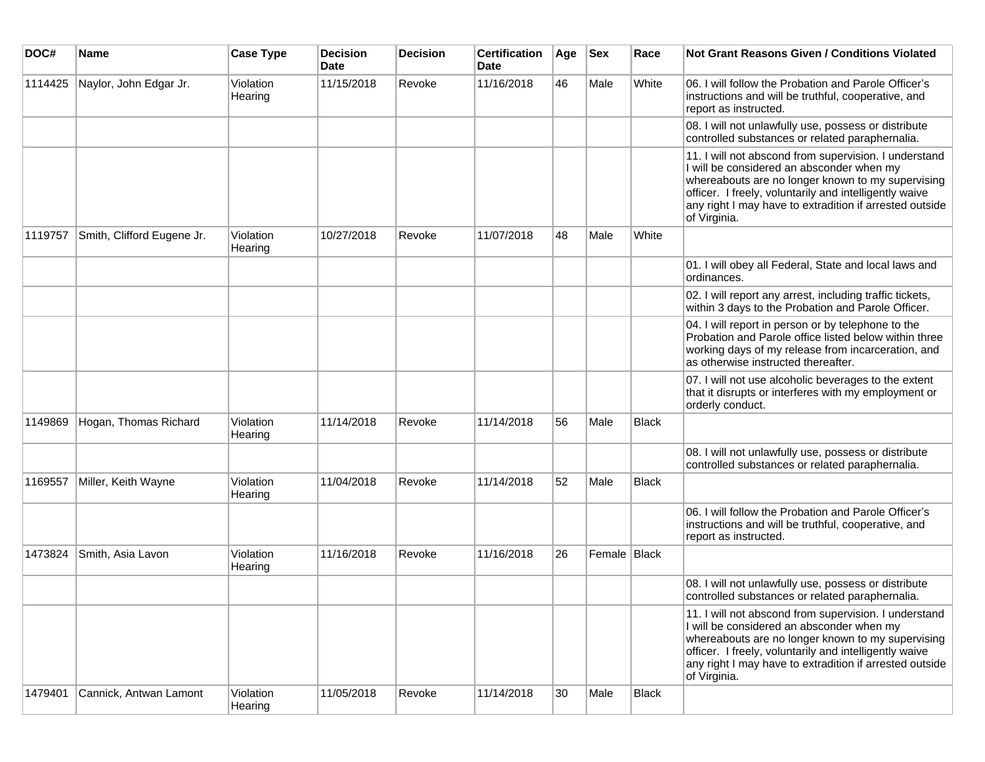| DOC#    | <b>Name</b>                | <b>Case Type</b>     | <b>Decision</b><br><b>Date</b> | <b>Decision</b> | <b>Certification</b><br>Date | Age | <b>Sex</b>     | Race         | <b>Not Grant Reasons Given / Conditions Violated</b>                                                                                                                                                                                                                                         |
|---------|----------------------------|----------------------|--------------------------------|-----------------|------------------------------|-----|----------------|--------------|----------------------------------------------------------------------------------------------------------------------------------------------------------------------------------------------------------------------------------------------------------------------------------------------|
| 1114425 | Naylor, John Edgar Jr.     | Violation<br>Hearing | 11/15/2018                     | Revoke          | 11/16/2018                   | 46  | Male           | White        | 06. I will follow the Probation and Parole Officer's<br>instructions and will be truthful, cooperative, and<br>report as instructed.                                                                                                                                                         |
|         |                            |                      |                                |                 |                              |     |                |              | 08. I will not unlawfully use, possess or distribute<br>controlled substances or related paraphernalia.                                                                                                                                                                                      |
|         |                            |                      |                                |                 |                              |     |                |              | 11. I will not abscond from supervision. I understand<br>I will be considered an absconder when my<br>whereabouts are no longer known to my supervising<br>officer. I freely, voluntarily and intelligently waive<br>any right I may have to extradition if arrested outside<br>of Virginia. |
| 1119757 | Smith, Clifford Eugene Jr. | Violation<br>Hearing | 10/27/2018                     | Revoke          | 11/07/2018                   | 48  | Male           | White        |                                                                                                                                                                                                                                                                                              |
|         |                            |                      |                                |                 |                              |     |                |              | 01. I will obey all Federal, State and local laws and<br>ordinances.                                                                                                                                                                                                                         |
|         |                            |                      |                                |                 |                              |     |                |              | 02. I will report any arrest, including traffic tickets,<br>within 3 days to the Probation and Parole Officer.                                                                                                                                                                               |
|         |                            |                      |                                |                 |                              |     |                |              | 04. I will report in person or by telephone to the<br>Probation and Parole office listed below within three<br>working days of my release from incarceration, and<br>as otherwise instructed thereafter.                                                                                     |
|         |                            |                      |                                |                 |                              |     |                |              | 07. I will not use alcoholic beverages to the extent<br>that it disrupts or interferes with my employment or<br>orderly conduct.                                                                                                                                                             |
| 1149869 | Hogan, Thomas Richard      | Violation<br>Hearing | 11/14/2018                     | Revoke          | 11/14/2018                   | 56  | Male           | <b>Black</b> |                                                                                                                                                                                                                                                                                              |
|         |                            |                      |                                |                 |                              |     |                |              | 08. I will not unlawfully use, possess or distribute<br>controlled substances or related paraphernalia.                                                                                                                                                                                      |
| 1169557 | Miller, Keith Wayne        | Violation<br>Hearing | 11/04/2018                     | Revoke          | 11/14/2018                   | 52  | Male           | <b>Black</b> |                                                                                                                                                                                                                                                                                              |
|         |                            |                      |                                |                 |                              |     |                |              | 06. I will follow the Probation and Parole Officer's<br>instructions and will be truthful, cooperative, and<br>report as instructed.                                                                                                                                                         |
| 1473824 | Smith, Asia Lavon          | Violation<br>Hearing | 11/16/2018                     | Revoke          | 11/16/2018                   | 26  | Female   Black |              |                                                                                                                                                                                                                                                                                              |
|         |                            |                      |                                |                 |                              |     |                |              | 08. I will not unlawfully use, possess or distribute<br>controlled substances or related paraphernalia.                                                                                                                                                                                      |
|         |                            |                      |                                |                 |                              |     |                |              | 11. I will not abscond from supervision. I understand<br>I will be considered an absconder when my<br>whereabouts are no longer known to my supervising<br>officer. I freely, voluntarily and intelligently waive<br>any right I may have to extradition if arrested outside<br>of Virginia. |
| 1479401 | Cannick, Antwan Lamont     | Violation<br>Hearing | 11/05/2018                     | Revoke          | 11/14/2018                   | 30  | Male           | Black        |                                                                                                                                                                                                                                                                                              |